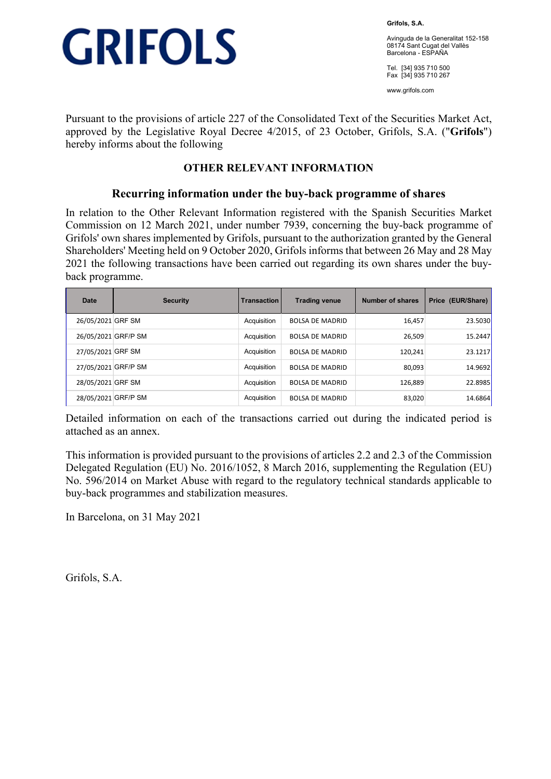

**Grifols, S.A.** 

Avinguda de la Generalitat 152-158 08174 Sant Cugat del Vallès Barcelona - ESPAÑA

Tel. [34] 935 710 500 Fax [34] 935 710 267

www.grifols.com

Pursuant to the provisions of article 227 of the Consolidated Text of the Securities Market Act, approved by the Legislative Royal Decree 4/2015, of 23 October, Grifols, S.A. ("**Grifols**") hereby informs about the following

### **OTHER RELEVANT INFORMATION**

### **Recurring information under the buy-back programme of shares**

In relation to the Other Relevant Information registered with the Spanish Securities Market Commission on 12 March 2021, under number 7939, concerning the buy-back programme of Grifols' own shares implemented by Grifols, pursuant to the authorization granted by the General Shareholders' Meeting held on 9 October 2020, Grifols informs that between 26 May and 28 May 2021 the following transactions have been carried out regarding its own shares under the buyback programme.

| <b>Date</b>         | <b>Security</b> | <b>Transaction</b> | <b>Trading venue</b>   | Number of shares | Price (EUR/Share) |
|---------------------|-----------------|--------------------|------------------------|------------------|-------------------|
| 26/05/2021 GRF SM   |                 | Acquisition        | <b>BOLSA DE MADRID</b> | 16,457           | 23.5030           |
| 26/05/2021 GRF/P SM |                 | Acquisition        | <b>BOLSA DE MADRID</b> | 26,509           | 15.2447           |
| 27/05/2021 GRF SM   |                 | Acquisition        | <b>BOLSA DE MADRID</b> | 120,241          | 23.1217           |
| 27/05/2021 GRF/P SM |                 | Acquisition        | <b>BOLSA DE MADRID</b> | 80,093           | 14.9692           |
| 28/05/2021 GRF SM   |                 | Acquisition        | <b>BOLSA DE MADRID</b> | 126,889          | 22.8985           |
| 28/05/2021 GRF/P SM |                 | Acquisition        | <b>BOLSA DE MADRID</b> | 83,020           | 14.6864           |

Detailed information on each of the transactions carried out during the indicated period is attached as an annex.

This information is provided pursuant to the provisions of articles 2.2 and 2.3 of the Commission Delegated Regulation (EU) No. 2016/1052, 8 March 2016, supplementing the Regulation (EU) No. 596/2014 on Market Abuse with regard to the regulatory technical standards applicable to buy-back programmes and stabilization measures.

In Barcelona, on 31 May 2021

Grifols, S.A.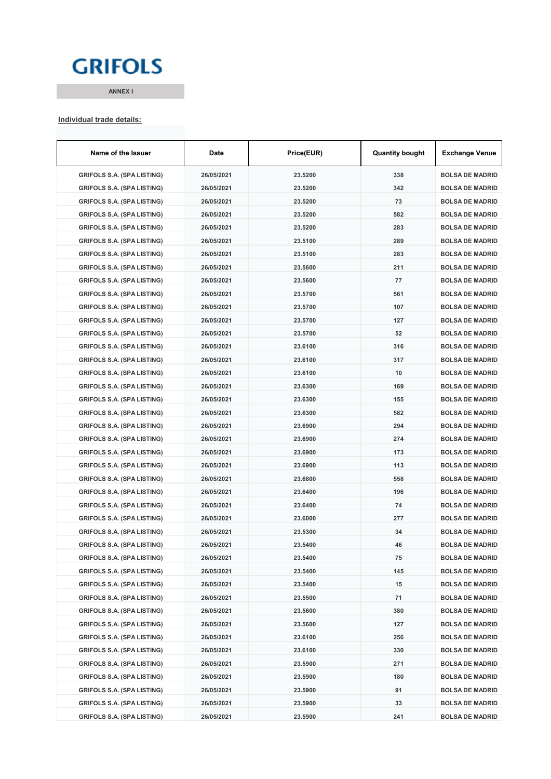## **GRIFOLS**

**ANNEX I**

# **Individual trade details:**

| Name of the Issuer                | Date       | Price(EUR) | <b>Quantity bought</b> | Exchange Venue         |
|-----------------------------------|------------|------------|------------------------|------------------------|
| <b>GRIFOLS S.A. (SPA LISTING)</b> | 26/05/2021 | 23.5200    | 338                    | <b>BOLSA DE MADRID</b> |
| <b>GRIFOLS S.A. (SPA LISTING)</b> | 26/05/2021 | 23.5200    | 342                    | <b>BOLSA DE MADRID</b> |
| <b>GRIFOLS S.A. (SPA LISTING)</b> | 26/05/2021 | 23.5200    | 73                     | <b>BOLSA DE MADRID</b> |
| <b>GRIFOLS S.A. (SPA LISTING)</b> | 26/05/2021 | 23.5200    | 582                    | <b>BOLSA DE MADRID</b> |
| <b>GRIFOLS S.A. (SPA LISTING)</b> | 26/05/2021 | 23.5200    | 283                    | <b>BOLSA DE MADRID</b> |
| <b>GRIFOLS S.A. (SPA LISTING)</b> | 26/05/2021 | 23.5100    | 289                    | <b>BOLSA DE MADRID</b> |
| GRIFOLS S.A. (SPA LISTING)        | 26/05/2021 | 23.5100    | 283                    | <b>BOLSA DE MADRID</b> |
| <b>GRIFOLS S.A. (SPA LISTING)</b> | 26/05/2021 | 23.5600    | 211                    | <b>BOLSA DE MADRID</b> |
| <b>GRIFOLS S.A. (SPA LISTING)</b> | 26/05/2021 | 23.5600    | 77                     | <b>BOLSA DE MADRID</b> |
| <b>GRIFOLS S.A. (SPA LISTING)</b> | 26/05/2021 | 23.5700    | 561                    | <b>BOLSA DE MADRID</b> |
| <b>GRIFOLS S.A. (SPA LISTING)</b> | 26/05/2021 | 23.5700    | 107                    | <b>BOLSA DE MADRID</b> |
| <b>GRIFOLS S.A. (SPA LISTING)</b> | 26/05/2021 | 23.5700    | 127                    | <b>BOLSA DE MADRID</b> |
| <b>GRIFOLS S.A. (SPA LISTING)</b> | 26/05/2021 | 23.5700    | 52                     | <b>BOLSA DE MADRID</b> |
| <b>GRIFOLS S.A. (SPA LISTING)</b> | 26/05/2021 | 23.6100    | 316                    | <b>BOLSA DE MADRID</b> |
| <b>GRIFOLS S.A. (SPA LISTING)</b> | 26/05/2021 | 23.6100    | 317                    | <b>BOLSA DE MADRID</b> |
| <b>GRIFOLS S.A. (SPA LISTING)</b> | 26/05/2021 | 23.6100    | 10                     | <b>BOLSA DE MADRID</b> |
| <b>GRIFOLS S.A. (SPA LISTING)</b> | 26/05/2021 | 23.6300    | 169                    | <b>BOLSA DE MADRID</b> |
| <b>GRIFOLS S.A. (SPA LISTING)</b> | 26/05/2021 | 23.6300    | 155                    | <b>BOLSA DE MADRID</b> |
| <b>GRIFOLS S.A. (SPA LISTING)</b> | 26/05/2021 | 23.6300    | 582                    | <b>BOLSA DE MADRID</b> |
| <b>GRIFOLS S.A. (SPA LISTING)</b> | 26/05/2021 | 23.6900    | 294                    | <b>BOLSA DE MADRID</b> |
| <b>GRIFOLS S.A. (SPA LISTING)</b> | 26/05/2021 | 23.6900    | 274                    | <b>BOLSA DE MADRID</b> |
| <b>GRIFOLS S.A. (SPA LISTING)</b> | 26/05/2021 | 23.6900    | 173                    | <b>BOLSA DE MADRID</b> |
| <b>GRIFOLS S.A. (SPA LISTING)</b> | 26/05/2021 | 23.6900    | 113                    | <b>BOLSA DE MADRID</b> |
| <b>GRIFOLS S.A. (SPA LISTING)</b> | 26/05/2021 | 23.6800    | 558                    | <b>BOLSA DE MADRID</b> |
| <b>GRIFOLS S.A. (SPA LISTING)</b> | 26/05/2021 | 23.6400    | 196                    | <b>BOLSA DE MADRID</b> |
| <b>GRIFOLS S.A. (SPA LISTING)</b> | 26/05/2021 | 23.6400    | 74                     | <b>BOLSA DE MADRID</b> |
| <b>GRIFOLS S.A. (SPA LISTING)</b> | 26/05/2021 | 23.6000    | 277                    | <b>BOLSA DE MADRID</b> |
| GRIFOLS S.A. (SPA LISTING)        | 26/05/2021 | 23.5300    | 34                     | <b>BOLSA DE MADRID</b> |
| <b>GRIFOLS S.A. (SPA LISTING)</b> | 26/05/2021 | 23.5400    | 46                     | <b>BOLSA DE MADRID</b> |
| <b>GRIFOLS S.A. (SPA LISTING)</b> | 26/05/2021 | 23.5400    | 75                     | <b>BOLSA DE MADRID</b> |
| <b>GRIFOLS S.A. (SPA LISTING)</b> | 26/05/2021 | 23.5400    | 145                    | <b>BOLSA DE MADRID</b> |
| <b>GRIFOLS S.A. (SPA LISTING)</b> | 26/05/2021 | 23.5400    | 15                     | <b>BOLSA DE MADRID</b> |
| <b>GRIFOLS S.A. (SPA LISTING)</b> | 26/05/2021 | 23.5500    | 71                     | <b>BOLSA DE MADRID</b> |
| <b>GRIFOLS S.A. (SPA LISTING)</b> | 26/05/2021 | 23.5600    | 380                    | <b>BOLSA DE MADRID</b> |
| <b>GRIFOLS S.A. (SPA LISTING)</b> | 26/05/2021 | 23.5600    | 127                    | <b>BOLSA DE MADRID</b> |
| <b>GRIFOLS S.A. (SPA LISTING)</b> | 26/05/2021 | 23.6100    | 256                    | <b>BOLSA DE MADRID</b> |
| <b>GRIFOLS S.A. (SPA LISTING)</b> | 26/05/2021 | 23.6100    | 330                    | <b>BOLSA DE MADRID</b> |
| <b>GRIFOLS S.A. (SPA LISTING)</b> | 26/05/2021 | 23.5900    | 271                    | <b>BOLSA DE MADRID</b> |
| <b>GRIFOLS S.A. (SPA LISTING)</b> | 26/05/2021 | 23.5900    | 180                    | <b>BOLSA DE MADRID</b> |
| <b>GRIFOLS S.A. (SPA LISTING)</b> | 26/05/2021 | 23.5900    | 91                     | <b>BOLSA DE MADRID</b> |
| <b>GRIFOLS S.A. (SPA LISTING)</b> | 26/05/2021 | 23.5900    | 33                     | <b>BOLSA DE MADRID</b> |
| <b>GRIFOLS S.A. (SPA LISTING)</b> | 26/05/2021 | 23.5900    | 241                    | <b>BOLSA DE MADRID</b> |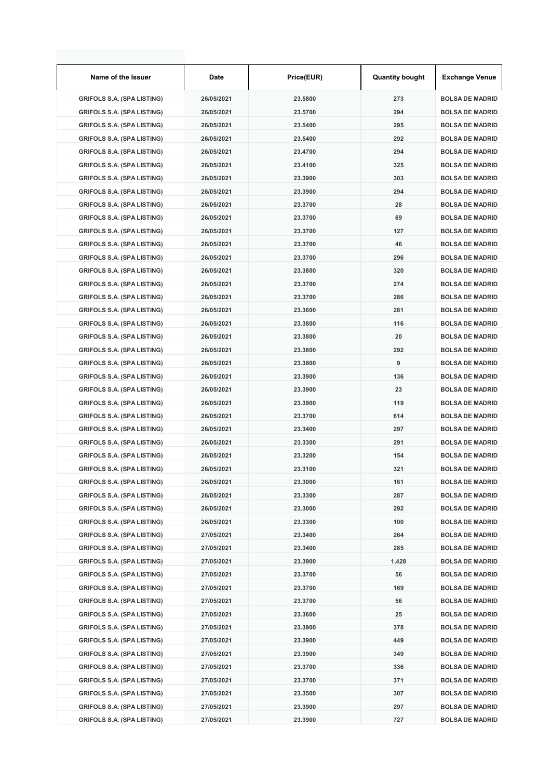| Name of the Issuer                                                     | Date       | Price(EUR) | <b>Quantity bought</b> | <b>Exchange Venue</b>  |
|------------------------------------------------------------------------|------------|------------|------------------------|------------------------|
| <b>GRIFOLS S.A. (SPA LISTING)</b>                                      | 26/05/2021 | 23.5800    | 273                    | <b>BOLSA DE MADRID</b> |
| <b>GRIFOLS S.A. (SPA LISTING)</b>                                      | 26/05/2021 | 23.5700    | 294                    | <b>BOLSA DE MADRID</b> |
| <b>GRIFOLS S.A. (SPA LISTING)</b>                                      | 26/05/2021 | 23.5400    | 295                    | <b>BOLSA DE MADRID</b> |
| <b>GRIFOLS S.A. (SPA LISTING)</b>                                      | 26/05/2021 | 23.5400    | 292                    | <b>BOLSA DE MADRID</b> |
| <b>GRIFOLS S.A. (SPA LISTING)</b>                                      | 26/05/2021 | 23.4700    | 294                    | <b>BOLSA DE MADRID</b> |
| <b>GRIFOLS S.A. (SPA LISTING)</b>                                      | 26/05/2021 | 23.4100    | 325                    | <b>BOLSA DE MADRID</b> |
| <b>GRIFOLS S.A. (SPA LISTING)</b>                                      | 26/05/2021 | 23.3900    | 303                    | <b>BOLSA DE MADRID</b> |
| <b>GRIFOLS S.A. (SPA LISTING)</b>                                      | 26/05/2021 | 23.3900    | 294                    | <b>BOLSA DE MADRID</b> |
| <b>GRIFOLS S.A. (SPA LISTING)</b>                                      | 26/05/2021 | 23.3700    | 28                     | <b>BOLSA DE MADRID</b> |
| <b>GRIFOLS S.A. (SPA LISTING)</b>                                      | 26/05/2021 | 23.3700    | 69                     | <b>BOLSA DE MADRID</b> |
| <b>GRIFOLS S.A. (SPA LISTING)</b>                                      | 26/05/2021 | 23.3700    | 127                    | <b>BOLSA DE MADRID</b> |
| <b>GRIFOLS S.A. (SPA LISTING)</b>                                      | 26/05/2021 | 23.3700    | 46                     | <b>BOLSA DE MADRID</b> |
| <b>GRIFOLS S.A. (SPA LISTING)</b>                                      | 26/05/2021 | 23.3700    | 296                    | <b>BOLSA DE MADRID</b> |
| <b>GRIFOLS S.A. (SPA LISTING)</b>                                      | 26/05/2021 | 23.3800    | 320                    | <b>BOLSA DE MADRID</b> |
| <b>GRIFOLS S.A. (SPA LISTING)</b>                                      | 26/05/2021 | 23.3700    | 274                    | <b>BOLSA DE MADRID</b> |
| <b>GRIFOLS S.A. (SPA LISTING)</b>                                      | 26/05/2021 | 23.3700    | 286                    | <b>BOLSA DE MADRID</b> |
| <b>GRIFOLS S.A. (SPA LISTING)</b>                                      | 26/05/2021 | 23.3600    | 281                    | <b>BOLSA DE MADRID</b> |
| <b>GRIFOLS S.A. (SPA LISTING)</b>                                      | 26/05/2021 | 23.3800    | 116                    | <b>BOLSA DE MADRID</b> |
| <b>GRIFOLS S.A. (SPA LISTING)</b>                                      | 26/05/2021 | 23.3800    | 20                     | <b>BOLSA DE MADRID</b> |
| <b>GRIFOLS S.A. (SPA LISTING)</b>                                      | 26/05/2021 | 23.3800    | 292                    | <b>BOLSA DE MADRID</b> |
| <b>GRIFOLS S.A. (SPA LISTING)</b>                                      | 26/05/2021 | 23.3800    | 9                      | <b>BOLSA DE MADRID</b> |
| <b>GRIFOLS S.A. (SPA LISTING)</b>                                      | 26/05/2021 | 23.3900    | 136                    | <b>BOLSA DE MADRID</b> |
| <b>GRIFOLS S.A. (SPA LISTING)</b>                                      | 26/05/2021 | 23.3900    | 23                     | <b>BOLSA DE MADRID</b> |
| <b>GRIFOLS S.A. (SPA LISTING)</b>                                      | 26/05/2021 | 23.3900    | 119                    | <b>BOLSA DE MADRID</b> |
| <b>GRIFOLS S.A. (SPA LISTING)</b>                                      | 26/05/2021 | 23.3700    | 614                    | <b>BOLSA DE MADRID</b> |
| <b>GRIFOLS S.A. (SPA LISTING)</b>                                      | 26/05/2021 | 23.3400    | 297                    | <b>BOLSA DE MADRID</b> |
| <b>GRIFOLS S.A. (SPA LISTING)</b>                                      | 26/05/2021 | 23.3300    | 291                    | <b>BOLSA DE MADRID</b> |
| <b>GRIFOLS S.A. (SPA LISTING)</b>                                      | 26/05/2021 | 23.3200    | 154                    | <b>BOLSA DE MADRID</b> |
| <b>GRIFOLS S.A. (SPA LISTING)</b>                                      | 26/05/2021 | 23.3100    | 321                    | <b>BOLSA DE MADRID</b> |
| <b>GRIFOLS S.A. (SPA LISTING)</b>                                      | 26/05/2021 | 23.3000    | 161                    | <b>BOLSA DE MADRID</b> |
| <b>GRIFOLS S.A. (SPA LISTING)</b>                                      | 26/05/2021 | 23.3300    | 287                    | <b>BOLSA DE MADRID</b> |
| <b>GRIFOLS S.A. (SPA LISTING)</b>                                      | 26/05/2021 | 23.3000    | 292                    | <b>BOLSA DE MADRID</b> |
| <b>GRIFOLS S.A. (SPA LISTING)</b>                                      | 26/05/2021 | 23.3300    | 100                    | <b>BOLSA DE MADRID</b> |
| <b>GRIFOLS S.A. (SPA LISTING)</b>                                      | 27/05/2021 | 23.3400    | 264                    | <b>BOLSA DE MADRID</b> |
| <b>GRIFOLS S.A. (SPA LISTING)</b>                                      | 27/05/2021 | 23.3400    | 285                    | <b>BOLSA DE MADRID</b> |
| <b>GRIFOLS S.A. (SPA LISTING)</b>                                      | 27/05/2021 | 23.3900    | 1,428                  | <b>BOLSA DE MADRID</b> |
|                                                                        | 27/05/2021 |            | 56                     | <b>BOLSA DE MADRID</b> |
| <b>GRIFOLS S.A. (SPA LISTING)</b><br><b>GRIFOLS S.A. (SPA LISTING)</b> | 27/05/2021 | 23.3700    |                        |                        |
|                                                                        |            | 23.3700    | 169                    | <b>BOLSA DE MADRID</b> |
| <b>GRIFOLS S.A. (SPA LISTING)</b>                                      | 27/05/2021 | 23.3700    | 56                     | <b>BOLSA DE MADRID</b> |
| <b>GRIFOLS S.A. (SPA LISTING)</b>                                      | 27/05/2021 | 23.3600    | 25                     | <b>BOLSA DE MADRID</b> |
| <b>GRIFOLS S.A. (SPA LISTING)</b>                                      | 27/05/2021 | 23.3900    | 378                    | <b>BOLSA DE MADRID</b> |
| <b>GRIFOLS S.A. (SPA LISTING)</b>                                      | 27/05/2021 | 23.3900    | 449                    | <b>BOLSA DE MADRID</b> |
| <b>GRIFOLS S.A. (SPA LISTING)</b>                                      | 27/05/2021 | 23.3900    | 349                    | <b>BOLSA DE MADRID</b> |
| <b>GRIFOLS S.A. (SPA LISTING)</b>                                      | 27/05/2021 | 23.3700    | 336                    | <b>BOLSA DE MADRID</b> |
| <b>GRIFOLS S.A. (SPA LISTING)</b>                                      | 27/05/2021 | 23.3700    | 371                    | <b>BOLSA DE MADRID</b> |
| <b>GRIFOLS S.A. (SPA LISTING)</b>                                      | 27/05/2021 | 23.3500    | 307                    | <b>BOLSA DE MADRID</b> |
| <b>GRIFOLS S.A. (SPA LISTING)</b>                                      | 27/05/2021 | 23.3900    | 297                    | <b>BOLSA DE MADRID</b> |
| <b>GRIFOLS S.A. (SPA LISTING)</b>                                      | 27/05/2021 | 23.3900    | 727                    | <b>BOLSA DE MADRID</b> |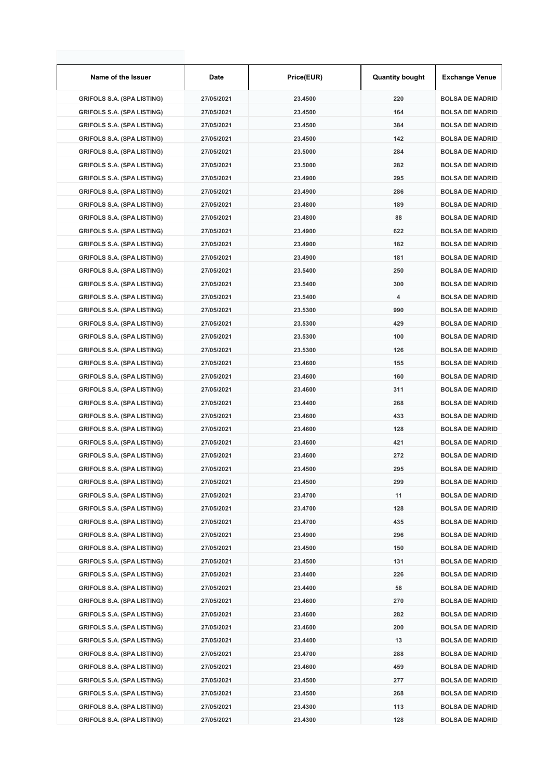| Name of the Issuer                | Date       | Price(EUR) | <b>Quantity bought</b> | <b>Exchange Venue</b>  |
|-----------------------------------|------------|------------|------------------------|------------------------|
| <b>GRIFOLS S.A. (SPA LISTING)</b> | 27/05/2021 | 23.4500    | 220                    | <b>BOLSA DE MADRID</b> |
| <b>GRIFOLS S.A. (SPA LISTING)</b> | 27/05/2021 | 23.4500    | 164                    | <b>BOLSA DE MADRID</b> |
| <b>GRIFOLS S.A. (SPA LISTING)</b> | 27/05/2021 | 23.4500    | 384                    | <b>BOLSA DE MADRID</b> |
| <b>GRIFOLS S.A. (SPA LISTING)</b> | 27/05/2021 | 23.4500    | 142                    | <b>BOLSA DE MADRID</b> |
| <b>GRIFOLS S.A. (SPA LISTING)</b> | 27/05/2021 | 23.5000    | 284                    | <b>BOLSA DE MADRID</b> |
| <b>GRIFOLS S.A. (SPA LISTING)</b> | 27/05/2021 | 23.5000    | 282                    | <b>BOLSA DE MADRID</b> |
| <b>GRIFOLS S.A. (SPA LISTING)</b> | 27/05/2021 | 23.4900    | 295                    | <b>BOLSA DE MADRID</b> |
| <b>GRIFOLS S.A. (SPA LISTING)</b> | 27/05/2021 | 23.4900    | 286                    | <b>BOLSA DE MADRID</b> |
| <b>GRIFOLS S.A. (SPA LISTING)</b> | 27/05/2021 | 23.4800    | 189                    | <b>BOLSA DE MADRID</b> |
| <b>GRIFOLS S.A. (SPA LISTING)</b> | 27/05/2021 | 23.4800    | 88                     | <b>BOLSA DE MADRID</b> |
| <b>GRIFOLS S.A. (SPA LISTING)</b> | 27/05/2021 | 23.4900    | 622                    | <b>BOLSA DE MADRID</b> |
| <b>GRIFOLS S.A. (SPA LISTING)</b> | 27/05/2021 | 23.4900    | 182                    | <b>BOLSA DE MADRID</b> |
| <b>GRIFOLS S.A. (SPA LISTING)</b> | 27/05/2021 | 23.4900    | 181                    | <b>BOLSA DE MADRID</b> |
| <b>GRIFOLS S.A. (SPA LISTING)</b> | 27/05/2021 | 23.5400    | 250                    | <b>BOLSA DE MADRID</b> |
| <b>GRIFOLS S.A. (SPA LISTING)</b> | 27/05/2021 | 23.5400    | 300                    | <b>BOLSA DE MADRID</b> |
| <b>GRIFOLS S.A. (SPA LISTING)</b> | 27/05/2021 | 23.5400    | 4                      | <b>BOLSA DE MADRID</b> |
| <b>GRIFOLS S.A. (SPA LISTING)</b> | 27/05/2021 | 23.5300    | 990                    | <b>BOLSA DE MADRID</b> |
| <b>GRIFOLS S.A. (SPA LISTING)</b> | 27/05/2021 | 23.5300    | 429                    | <b>BOLSA DE MADRID</b> |
| <b>GRIFOLS S.A. (SPA LISTING)</b> | 27/05/2021 | 23.5300    | 100                    | <b>BOLSA DE MADRID</b> |
| <b>GRIFOLS S.A. (SPA LISTING)</b> | 27/05/2021 | 23.5300    | 126                    | <b>BOLSA DE MADRID</b> |
| <b>GRIFOLS S.A. (SPA LISTING)</b> | 27/05/2021 | 23.4600    | 155                    | <b>BOLSA DE MADRID</b> |
|                                   |            | 23.4600    | 160                    | <b>BOLSA DE MADRID</b> |
| <b>GRIFOLS S.A. (SPA LISTING)</b> | 27/05/2021 |            |                        |                        |
| <b>GRIFOLS S.A. (SPA LISTING)</b> | 27/05/2021 | 23.4600    | 311                    | <b>BOLSA DE MADRID</b> |
| <b>GRIFOLS S.A. (SPA LISTING)</b> | 27/05/2021 | 23.4400    | 268                    | <b>BOLSA DE MADRID</b> |
| <b>GRIFOLS S.A. (SPA LISTING)</b> | 27/05/2021 | 23.4600    | 433                    | <b>BOLSA DE MADRID</b> |
| <b>GRIFOLS S.A. (SPA LISTING)</b> | 27/05/2021 | 23.4600    | 128                    | <b>BOLSA DE MADRID</b> |
| <b>GRIFOLS S.A. (SPA LISTING)</b> | 27/05/2021 | 23.4600    | 421                    | <b>BOLSA DE MADRID</b> |
| <b>GRIFOLS S.A. (SPA LISTING)</b> | 27/05/2021 | 23.4600    | 272                    | <b>BOLSA DE MADRID</b> |
| <b>GRIFOLS S.A. (SPA LISTING)</b> | 27/05/2021 | 23.4500    | 295                    | <b>BOLSA DE MADRID</b> |
| <b>GRIFOLS S.A. (SPA LISTING)</b> | 27/05/2021 | 23.4500    | 299                    | <b>BOLSA DE MADRID</b> |
| <b>GRIFOLS S.A. (SPA LISTING)</b> | 27/05/2021 | 23.4700    | 11                     | <b>BOLSA DE MADRID</b> |
| <b>GRIFOLS S.A. (SPA LISTING)</b> | 27/05/2021 | 23.4700    | 128                    | <b>BOLSA DE MADRID</b> |
| <b>GRIFOLS S.A. (SPA LISTING)</b> | 27/05/2021 | 23.4700    | 435                    | <b>BOLSA DE MADRID</b> |
| <b>GRIFOLS S.A. (SPA LISTING)</b> | 27/05/2021 | 23.4900    | 296                    | <b>BOLSA DE MADRID</b> |
| <b>GRIFOLS S.A. (SPA LISTING)</b> | 27/05/2021 | 23.4500    | 150                    | <b>BOLSA DE MADRID</b> |
| <b>GRIFOLS S.A. (SPA LISTING)</b> | 27/05/2021 | 23.4500    | 131                    | <b>BOLSA DE MADRID</b> |
| <b>GRIFOLS S.A. (SPA LISTING)</b> | 27/05/2021 | 23.4400    | 226                    | <b>BOLSA DE MADRID</b> |
| <b>GRIFOLS S.A. (SPA LISTING)</b> | 27/05/2021 | 23.4400    | 58                     | <b>BOLSA DE MADRID</b> |
| <b>GRIFOLS S.A. (SPA LISTING)</b> | 27/05/2021 | 23.4600    | 270                    | <b>BOLSA DE MADRID</b> |
| <b>GRIFOLS S.A. (SPA LISTING)</b> | 27/05/2021 | 23.4600    | 282                    | <b>BOLSA DE MADRID</b> |
| <b>GRIFOLS S.A. (SPA LISTING)</b> | 27/05/2021 | 23.4600    | 200                    | <b>BOLSA DE MADRID</b> |
| <b>GRIFOLS S.A. (SPA LISTING)</b> | 27/05/2021 | 23.4400    | 13                     | <b>BOLSA DE MADRID</b> |
| <b>GRIFOLS S.A. (SPA LISTING)</b> | 27/05/2021 | 23.4700    | 288                    | <b>BOLSA DE MADRID</b> |
| <b>GRIFOLS S.A. (SPA LISTING)</b> | 27/05/2021 | 23.4600    | 459                    | <b>BOLSA DE MADRID</b> |
| <b>GRIFOLS S.A. (SPA LISTING)</b> | 27/05/2021 | 23.4500    | 277                    | <b>BOLSA DE MADRID</b> |
| <b>GRIFOLS S.A. (SPA LISTING)</b> | 27/05/2021 | 23.4500    | 268                    | <b>BOLSA DE MADRID</b> |
| <b>GRIFOLS S.A. (SPA LISTING)</b> | 27/05/2021 | 23.4300    | 113                    | <b>BOLSA DE MADRID</b> |
| <b>GRIFOLS S.A. (SPA LISTING)</b> | 27/05/2021 | 23.4300    | 128                    | <b>BOLSA DE MADRID</b> |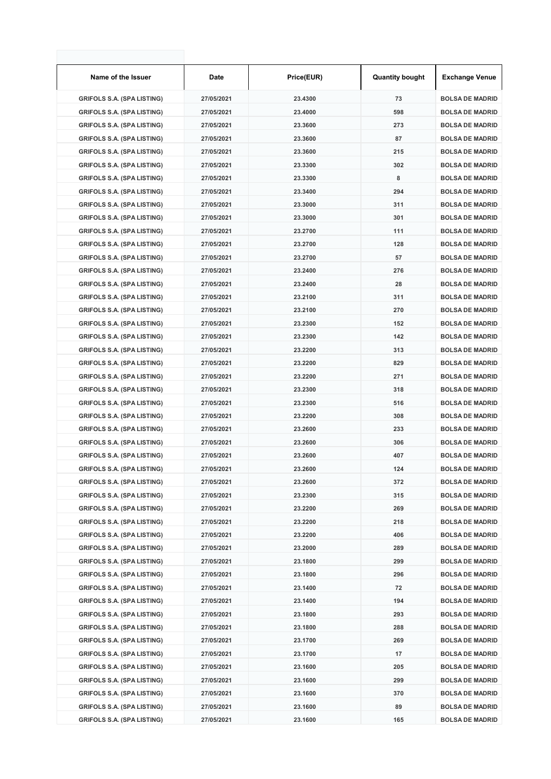| Name of the Issuer                | Date       | Price(EUR) | <b>Quantity bought</b> | <b>Exchange Venue</b>  |
|-----------------------------------|------------|------------|------------------------|------------------------|
| <b>GRIFOLS S.A. (SPA LISTING)</b> | 27/05/2021 | 23.4300    | 73                     | <b>BOLSA DE MADRID</b> |
| <b>GRIFOLS S.A. (SPA LISTING)</b> | 27/05/2021 | 23.4000    | 598                    | <b>BOLSA DE MADRID</b> |
| <b>GRIFOLS S.A. (SPA LISTING)</b> | 27/05/2021 | 23.3600    | 273                    | <b>BOLSA DE MADRID</b> |
| <b>GRIFOLS S.A. (SPA LISTING)</b> | 27/05/2021 | 23.3600    | 87                     | <b>BOLSA DE MADRID</b> |
| <b>GRIFOLS S.A. (SPA LISTING)</b> | 27/05/2021 | 23.3600    | 215                    | <b>BOLSA DE MADRID</b> |
| <b>GRIFOLS S.A. (SPA LISTING)</b> | 27/05/2021 | 23.3300    | 302                    | <b>BOLSA DE MADRID</b> |
| <b>GRIFOLS S.A. (SPA LISTING)</b> | 27/05/2021 | 23.3300    | 8                      | <b>BOLSA DE MADRID</b> |
| <b>GRIFOLS S.A. (SPA LISTING)</b> | 27/05/2021 | 23.3400    | 294                    | <b>BOLSA DE MADRID</b> |
| <b>GRIFOLS S.A. (SPA LISTING)</b> | 27/05/2021 | 23.3000    | 311                    | <b>BOLSA DE MADRID</b> |
| <b>GRIFOLS S.A. (SPA LISTING)</b> | 27/05/2021 | 23.3000    | 301                    | <b>BOLSA DE MADRID</b> |
| <b>GRIFOLS S.A. (SPA LISTING)</b> | 27/05/2021 | 23.2700    | 111                    | <b>BOLSA DE MADRID</b> |
| <b>GRIFOLS S.A. (SPA LISTING)</b> | 27/05/2021 | 23.2700    | 128                    | <b>BOLSA DE MADRID</b> |
| <b>GRIFOLS S.A. (SPA LISTING)</b> | 27/05/2021 | 23.2700    | 57                     | <b>BOLSA DE MADRID</b> |
| <b>GRIFOLS S.A. (SPA LISTING)</b> | 27/05/2021 | 23.2400    | 276                    | <b>BOLSA DE MADRID</b> |
| <b>GRIFOLS S.A. (SPA LISTING)</b> | 27/05/2021 | 23.2400    | 28                     | <b>BOLSA DE MADRID</b> |
| <b>GRIFOLS S.A. (SPA LISTING)</b> | 27/05/2021 | 23.2100    | 311                    | <b>BOLSA DE MADRID</b> |
| <b>GRIFOLS S.A. (SPA LISTING)</b> | 27/05/2021 | 23.2100    | 270                    | <b>BOLSA DE MADRID</b> |
| <b>GRIFOLS S.A. (SPA LISTING)</b> | 27/05/2021 | 23.2300    | 152                    | <b>BOLSA DE MADRID</b> |
| <b>GRIFOLS S.A. (SPA LISTING)</b> | 27/05/2021 | 23.2300    | 142                    | <b>BOLSA DE MADRID</b> |
| <b>GRIFOLS S.A. (SPA LISTING)</b> | 27/05/2021 | 23.2200    | 313                    | <b>BOLSA DE MADRID</b> |
| <b>GRIFOLS S.A. (SPA LISTING)</b> | 27/05/2021 | 23.2200    | 829                    | <b>BOLSA DE MADRID</b> |
| <b>GRIFOLS S.A. (SPA LISTING)</b> | 27/05/2021 | 23.2200    | 271                    | <b>BOLSA DE MADRID</b> |
| <b>GRIFOLS S.A. (SPA LISTING)</b> | 27/05/2021 | 23.2300    | 318                    | <b>BOLSA DE MADRID</b> |
| <b>GRIFOLS S.A. (SPA LISTING)</b> | 27/05/2021 | 23.2300    | 516                    | <b>BOLSA DE MADRID</b> |
| <b>GRIFOLS S.A. (SPA LISTING)</b> | 27/05/2021 | 23.2200    | 308                    | <b>BOLSA DE MADRID</b> |
| <b>GRIFOLS S.A. (SPA LISTING)</b> | 27/05/2021 | 23.2600    | 233                    | <b>BOLSA DE MADRID</b> |
| <b>GRIFOLS S.A. (SPA LISTING)</b> | 27/05/2021 | 23.2600    | 306                    | <b>BOLSA DE MADRID</b> |
| <b>GRIFOLS S.A. (SPA LISTING)</b> | 27/05/2021 | 23.2600    | 407                    | <b>BOLSA DE MADRID</b> |
| <b>GRIFOLS S.A. (SPA LISTING)</b> | 27/05/2021 | 23.2600    | 124                    | <b>BOLSA DE MADRID</b> |
| <b>GRIFOLS S.A. (SPA LISTING)</b> | 27/05/2021 | 23.2600    | 372                    | <b>BOLSA DE MADRID</b> |
| <b>GRIFOLS S.A. (SPA LISTING)</b> | 27/05/2021 | 23.2300    | 315                    | <b>BOLSA DE MADRID</b> |
| <b>GRIFOLS S.A. (SPA LISTING)</b> | 27/05/2021 | 23.2200    | 269                    | <b>BOLSA DE MADRID</b> |
| <b>GRIFOLS S.A. (SPA LISTING)</b> | 27/05/2021 | 23.2200    | 218                    | <b>BOLSA DE MADRID</b> |
| <b>GRIFOLS S.A. (SPA LISTING)</b> | 27/05/2021 | 23.2200    | 406                    | <b>BOLSA DE MADRID</b> |
| <b>GRIFOLS S.A. (SPA LISTING)</b> | 27/05/2021 | 23.2000    | 289                    | <b>BOLSA DE MADRID</b> |
| <b>GRIFOLS S.A. (SPA LISTING)</b> | 27/05/2021 | 23.1800    | 299                    | <b>BOLSA DE MADRID</b> |
| <b>GRIFOLS S.A. (SPA LISTING)</b> | 27/05/2021 | 23.1800    | 296                    | <b>BOLSA DE MADRID</b> |
| <b>GRIFOLS S.A. (SPA LISTING)</b> | 27/05/2021 | 23.1400    | 72                     | <b>BOLSA DE MADRID</b> |
| <b>GRIFOLS S.A. (SPA LISTING)</b> | 27/05/2021 | 23.1400    | 194                    | <b>BOLSA DE MADRID</b> |
| <b>GRIFOLS S.A. (SPA LISTING)</b> | 27/05/2021 | 23.1800    | 293                    | <b>BOLSA DE MADRID</b> |
| <b>GRIFOLS S.A. (SPA LISTING)</b> | 27/05/2021 | 23.1800    | 288                    | <b>BOLSA DE MADRID</b> |
| <b>GRIFOLS S.A. (SPA LISTING)</b> | 27/05/2021 | 23.1700    | 269                    | <b>BOLSA DE MADRID</b> |
| <b>GRIFOLS S.A. (SPA LISTING)</b> | 27/05/2021 | 23.1700    | 17                     | <b>BOLSA DE MADRID</b> |
| <b>GRIFOLS S.A. (SPA LISTING)</b> | 27/05/2021 | 23.1600    | 205                    | <b>BOLSA DE MADRID</b> |
| <b>GRIFOLS S.A. (SPA LISTING)</b> | 27/05/2021 | 23.1600    | 299                    | <b>BOLSA DE MADRID</b> |
| <b>GRIFOLS S.A. (SPA LISTING)</b> | 27/05/2021 | 23.1600    | 370                    | <b>BOLSA DE MADRID</b> |
| <b>GRIFOLS S.A. (SPA LISTING)</b> | 27/05/2021 | 23.1600    | 89                     | <b>BOLSA DE MADRID</b> |
| <b>GRIFOLS S.A. (SPA LISTING)</b> | 27/05/2021 | 23.1600    | 165                    | <b>BOLSA DE MADRID</b> |
|                                   |            |            |                        |                        |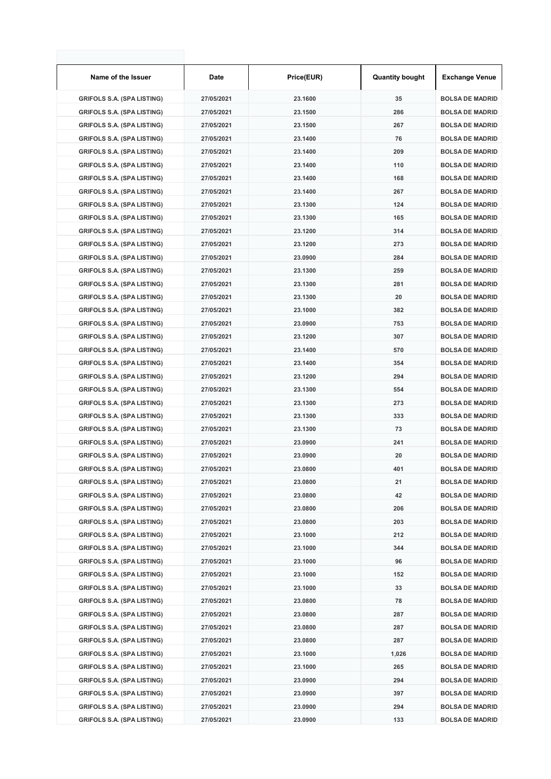| Name of the Issuer                | Date       | Price(EUR) | <b>Quantity bought</b> | <b>Exchange Venue</b>  |
|-----------------------------------|------------|------------|------------------------|------------------------|
| <b>GRIFOLS S.A. (SPA LISTING)</b> | 27/05/2021 | 23.1600    | 35                     | <b>BOLSA DE MADRID</b> |
| <b>GRIFOLS S.A. (SPA LISTING)</b> | 27/05/2021 | 23.1500    | 286                    | <b>BOLSA DE MADRID</b> |
| <b>GRIFOLS S.A. (SPA LISTING)</b> | 27/05/2021 | 23.1500    | 267                    | <b>BOLSA DE MADRID</b> |
| <b>GRIFOLS S.A. (SPA LISTING)</b> | 27/05/2021 | 23.1400    | 76                     | <b>BOLSA DE MADRID</b> |
| <b>GRIFOLS S.A. (SPA LISTING)</b> | 27/05/2021 | 23.1400    | 209                    | <b>BOLSA DE MADRID</b> |
| <b>GRIFOLS S.A. (SPA LISTING)</b> | 27/05/2021 | 23.1400    | 110                    | <b>BOLSA DE MADRID</b> |
| <b>GRIFOLS S.A. (SPA LISTING)</b> | 27/05/2021 | 23.1400    | 168                    | <b>BOLSA DE MADRID</b> |
| <b>GRIFOLS S.A. (SPA LISTING)</b> | 27/05/2021 | 23.1400    | 267                    | <b>BOLSA DE MADRID</b> |
| <b>GRIFOLS S.A. (SPA LISTING)</b> | 27/05/2021 | 23.1300    | 124                    | <b>BOLSA DE MADRID</b> |
| <b>GRIFOLS S.A. (SPA LISTING)</b> | 27/05/2021 | 23.1300    | 165                    | <b>BOLSA DE MADRID</b> |
| <b>GRIFOLS S.A. (SPA LISTING)</b> | 27/05/2021 | 23.1200    | 314                    | <b>BOLSA DE MADRID</b> |
| <b>GRIFOLS S.A. (SPA LISTING)</b> | 27/05/2021 | 23.1200    | 273                    | <b>BOLSA DE MADRID</b> |
| <b>GRIFOLS S.A. (SPA LISTING)</b> | 27/05/2021 | 23.0900    | 284                    | <b>BOLSA DE MADRID</b> |
| <b>GRIFOLS S.A. (SPA LISTING)</b> | 27/05/2021 | 23.1300    | 259                    | <b>BOLSA DE MADRID</b> |
| <b>GRIFOLS S.A. (SPA LISTING)</b> | 27/05/2021 | 23.1300    | 281                    | <b>BOLSA DE MADRID</b> |
| <b>GRIFOLS S.A. (SPA LISTING)</b> | 27/05/2021 | 23.1300    | 20                     | <b>BOLSA DE MADRID</b> |
| <b>GRIFOLS S.A. (SPA LISTING)</b> | 27/05/2021 | 23.1000    | 382                    | <b>BOLSA DE MADRID</b> |
| <b>GRIFOLS S.A. (SPA LISTING)</b> | 27/05/2021 | 23.0900    | 753                    | <b>BOLSA DE MADRID</b> |
| <b>GRIFOLS S.A. (SPA LISTING)</b> | 27/05/2021 | 23.1200    | 307                    | <b>BOLSA DE MADRID</b> |
| <b>GRIFOLS S.A. (SPA LISTING)</b> | 27/05/2021 | 23.1400    | 570                    | <b>BOLSA DE MADRID</b> |
| <b>GRIFOLS S.A. (SPA LISTING)</b> | 27/05/2021 | 23.1400    | 354                    | <b>BOLSA DE MADRID</b> |
| <b>GRIFOLS S.A. (SPA LISTING)</b> | 27/05/2021 | 23.1200    | 294                    | <b>BOLSA DE MADRID</b> |
| <b>GRIFOLS S.A. (SPA LISTING)</b> | 27/05/2021 | 23.1300    | 554                    | <b>BOLSA DE MADRID</b> |
| <b>GRIFOLS S.A. (SPA LISTING)</b> | 27/05/2021 | 23.1300    | 273                    | <b>BOLSA DE MADRID</b> |
| <b>GRIFOLS S.A. (SPA LISTING)</b> | 27/05/2021 | 23.1300    | 333                    | <b>BOLSA DE MADRID</b> |
| <b>GRIFOLS S.A. (SPA LISTING)</b> | 27/05/2021 | 23.1300    | 73                     | <b>BOLSA DE MADRID</b> |
| <b>GRIFOLS S.A. (SPA LISTING)</b> | 27/05/2021 | 23.0900    | 241                    | <b>BOLSA DE MADRID</b> |
| <b>GRIFOLS S.A. (SPA LISTING)</b> | 27/05/2021 | 23.0900    | 20                     | <b>BOLSA DE MADRID</b> |
| <b>GRIFOLS S.A. (SPA LISTING)</b> | 27/05/2021 | 23.0800    | 401                    | <b>BOLSA DE MADRID</b> |
| <b>GRIFOLS S.A. (SPA LISTING)</b> | 27/05/2021 | 23.0800    | 21                     | <b>BOLSA DE MADRID</b> |
| <b>GRIFOLS S.A. (SPA LISTING)</b> | 27/05/2021 | 23.0800    | 42                     | <b>BOLSA DE MADRID</b> |
| <b>GRIFOLS S.A. (SPA LISTING)</b> | 27/05/2021 | 23.0800    | 206                    | <b>BOLSA DE MADRID</b> |
| <b>GRIFOLS S.A. (SPA LISTING)</b> | 27/05/2021 | 23.0800    | 203                    | <b>BOLSA DE MADRID</b> |
| <b>GRIFOLS S.A. (SPA LISTING)</b> | 27/05/2021 | 23.1000    | 212                    | <b>BOLSA DE MADRID</b> |
| <b>GRIFOLS S.A. (SPA LISTING)</b> | 27/05/2021 | 23.1000    | 344                    | <b>BOLSA DE MADRID</b> |
| <b>GRIFOLS S.A. (SPA LISTING)</b> | 27/05/2021 | 23.1000    | 96                     | <b>BOLSA DE MADRID</b> |
| <b>GRIFOLS S.A. (SPA LISTING)</b> | 27/05/2021 | 23.1000    | 152                    | <b>BOLSA DE MADRID</b> |
| <b>GRIFOLS S.A. (SPA LISTING)</b> | 27/05/2021 | 23.1000    | 33                     | <b>BOLSA DE MADRID</b> |
| <b>GRIFOLS S.A. (SPA LISTING)</b> | 27/05/2021 | 23.0800    | 78                     | <b>BOLSA DE MADRID</b> |
| <b>GRIFOLS S.A. (SPA LISTING)</b> | 27/05/2021 | 23.0800    | 287                    | <b>BOLSA DE MADRID</b> |
| <b>GRIFOLS S.A. (SPA LISTING)</b> | 27/05/2021 | 23.0800    | 287                    | <b>BOLSA DE MADRID</b> |
| <b>GRIFOLS S.A. (SPA LISTING)</b> | 27/05/2021 | 23.0800    | 287                    | <b>BOLSA DE MADRID</b> |
| <b>GRIFOLS S.A. (SPA LISTING)</b> | 27/05/2021 | 23.1000    | 1,026                  | <b>BOLSA DE MADRID</b> |
| <b>GRIFOLS S.A. (SPA LISTING)</b> | 27/05/2021 | 23.1000    | 265                    | <b>BOLSA DE MADRID</b> |
| <b>GRIFOLS S.A. (SPA LISTING)</b> | 27/05/2021 | 23.0900    | 294                    | <b>BOLSA DE MADRID</b> |
| <b>GRIFOLS S.A. (SPA LISTING)</b> | 27/05/2021 | 23.0900    | 397                    | <b>BOLSA DE MADRID</b> |
| <b>GRIFOLS S.A. (SPA LISTING)</b> | 27/05/2021 | 23.0900    | 294                    | <b>BOLSA DE MADRID</b> |
| <b>GRIFOLS S.A. (SPA LISTING)</b> | 27/05/2021 | 23.0900    | 133                    | <b>BOLSA DE MADRID</b> |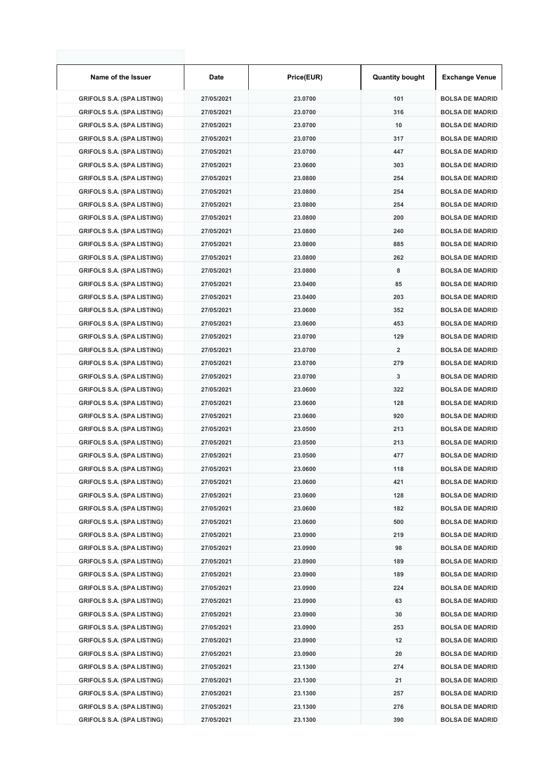| Name of the Issuer                | Date       | Price(EUR) | <b>Quantity bought</b> | <b>Exchange Venue</b>  |
|-----------------------------------|------------|------------|------------------------|------------------------|
| <b>GRIFOLS S.A. (SPA LISTING)</b> | 27/05/2021 | 23.0700    | 101                    | <b>BOLSA DE MADRID</b> |
| <b>GRIFOLS S.A. (SPA LISTING)</b> | 27/05/2021 | 23.0700    | 316                    | <b>BOLSA DE MADRID</b> |
| <b>GRIFOLS S.A. (SPA LISTING)</b> | 27/05/2021 | 23.0700    | 10                     | <b>BOLSA DE MADRID</b> |
| <b>GRIFOLS S.A. (SPA LISTING)</b> | 27/05/2021 | 23.0700    | 317                    | <b>BOLSA DE MADRID</b> |
| <b>GRIFOLS S.A. (SPA LISTING)</b> | 27/05/2021 | 23.0700    | 447                    | <b>BOLSA DE MADRID</b> |
| <b>GRIFOLS S.A. (SPA LISTING)</b> | 27/05/2021 | 23.0600    | 303                    | <b>BOLSA DE MADRID</b> |
| <b>GRIFOLS S.A. (SPA LISTING)</b> | 27/05/2021 | 23.0800    | 254                    | <b>BOLSA DE MADRID</b> |
| <b>GRIFOLS S.A. (SPA LISTING)</b> | 27/05/2021 | 23.0800    | 254                    | <b>BOLSA DE MADRID</b> |
| <b>GRIFOLS S.A. (SPA LISTING)</b> | 27/05/2021 | 23.0800    | 254                    | <b>BOLSA DE MADRID</b> |
| <b>GRIFOLS S.A. (SPA LISTING)</b> | 27/05/2021 | 23.0800    | 200                    | <b>BOLSA DE MADRID</b> |
| <b>GRIFOLS S.A. (SPA LISTING)</b> | 27/05/2021 | 23.0800    | 240                    | <b>BOLSA DE MADRID</b> |
| <b>GRIFOLS S.A. (SPA LISTING)</b> | 27/05/2021 | 23.0800    | 885                    | <b>BOLSA DE MADRID</b> |
| <b>GRIFOLS S.A. (SPA LISTING)</b> | 27/05/2021 | 23.0800    | 262                    | <b>BOLSA DE MADRID</b> |
| <b>GRIFOLS S.A. (SPA LISTING)</b> | 27/05/2021 | 23.0800    | 8                      | <b>BOLSA DE MADRID</b> |
| <b>GRIFOLS S.A. (SPA LISTING)</b> | 27/05/2021 | 23.0400    | 85                     | <b>BOLSA DE MADRID</b> |
| <b>GRIFOLS S.A. (SPA LISTING)</b> | 27/05/2021 | 23.0400    | 203                    | <b>BOLSA DE MADRID</b> |
| <b>GRIFOLS S.A. (SPA LISTING)</b> | 27/05/2021 | 23.0600    | 352                    | <b>BOLSA DE MADRID</b> |
| <b>GRIFOLS S.A. (SPA LISTING)</b> | 27/05/2021 | 23.0600    | 453                    | <b>BOLSA DE MADRID</b> |
| <b>GRIFOLS S.A. (SPA LISTING)</b> | 27/05/2021 | 23.0700    | 129                    | <b>BOLSA DE MADRID</b> |
| <b>GRIFOLS S.A. (SPA LISTING)</b> | 27/05/2021 | 23.0700    | 2                      | <b>BOLSA DE MADRID</b> |
| <b>GRIFOLS S.A. (SPA LISTING)</b> | 27/05/2021 | 23.0700    | 279                    | <b>BOLSA DE MADRID</b> |
| <b>GRIFOLS S.A. (SPA LISTING)</b> | 27/05/2021 | 23.0700    | 3                      | <b>BOLSA DE MADRID</b> |
| <b>GRIFOLS S.A. (SPA LISTING)</b> | 27/05/2021 | 23.0600    | 322                    | <b>BOLSA DE MADRID</b> |
| <b>GRIFOLS S.A. (SPA LISTING)</b> | 27/05/2021 | 23.0600    | 128                    | <b>BOLSA DE MADRID</b> |
| <b>GRIFOLS S.A. (SPA LISTING)</b> | 27/05/2021 | 23.0600    | 920                    | <b>BOLSA DE MADRID</b> |
| <b>GRIFOLS S.A. (SPA LISTING)</b> | 27/05/2021 | 23.0500    | 213                    | <b>BOLSA DE MADRID</b> |
| <b>GRIFOLS S.A. (SPA LISTING)</b> | 27/05/2021 | 23.0500    | 213                    | <b>BOLSA DE MADRID</b> |
| <b>GRIFOLS S.A. (SPA LISTING)</b> | 27/05/2021 | 23.0500    | 477                    | <b>BOLSA DE MADRID</b> |
| <b>GRIFOLS S.A. (SPA LISTING)</b> | 27/05/2021 | 23.0600    | 118                    | <b>BOLSA DE MADRID</b> |
| <b>GRIFOLS S.A. (SPA LISTING)</b> | 27/05/2021 | 23.0600    | 421                    | <b>BOLSA DE MADRID</b> |
| <b>GRIFOLS S.A. (SPA LISTING)</b> | 27/05/2021 | 23.0600    | 128                    | <b>BOLSA DE MADRID</b> |
| <b>GRIFOLS S.A. (SPA LISTING)</b> | 27/05/2021 | 23.0600    | 182                    | <b>BOLSA DE MADRID</b> |
| <b>GRIFOLS S.A. (SPA LISTING)</b> | 27/05/2021 | 23.0600    | 500                    | <b>BOLSA DE MADRID</b> |
| <b>GRIFOLS S.A. (SPA LISTING)</b> | 27/05/2021 | 23.0900    | 219                    | <b>BOLSA DE MADRID</b> |
| <b>GRIFOLS S.A. (SPA LISTING)</b> | 27/05/2021 | 23.0900    | 98                     | <b>BOLSA DE MADRID</b> |
| <b>GRIFOLS S.A. (SPA LISTING)</b> | 27/05/2021 | 23.0900    | 189                    | <b>BOLSA DE MADRID</b> |
| <b>GRIFOLS S.A. (SPA LISTING)</b> | 27/05/2021 | 23.0900    | 189                    | <b>BOLSA DE MADRID</b> |
| <b>GRIFOLS S.A. (SPA LISTING)</b> | 27/05/2021 | 23.0900    | 224                    | <b>BOLSA DE MADRID</b> |
| <b>GRIFOLS S.A. (SPA LISTING)</b> | 27/05/2021 | 23.0900    | 63                     | <b>BOLSA DE MADRID</b> |
| <b>GRIFOLS S.A. (SPA LISTING)</b> | 27/05/2021 | 23.0900    | 30                     | <b>BOLSA DE MADRID</b> |
| <b>GRIFOLS S.A. (SPA LISTING)</b> | 27/05/2021 | 23.0900    | 253                    | <b>BOLSA DE MADRID</b> |
| <b>GRIFOLS S.A. (SPA LISTING)</b> | 27/05/2021 | 23.0900    | 12                     | <b>BOLSA DE MADRID</b> |
| <b>GRIFOLS S.A. (SPA LISTING)</b> | 27/05/2021 | 23.0900    | 20                     | <b>BOLSA DE MADRID</b> |
| <b>GRIFOLS S.A. (SPA LISTING)</b> | 27/05/2021 | 23.1300    | 274                    | <b>BOLSA DE MADRID</b> |
| <b>GRIFOLS S.A. (SPA LISTING)</b> | 27/05/2021 | 23.1300    | 21                     | <b>BOLSA DE MADRID</b> |
| <b>GRIFOLS S.A. (SPA LISTING)</b> | 27/05/2021 | 23.1300    | 257                    | <b>BOLSA DE MADRID</b> |
| <b>GRIFOLS S.A. (SPA LISTING)</b> | 27/05/2021 | 23.1300    | 276                    | <b>BOLSA DE MADRID</b> |
| <b>GRIFOLS S.A. (SPA LISTING)</b> | 27/05/2021 | 23.1300    | 390                    | <b>BOLSA DE MADRID</b> |
|                                   |            |            |                        |                        |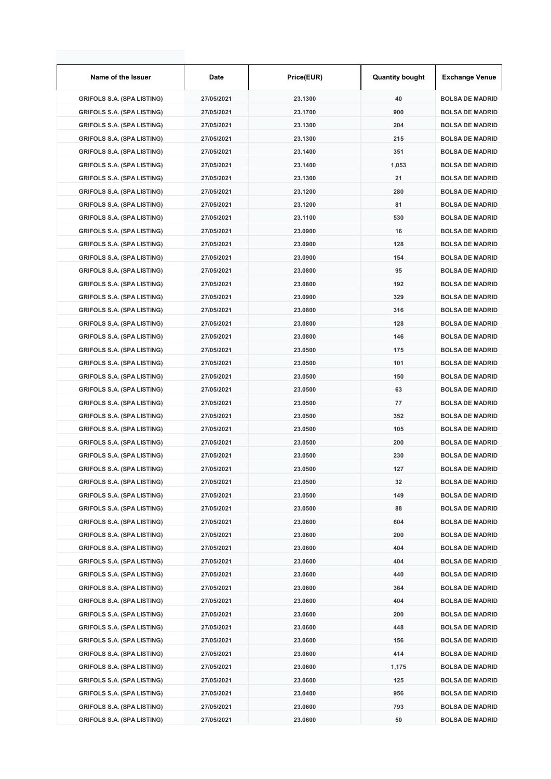| Name of the Issuer                                                     | Date                     | Price(EUR) | <b>Quantity bought</b> | <b>Exchange Venue</b>  |
|------------------------------------------------------------------------|--------------------------|------------|------------------------|------------------------|
| <b>GRIFOLS S.A. (SPA LISTING)</b>                                      | 27/05/2021               | 23.1300    | 40                     | <b>BOLSA DE MADRID</b> |
| <b>GRIFOLS S.A. (SPA LISTING)</b>                                      | 27/05/2021               | 23.1700    | 900                    | <b>BOLSA DE MADRID</b> |
| <b>GRIFOLS S.A. (SPA LISTING)</b>                                      | 27/05/2021               | 23.1300    | 204                    | <b>BOLSA DE MADRID</b> |
| <b>GRIFOLS S.A. (SPA LISTING)</b>                                      | 27/05/2021               | 23.1300    | 215                    | <b>BOLSA DE MADRID</b> |
| <b>GRIFOLS S.A. (SPA LISTING)</b>                                      | 27/05/2021               | 23.1400    | 351                    | <b>BOLSA DE MADRID</b> |
| <b>GRIFOLS S.A. (SPA LISTING)</b>                                      | 27/05/2021               | 23.1400    | 1,053                  | <b>BOLSA DE MADRID</b> |
| <b>GRIFOLS S.A. (SPA LISTING)</b>                                      | 27/05/2021               | 23.1300    | 21                     | <b>BOLSA DE MADRID</b> |
| <b>GRIFOLS S.A. (SPA LISTING)</b>                                      | 27/05/2021               | 23.1200    | 280                    | <b>BOLSA DE MADRID</b> |
| <b>GRIFOLS S.A. (SPA LISTING)</b>                                      | 27/05/2021               | 23.1200    | 81                     | <b>BOLSA DE MADRID</b> |
| <b>GRIFOLS S.A. (SPA LISTING)</b>                                      | 27/05/2021               | 23.1100    | 530                    | <b>BOLSA DE MADRID</b> |
| <b>GRIFOLS S.A. (SPA LISTING)</b>                                      | 27/05/2021               | 23.0900    | 16                     | <b>BOLSA DE MADRID</b> |
| <b>GRIFOLS S.A. (SPA LISTING)</b>                                      | 27/05/2021               | 23.0900    | 128                    | <b>BOLSA DE MADRID</b> |
| <b>GRIFOLS S.A. (SPA LISTING)</b>                                      | 27/05/2021               | 23.0900    | 154                    | <b>BOLSA DE MADRID</b> |
| <b>GRIFOLS S.A. (SPA LISTING)</b>                                      | 27/05/2021               | 23.0800    | 95                     | <b>BOLSA DE MADRID</b> |
| <b>GRIFOLS S.A. (SPA LISTING)</b>                                      | 27/05/2021               | 23.0800    | 192                    | <b>BOLSA DE MADRID</b> |
| <b>GRIFOLS S.A. (SPA LISTING)</b>                                      | 27/05/2021               | 23.0900    | 329                    | <b>BOLSA DE MADRID</b> |
| <b>GRIFOLS S.A. (SPA LISTING)</b>                                      | 27/05/2021               | 23.0800    | 316                    | <b>BOLSA DE MADRID</b> |
| <b>GRIFOLS S.A. (SPA LISTING)</b>                                      | 27/05/2021               | 23.0800    | 128                    | <b>BOLSA DE MADRID</b> |
| <b>GRIFOLS S.A. (SPA LISTING)</b>                                      | 27/05/2021               | 23.0800    | 146                    | <b>BOLSA DE MADRID</b> |
| <b>GRIFOLS S.A. (SPA LISTING)</b>                                      | 27/05/2021               | 23.0500    | 175                    | <b>BOLSA DE MADRID</b> |
| <b>GRIFOLS S.A. (SPA LISTING)</b>                                      | 27/05/2021               | 23.0500    | 101                    | <b>BOLSA DE MADRID</b> |
| <b>GRIFOLS S.A. (SPA LISTING)</b>                                      | 27/05/2021               | 23.0500    | 150                    | <b>BOLSA DE MADRID</b> |
| <b>GRIFOLS S.A. (SPA LISTING)</b>                                      | 27/05/2021               | 23.0500    | 63                     | <b>BOLSA DE MADRID</b> |
| <b>GRIFOLS S.A. (SPA LISTING)</b>                                      | 27/05/2021               | 23.0500    | 77                     | <b>BOLSA DE MADRID</b> |
| <b>GRIFOLS S.A. (SPA LISTING)</b>                                      | 27/05/2021               | 23.0500    | 352                    | <b>BOLSA DE MADRID</b> |
| <b>GRIFOLS S.A. (SPA LISTING)</b>                                      | 27/05/2021               | 23.0500    | 105                    | <b>BOLSA DE MADRID</b> |
| <b>GRIFOLS S.A. (SPA LISTING)</b>                                      | 27/05/2021               | 23.0500    | 200                    | <b>BOLSA DE MADRID</b> |
| <b>GRIFOLS S.A. (SPA LISTING)</b>                                      | 27/05/2021               | 23.0500    | 230                    | <b>BOLSA DE MADRID</b> |
| <b>GRIFOLS S.A. (SPA LISTING)</b>                                      | 27/05/2021               | 23.0500    | 127                    | <b>BOLSA DE MADRID</b> |
| <b>GRIFOLS S.A. (SPA LISTING)</b>                                      | 27/05/2021               | 23.0500    | 32                     | <b>BOLSA DE MADRID</b> |
| <b>GRIFOLS S.A. (SPA LISTING)</b>                                      | 27/05/2021               | 23.0500    | 149                    | <b>BOLSA DE MADRID</b> |
|                                                                        |                          |            | 88                     |                        |
| <b>GRIFOLS S.A. (SPA LISTING)</b><br><b>GRIFOLS S.A. (SPA LISTING)</b> | 27/05/2021               | 23.0500    | 604                    | <b>BOLSA DE MADRID</b> |
|                                                                        | 27/05/2021<br>27/05/2021 | 23.0600    |                        | <b>BOLSA DE MADRID</b> |
| <b>GRIFOLS S.A. (SPA LISTING)</b>                                      |                          | 23.0600    | 200                    | <b>BOLSA DE MADRID</b> |
| <b>GRIFOLS S.A. (SPA LISTING)</b>                                      | 27/05/2021               | 23.0600    | 404                    | <b>BOLSA DE MADRID</b> |
| <b>GRIFOLS S.A. (SPA LISTING)</b>                                      | 27/05/2021               | 23.0600    | 404                    | <b>BOLSA DE MADRID</b> |
| <b>GRIFOLS S.A. (SPA LISTING)</b>                                      | 27/05/2021               | 23.0600    | 440                    | <b>BOLSA DE MADRID</b> |
| <b>GRIFOLS S.A. (SPA LISTING)</b>                                      | 27/05/2021               | 23.0600    | 364                    | <b>BOLSA DE MADRID</b> |
| <b>GRIFOLS S.A. (SPA LISTING)</b>                                      | 27/05/2021               | 23.0600    | 404                    | <b>BOLSA DE MADRID</b> |
| <b>GRIFOLS S.A. (SPA LISTING)</b>                                      | 27/05/2021               | 23.0600    | 200                    | <b>BOLSA DE MADRID</b> |
| <b>GRIFOLS S.A. (SPA LISTING)</b>                                      | 27/05/2021               | 23.0600    | 448                    | <b>BOLSA DE MADRID</b> |
| <b>GRIFOLS S.A. (SPA LISTING)</b>                                      | 27/05/2021               | 23.0600    | 156                    | <b>BOLSA DE MADRID</b> |
| <b>GRIFOLS S.A. (SPA LISTING)</b>                                      | 27/05/2021               | 23.0600    | 414                    | <b>BOLSA DE MADRID</b> |
| <b>GRIFOLS S.A. (SPA LISTING)</b>                                      | 27/05/2021               | 23.0600    | 1,175                  | <b>BOLSA DE MADRID</b> |
| <b>GRIFOLS S.A. (SPA LISTING)</b>                                      | 27/05/2021               | 23.0600    | 125                    | <b>BOLSA DE MADRID</b> |
| <b>GRIFOLS S.A. (SPA LISTING)</b>                                      | 27/05/2021               | 23.0400    | 956                    | <b>BOLSA DE MADRID</b> |
| <b>GRIFOLS S.A. (SPA LISTING)</b>                                      | 27/05/2021               | 23.0600    | 793                    | <b>BOLSA DE MADRID</b> |
| <b>GRIFOLS S.A. (SPA LISTING)</b>                                      | 27/05/2021               | 23.0600    | 50                     | <b>BOLSA DE MADRID</b> |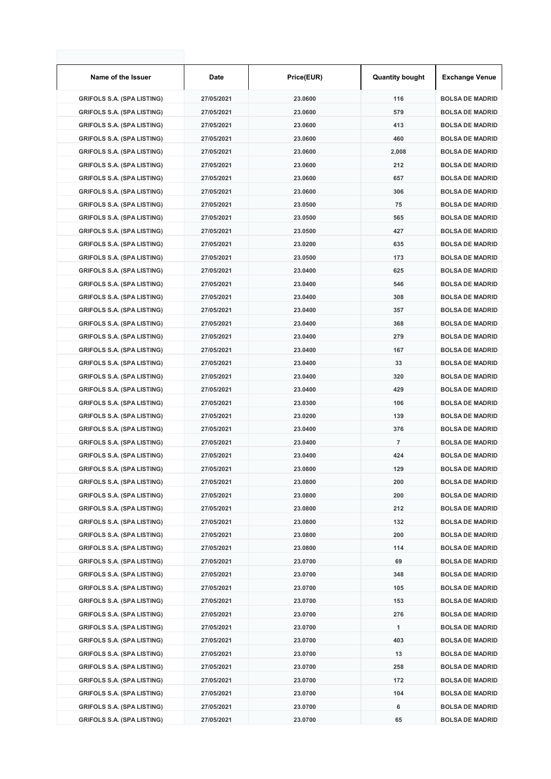| Name of the Issuer                | Date       | Price(EUR) | <b>Quantity bought</b> | <b>Exchange Venue</b>  |
|-----------------------------------|------------|------------|------------------------|------------------------|
| <b>GRIFOLS S.A. (SPA LISTING)</b> | 27/05/2021 | 23.0600    | 116                    | <b>BOLSA DE MADRID</b> |
| <b>GRIFOLS S.A. (SPA LISTING)</b> | 27/05/2021 | 23.0600    | 579                    | <b>BOLSA DE MADRID</b> |
| <b>GRIFOLS S.A. (SPA LISTING)</b> | 27/05/2021 | 23.0600    | 413                    | <b>BOLSA DE MADRID</b> |
| <b>GRIFOLS S.A. (SPA LISTING)</b> | 27/05/2021 | 23.0600    | 460                    | <b>BOLSA DE MADRID</b> |
| <b>GRIFOLS S.A. (SPA LISTING)</b> | 27/05/2021 | 23.0600    | 2,008                  | <b>BOLSA DE MADRID</b> |
| <b>GRIFOLS S.A. (SPA LISTING)</b> | 27/05/2021 | 23.0600    | 212                    | <b>BOLSA DE MADRID</b> |
| <b>GRIFOLS S.A. (SPA LISTING)</b> | 27/05/2021 | 23.0600    | 657                    | <b>BOLSA DE MADRID</b> |
| <b>GRIFOLS S.A. (SPA LISTING)</b> | 27/05/2021 | 23.0600    | 306                    | <b>BOLSA DE MADRID</b> |
| <b>GRIFOLS S.A. (SPA LISTING)</b> | 27/05/2021 | 23.0500    | 75                     | <b>BOLSA DE MADRID</b> |
| <b>GRIFOLS S.A. (SPA LISTING)</b> | 27/05/2021 | 23.0500    | 565                    | <b>BOLSA DE MADRID</b> |
| <b>GRIFOLS S.A. (SPA LISTING)</b> | 27/05/2021 | 23.0500    | 427                    | <b>BOLSA DE MADRID</b> |
| <b>GRIFOLS S.A. (SPA LISTING)</b> | 27/05/2021 | 23.0200    | 635                    | <b>BOLSA DE MADRID</b> |
| <b>GRIFOLS S.A. (SPA LISTING)</b> | 27/05/2021 | 23.0500    | 173                    | <b>BOLSA DE MADRID</b> |
| <b>GRIFOLS S.A. (SPA LISTING)</b> | 27/05/2021 | 23.0400    | 625                    | <b>BOLSA DE MADRID</b> |
| <b>GRIFOLS S.A. (SPA LISTING)</b> | 27/05/2021 | 23.0400    | 546                    | <b>BOLSA DE MADRID</b> |
| <b>GRIFOLS S.A. (SPA LISTING)</b> | 27/05/2021 | 23.0400    | 308                    | <b>BOLSA DE MADRID</b> |
| <b>GRIFOLS S.A. (SPA LISTING)</b> | 27/05/2021 | 23.0400    | 357                    | <b>BOLSA DE MADRID</b> |
| <b>GRIFOLS S.A. (SPA LISTING)</b> | 27/05/2021 | 23.0400    | 368                    | <b>BOLSA DE MADRID</b> |
| <b>GRIFOLS S.A. (SPA LISTING)</b> | 27/05/2021 | 23.0400    | 279                    | <b>BOLSA DE MADRID</b> |
| <b>GRIFOLS S.A. (SPA LISTING)</b> | 27/05/2021 | 23.0400    | 167                    | <b>BOLSA DE MADRID</b> |
| <b>GRIFOLS S.A. (SPA LISTING)</b> | 27/05/2021 | 23.0400    | 33                     | <b>BOLSA DE MADRID</b> |
| <b>GRIFOLS S.A. (SPA LISTING)</b> | 27/05/2021 | 23.0400    | 320                    | <b>BOLSA DE MADRID</b> |
| <b>GRIFOLS S.A. (SPA LISTING)</b> | 27/05/2021 | 23.0400    | 429                    | <b>BOLSA DE MADRID</b> |
| <b>GRIFOLS S.A. (SPA LISTING)</b> | 27/05/2021 | 23.0300    | 106                    | <b>BOLSA DE MADRID</b> |
| <b>GRIFOLS S.A. (SPA LISTING)</b> | 27/05/2021 | 23.0200    | 139                    | <b>BOLSA DE MADRID</b> |
| <b>GRIFOLS S.A. (SPA LISTING)</b> | 27/05/2021 | 23.0400    | 376                    | <b>BOLSA DE MADRID</b> |
| <b>GRIFOLS S.A. (SPA LISTING)</b> | 27/05/2021 | 23.0400    | 7                      | <b>BOLSA DE MADRID</b> |
| <b>GRIFOLS S.A. (SPA LISTING)</b> | 27/05/2021 | 23.0400    | 424                    | <b>BOLSA DE MADRID</b> |
| <b>GRIFOLS S.A. (SPA LISTING)</b> | 27/05/2021 | 23.0800    | 129                    | <b>BOLSA DE MADRID</b> |
| <b>GRIFOLS S.A. (SPA LISTING)</b> | 27/05/2021 | 23.0800    | 200                    | <b>BOLSA DE MADRID</b> |
| <b>GRIFOLS S.A. (SPA LISTING)</b> | 27/05/2021 | 23.0800    | 200                    | <b>BOLSA DE MADRID</b> |
| <b>GRIFOLS S.A. (SPA LISTING)</b> | 27/05/2021 | 23.0800    | 212                    | <b>BOLSA DE MADRID</b> |
| <b>GRIFOLS S.A. (SPA LISTING)</b> | 27/05/2021 | 23.0800    | 132                    | <b>BOLSA DE MADRID</b> |
| <b>GRIFOLS S.A. (SPA LISTING)</b> | 27/05/2021 | 23.0800    | 200                    | <b>BOLSA DE MADRID</b> |
| <b>GRIFOLS S.A. (SPA LISTING)</b> | 27/05/2021 | 23.0800    | 114                    | <b>BOLSA DE MADRID</b> |
| <b>GRIFOLS S.A. (SPA LISTING)</b> | 27/05/2021 | 23.0700    | 69                     | <b>BOLSA DE MADRID</b> |
| <b>GRIFOLS S.A. (SPA LISTING)</b> | 27/05/2021 | 23.0700    | 348                    | <b>BOLSA DE MADRID</b> |
| <b>GRIFOLS S.A. (SPA LISTING)</b> | 27/05/2021 | 23.0700    | 105                    | <b>BOLSA DE MADRID</b> |
| <b>GRIFOLS S.A. (SPA LISTING)</b> | 27/05/2021 | 23.0700    | 153                    | <b>BOLSA DE MADRID</b> |
| <b>GRIFOLS S.A. (SPA LISTING)</b> | 27/05/2021 | 23.0700    | 276                    | <b>BOLSA DE MADRID</b> |
|                                   |            |            |                        |                        |
| <b>GRIFOLS S.A. (SPA LISTING)</b> | 27/05/2021 | 23.0700    | 1                      | <b>BOLSA DE MADRID</b> |
| <b>GRIFOLS S.A. (SPA LISTING)</b> | 27/05/2021 | 23.0700    | 403                    | <b>BOLSA DE MADRID</b> |
| <b>GRIFOLS S.A. (SPA LISTING)</b> | 27/05/2021 | 23.0700    | 13                     | <b>BOLSA DE MADRID</b> |
| <b>GRIFOLS S.A. (SPA LISTING)</b> | 27/05/2021 | 23.0700    | 258                    | <b>BOLSA DE MADRID</b> |
| <b>GRIFOLS S.A. (SPA LISTING)</b> | 27/05/2021 | 23.0700    | 172<br>104             | <b>BOLSA DE MADRID</b> |
| <b>GRIFOLS S.A. (SPA LISTING)</b> | 27/05/2021 | 23.0700    |                        | <b>BOLSA DE MADRID</b> |
| <b>GRIFOLS S.A. (SPA LISTING)</b> | 27/05/2021 | 23.0700    | 6                      | <b>BOLSA DE MADRID</b> |
| <b>GRIFOLS S.A. (SPA LISTING)</b> | 27/05/2021 | 23.0700    | 65                     | <b>BOLSA DE MADRID</b> |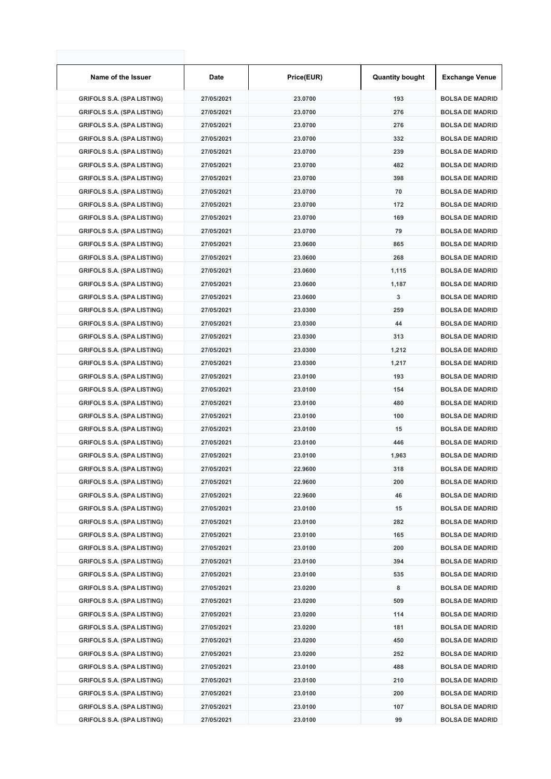| Name of the Issuer                | Date       | Price(EUR) | <b>Quantity bought</b> | <b>Exchange Venue</b>  |
|-----------------------------------|------------|------------|------------------------|------------------------|
| <b>GRIFOLS S.A. (SPA LISTING)</b> | 27/05/2021 | 23.0700    | 193                    | <b>BOLSA DE MADRID</b> |
| <b>GRIFOLS S.A. (SPA LISTING)</b> | 27/05/2021 | 23.0700    | 276                    | <b>BOLSA DE MADRID</b> |
| <b>GRIFOLS S.A. (SPA LISTING)</b> | 27/05/2021 | 23.0700    | 276                    | <b>BOLSA DE MADRID</b> |
| <b>GRIFOLS S.A. (SPA LISTING)</b> | 27/05/2021 | 23.0700    | 332                    | <b>BOLSA DE MADRID</b> |
| <b>GRIFOLS S.A. (SPA LISTING)</b> | 27/05/2021 | 23.0700    | 239                    | <b>BOLSA DE MADRID</b> |
| <b>GRIFOLS S.A. (SPA LISTING)</b> | 27/05/2021 | 23.0700    | 482                    | <b>BOLSA DE MADRID</b> |
| <b>GRIFOLS S.A. (SPA LISTING)</b> | 27/05/2021 | 23.0700    | 398                    | <b>BOLSA DE MADRID</b> |
| <b>GRIFOLS S.A. (SPA LISTING)</b> | 27/05/2021 | 23.0700    | 70                     | <b>BOLSA DE MADRID</b> |
| <b>GRIFOLS S.A. (SPA LISTING)</b> | 27/05/2021 | 23.0700    | 172                    | <b>BOLSA DE MADRID</b> |
| <b>GRIFOLS S.A. (SPA LISTING)</b> | 27/05/2021 | 23.0700    | 169                    | <b>BOLSA DE MADRID</b> |
| <b>GRIFOLS S.A. (SPA LISTING)</b> | 27/05/2021 | 23.0700    | 79                     | <b>BOLSA DE MADRID</b> |
| <b>GRIFOLS S.A. (SPA LISTING)</b> | 27/05/2021 | 23.0600    | 865                    | <b>BOLSA DE MADRID</b> |
| <b>GRIFOLS S.A. (SPA LISTING)</b> | 27/05/2021 | 23.0600    | 268                    | <b>BOLSA DE MADRID</b> |
| <b>GRIFOLS S.A. (SPA LISTING)</b> | 27/05/2021 | 23.0600    | 1,115                  | <b>BOLSA DE MADRID</b> |
| <b>GRIFOLS S.A. (SPA LISTING)</b> | 27/05/2021 | 23.0600    | 1,187                  | <b>BOLSA DE MADRID</b> |
| <b>GRIFOLS S.A. (SPA LISTING)</b> | 27/05/2021 | 23.0600    | 3                      | <b>BOLSA DE MADRID</b> |
| <b>GRIFOLS S.A. (SPA LISTING)</b> | 27/05/2021 | 23.0300    | 259                    | <b>BOLSA DE MADRID</b> |
| <b>GRIFOLS S.A. (SPA LISTING)</b> | 27/05/2021 | 23.0300    | 44                     | <b>BOLSA DE MADRID</b> |
| <b>GRIFOLS S.A. (SPA LISTING)</b> | 27/05/2021 | 23.0300    | 313                    | <b>BOLSA DE MADRID</b> |
| <b>GRIFOLS S.A. (SPA LISTING)</b> | 27/05/2021 | 23.0300    | 1,212                  | <b>BOLSA DE MADRID</b> |
| <b>GRIFOLS S.A. (SPA LISTING)</b> | 27/05/2021 | 23.0300    | 1,217                  | <b>BOLSA DE MADRID</b> |
| <b>GRIFOLS S.A. (SPA LISTING)</b> | 27/05/2021 | 23.0100    | 193                    | <b>BOLSA DE MADRID</b> |
| <b>GRIFOLS S.A. (SPA LISTING)</b> | 27/05/2021 | 23.0100    | 154                    | <b>BOLSA DE MADRID</b> |
| <b>GRIFOLS S.A. (SPA LISTING)</b> | 27/05/2021 | 23.0100    | 480                    | <b>BOLSA DE MADRID</b> |
| <b>GRIFOLS S.A. (SPA LISTING)</b> | 27/05/2021 | 23.0100    | 100                    | <b>BOLSA DE MADRID</b> |
| <b>GRIFOLS S.A. (SPA LISTING)</b> | 27/05/2021 | 23.0100    | 15                     | <b>BOLSA DE MADRID</b> |
| <b>GRIFOLS S.A. (SPA LISTING)</b> | 27/05/2021 | 23.0100    | 446                    | <b>BOLSA DE MADRID</b> |
| <b>GRIFOLS S.A. (SPA LISTING)</b> | 27/05/2021 | 23.0100    | 1,963                  | <b>BOLSA DE MADRID</b> |
| <b>GRIFOLS S.A. (SPA LISTING)</b> | 27/05/2021 | 22.9600    | 318                    | <b>BOLSA DE MADRID</b> |
| <b>GRIFOLS S.A. (SPA LISTING)</b> | 27/05/2021 | 22.9600    | 200                    | <b>BOLSA DE MADRID</b> |
| <b>GRIFOLS S.A. (SPA LISTING)</b> | 27/05/2021 | 22.9600    | 46                     | <b>BOLSA DE MADRID</b> |
| <b>GRIFOLS S.A. (SPA LISTING)</b> | 27/05/2021 | 23.0100    | 15                     | <b>BOLSA DE MADRID</b> |
| <b>GRIFOLS S.A. (SPA LISTING)</b> | 27/05/2021 | 23.0100    | 282                    | <b>BOLSA DE MADRID</b> |
| <b>GRIFOLS S.A. (SPA LISTING)</b> | 27/05/2021 | 23.0100    | 165                    | <b>BOLSA DE MADRID</b> |
| <b>GRIFOLS S.A. (SPA LISTING)</b> | 27/05/2021 | 23.0100    | 200                    | <b>BOLSA DE MADRID</b> |
| <b>GRIFOLS S.A. (SPA LISTING)</b> | 27/05/2021 | 23.0100    | 394                    | <b>BOLSA DE MADRID</b> |
| <b>GRIFOLS S.A. (SPA LISTING)</b> | 27/05/2021 | 23.0100    | 535                    | <b>BOLSA DE MADRID</b> |
| <b>GRIFOLS S.A. (SPA LISTING)</b> | 27/05/2021 | 23.0200    | 8                      | <b>BOLSA DE MADRID</b> |
| <b>GRIFOLS S.A. (SPA LISTING)</b> | 27/05/2021 | 23.0200    | 509                    | <b>BOLSA DE MADRID</b> |
| <b>GRIFOLS S.A. (SPA LISTING)</b> | 27/05/2021 | 23.0200    | 114                    | <b>BOLSA DE MADRID</b> |
| <b>GRIFOLS S.A. (SPA LISTING)</b> | 27/05/2021 | 23.0200    | 181                    | <b>BOLSA DE MADRID</b> |
| <b>GRIFOLS S.A. (SPA LISTING)</b> | 27/05/2021 | 23.0200    | 450                    | <b>BOLSA DE MADRID</b> |
| <b>GRIFOLS S.A. (SPA LISTING)</b> | 27/05/2021 | 23.0200    | 252                    | <b>BOLSA DE MADRID</b> |
| <b>GRIFOLS S.A. (SPA LISTING)</b> | 27/05/2021 | 23.0100    | 488                    | <b>BOLSA DE MADRID</b> |
| <b>GRIFOLS S.A. (SPA LISTING)</b> | 27/05/2021 | 23.0100    | 210                    | <b>BOLSA DE MADRID</b> |
| <b>GRIFOLS S.A. (SPA LISTING)</b> | 27/05/2021 | 23.0100    | 200                    | <b>BOLSA DE MADRID</b> |
| <b>GRIFOLS S.A. (SPA LISTING)</b> | 27/05/2021 | 23.0100    | 107                    | <b>BOLSA DE MADRID</b> |
| <b>GRIFOLS S.A. (SPA LISTING)</b> | 27/05/2021 | 23.0100    | 99                     | <b>BOLSA DE MADRID</b> |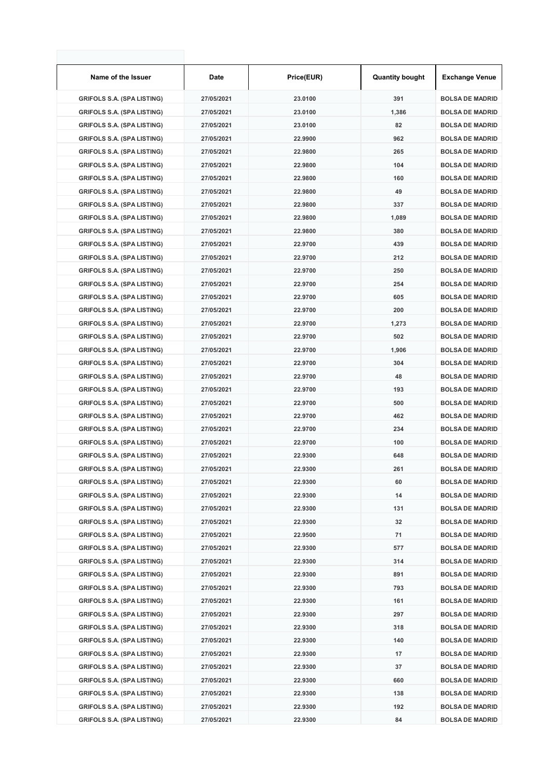| Name of the Issuer                | Date       | Price(EUR) | <b>Quantity bought</b> | <b>Exchange Venue</b>  |
|-----------------------------------|------------|------------|------------------------|------------------------|
| <b>GRIFOLS S.A. (SPA LISTING)</b> | 27/05/2021 | 23.0100    | 391                    | <b>BOLSA DE MADRID</b> |
| <b>GRIFOLS S.A. (SPA LISTING)</b> | 27/05/2021 | 23.0100    | 1,386                  | <b>BOLSA DE MADRID</b> |
| <b>GRIFOLS S.A. (SPA LISTING)</b> | 27/05/2021 | 23.0100    | 82                     | <b>BOLSA DE MADRID</b> |
| <b>GRIFOLS S.A. (SPA LISTING)</b> | 27/05/2021 | 22.9900    | 962                    | <b>BOLSA DE MADRID</b> |
| <b>GRIFOLS S.A. (SPA LISTING)</b> | 27/05/2021 | 22.9800    | 265                    | <b>BOLSA DE MADRID</b> |
| <b>GRIFOLS S.A. (SPA LISTING)</b> | 27/05/2021 | 22.9800    | 104                    | <b>BOLSA DE MADRID</b> |
| <b>GRIFOLS S.A. (SPA LISTING)</b> | 27/05/2021 | 22.9800    | 160                    | <b>BOLSA DE MADRID</b> |
| <b>GRIFOLS S.A. (SPA LISTING)</b> | 27/05/2021 | 22.9800    | 49                     | <b>BOLSA DE MADRID</b> |
| <b>GRIFOLS S.A. (SPA LISTING)</b> | 27/05/2021 | 22.9800    | 337                    | <b>BOLSA DE MADRID</b> |
| <b>GRIFOLS S.A. (SPA LISTING)</b> | 27/05/2021 | 22.9800    | 1,089                  | <b>BOLSA DE MADRID</b> |
| <b>GRIFOLS S.A. (SPA LISTING)</b> | 27/05/2021 | 22.9800    | 380                    | <b>BOLSA DE MADRID</b> |
| <b>GRIFOLS S.A. (SPA LISTING)</b> | 27/05/2021 | 22.9700    | 439                    | <b>BOLSA DE MADRID</b> |
| <b>GRIFOLS S.A. (SPA LISTING)</b> | 27/05/2021 | 22.9700    | 212                    | <b>BOLSA DE MADRID</b> |
| <b>GRIFOLS S.A. (SPA LISTING)</b> | 27/05/2021 | 22.9700    | 250                    | <b>BOLSA DE MADRID</b> |
| <b>GRIFOLS S.A. (SPA LISTING)</b> | 27/05/2021 | 22.9700    | 254                    | <b>BOLSA DE MADRID</b> |
| <b>GRIFOLS S.A. (SPA LISTING)</b> | 27/05/2021 | 22.9700    | 605                    | <b>BOLSA DE MADRID</b> |
| <b>GRIFOLS S.A. (SPA LISTING)</b> | 27/05/2021 | 22.9700    | 200                    | <b>BOLSA DE MADRID</b> |
| <b>GRIFOLS S.A. (SPA LISTING)</b> | 27/05/2021 | 22.9700    | 1,273                  | <b>BOLSA DE MADRID</b> |
| <b>GRIFOLS S.A. (SPA LISTING)</b> | 27/05/2021 | 22.9700    | 502                    | <b>BOLSA DE MADRID</b> |
| <b>GRIFOLS S.A. (SPA LISTING)</b> | 27/05/2021 | 22.9700    | 1,906                  | <b>BOLSA DE MADRID</b> |
| <b>GRIFOLS S.A. (SPA LISTING)</b> | 27/05/2021 | 22.9700    | 304                    | <b>BOLSA DE MADRID</b> |
| <b>GRIFOLS S.A. (SPA LISTING)</b> | 27/05/2021 | 22.9700    | 48                     | <b>BOLSA DE MADRID</b> |
| <b>GRIFOLS S.A. (SPA LISTING)</b> | 27/05/2021 | 22.9700    | 193                    | <b>BOLSA DE MADRID</b> |
| <b>GRIFOLS S.A. (SPA LISTING)</b> | 27/05/2021 | 22.9700    | 500                    | <b>BOLSA DE MADRID</b> |
| <b>GRIFOLS S.A. (SPA LISTING)</b> | 27/05/2021 | 22.9700    | 462                    | <b>BOLSA DE MADRID</b> |
| <b>GRIFOLS S.A. (SPA LISTING)</b> | 27/05/2021 | 22.9700    | 234                    | <b>BOLSA DE MADRID</b> |
| <b>GRIFOLS S.A. (SPA LISTING)</b> | 27/05/2021 | 22.9700    | 100                    | <b>BOLSA DE MADRID</b> |
| <b>GRIFOLS S.A. (SPA LISTING)</b> | 27/05/2021 | 22.9300    | 648                    | <b>BOLSA DE MADRID</b> |
| <b>GRIFOLS S.A. (SPA LISTING)</b> | 27/05/2021 | 22.9300    | 261                    | <b>BOLSA DE MADRID</b> |
| <b>GRIFOLS S.A. (SPA LISTING)</b> | 27/05/2021 | 22.9300    | 60                     | <b>BOLSA DE MADRID</b> |
| <b>GRIFOLS S.A. (SPA LISTING)</b> | 27/05/2021 | 22.9300    | 14                     | <b>BOLSA DE MADRID</b> |
| <b>GRIFOLS S.A. (SPA LISTING)</b> | 27/05/2021 | 22.9300    | 131                    | <b>BOLSA DE MADRID</b> |
| <b>GRIFOLS S.A. (SPA LISTING)</b> | 27/05/2021 | 22.9300    | 32                     | <b>BOLSA DE MADRID</b> |
| <b>GRIFOLS S.A. (SPA LISTING)</b> | 27/05/2021 | 22.9500    | 71                     | <b>BOLSA DE MADRID</b> |
| <b>GRIFOLS S.A. (SPA LISTING)</b> | 27/05/2021 | 22.9300    | 577                    | <b>BOLSA DE MADRID</b> |
| <b>GRIFOLS S.A. (SPA LISTING)</b> | 27/05/2021 | 22.9300    | 314                    | <b>BOLSA DE MADRID</b> |
| <b>GRIFOLS S.A. (SPA LISTING)</b> | 27/05/2021 | 22.9300    | 891                    | <b>BOLSA DE MADRID</b> |
| <b>GRIFOLS S.A. (SPA LISTING)</b> | 27/05/2021 | 22.9300    | 793                    | <b>BOLSA DE MADRID</b> |
| <b>GRIFOLS S.A. (SPA LISTING)</b> | 27/05/2021 | 22.9300    | 161                    | <b>BOLSA DE MADRID</b> |
| <b>GRIFOLS S.A. (SPA LISTING)</b> | 27/05/2021 | 22.9300    | 297                    | <b>BOLSA DE MADRID</b> |
| <b>GRIFOLS S.A. (SPA LISTING)</b> | 27/05/2021 | 22.9300    | 318                    | <b>BOLSA DE MADRID</b> |
| <b>GRIFOLS S.A. (SPA LISTING)</b> | 27/05/2021 | 22.9300    | 140                    | <b>BOLSA DE MADRID</b> |
| <b>GRIFOLS S.A. (SPA LISTING)</b> | 27/05/2021 | 22.9300    | 17                     | <b>BOLSA DE MADRID</b> |
| <b>GRIFOLS S.A. (SPA LISTING)</b> | 27/05/2021 | 22.9300    | 37                     | <b>BOLSA DE MADRID</b> |
| <b>GRIFOLS S.A. (SPA LISTING)</b> | 27/05/2021 | 22.9300    | 660                    | <b>BOLSA DE MADRID</b> |
| <b>GRIFOLS S.A. (SPA LISTING)</b> | 27/05/2021 | 22.9300    | 138                    | <b>BOLSA DE MADRID</b> |
| <b>GRIFOLS S.A. (SPA LISTING)</b> | 27/05/2021 | 22.9300    | 192                    | <b>BOLSA DE MADRID</b> |
| <b>GRIFOLS S.A. (SPA LISTING)</b> | 27/05/2021 | 22.9300    | 84                     | <b>BOLSA DE MADRID</b> |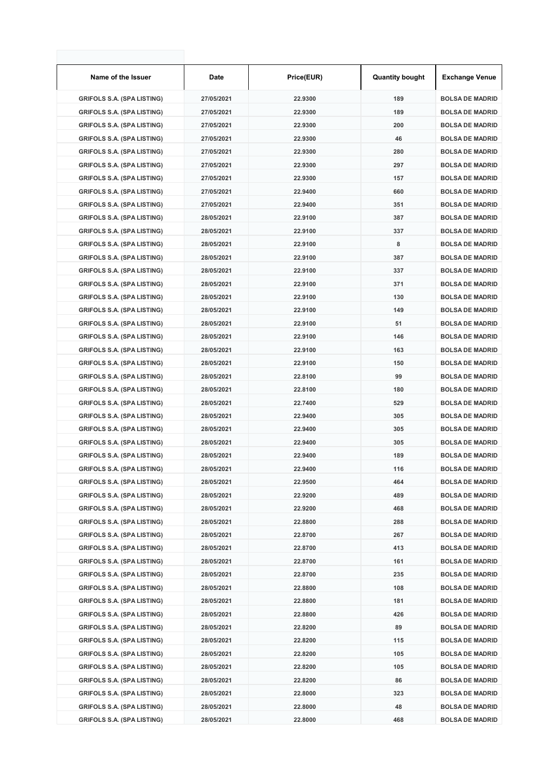| Name of the Issuer                | Date       | Price(EUR) | <b>Quantity bought</b> | <b>Exchange Venue</b>  |
|-----------------------------------|------------|------------|------------------------|------------------------|
| <b>GRIFOLS S.A. (SPA LISTING)</b> | 27/05/2021 | 22.9300    | 189                    | <b>BOLSA DE MADRID</b> |
| <b>GRIFOLS S.A. (SPA LISTING)</b> | 27/05/2021 | 22.9300    | 189                    | <b>BOLSA DE MADRID</b> |
| <b>GRIFOLS S.A. (SPA LISTING)</b> | 27/05/2021 | 22.9300    | 200                    | <b>BOLSA DE MADRID</b> |
| <b>GRIFOLS S.A. (SPA LISTING)</b> | 27/05/2021 | 22.9300    | 46                     | <b>BOLSA DE MADRID</b> |
| <b>GRIFOLS S.A. (SPA LISTING)</b> | 27/05/2021 | 22.9300    | 280                    | <b>BOLSA DE MADRID</b> |
| <b>GRIFOLS S.A. (SPA LISTING)</b> | 27/05/2021 | 22.9300    | 297                    | <b>BOLSA DE MADRID</b> |
| <b>GRIFOLS S.A. (SPA LISTING)</b> | 27/05/2021 | 22.9300    | 157                    | <b>BOLSA DE MADRID</b> |
| <b>GRIFOLS S.A. (SPA LISTING)</b> | 27/05/2021 | 22.9400    | 660                    | <b>BOLSA DE MADRID</b> |
| <b>GRIFOLS S.A. (SPA LISTING)</b> | 27/05/2021 | 22.9400    | 351                    | <b>BOLSA DE MADRID</b> |
| <b>GRIFOLS S.A. (SPA LISTING)</b> | 28/05/2021 | 22.9100    | 387                    | <b>BOLSA DE MADRID</b> |
| <b>GRIFOLS S.A. (SPA LISTING)</b> | 28/05/2021 | 22.9100    | 337                    | <b>BOLSA DE MADRID</b> |
| <b>GRIFOLS S.A. (SPA LISTING)</b> | 28/05/2021 | 22.9100    | 8                      | <b>BOLSA DE MADRID</b> |
| <b>GRIFOLS S.A. (SPA LISTING)</b> | 28/05/2021 | 22.9100    | 387                    | <b>BOLSA DE MADRID</b> |
| <b>GRIFOLS S.A. (SPA LISTING)</b> | 28/05/2021 | 22.9100    | 337                    | <b>BOLSA DE MADRID</b> |
| <b>GRIFOLS S.A. (SPA LISTING)</b> | 28/05/2021 | 22.9100    | 371                    | <b>BOLSA DE MADRID</b> |
| <b>GRIFOLS S.A. (SPA LISTING)</b> | 28/05/2021 | 22.9100    | 130                    | <b>BOLSA DE MADRID</b> |
| <b>GRIFOLS S.A. (SPA LISTING)</b> | 28/05/2021 | 22.9100    | 149                    | <b>BOLSA DE MADRID</b> |
| <b>GRIFOLS S.A. (SPA LISTING)</b> | 28/05/2021 | 22.9100    | 51                     | <b>BOLSA DE MADRID</b> |
| <b>GRIFOLS S.A. (SPA LISTING)</b> | 28/05/2021 | 22.9100    | 146                    | <b>BOLSA DE MADRID</b> |
| <b>GRIFOLS S.A. (SPA LISTING)</b> | 28/05/2021 | 22.9100    | 163                    | <b>BOLSA DE MADRID</b> |
| <b>GRIFOLS S.A. (SPA LISTING)</b> | 28/05/2021 | 22.9100    | 150                    | <b>BOLSA DE MADRID</b> |
| <b>GRIFOLS S.A. (SPA LISTING)</b> | 28/05/2021 | 22.8100    | 99                     | <b>BOLSA DE MADRID</b> |
| <b>GRIFOLS S.A. (SPA LISTING)</b> | 28/05/2021 | 22.8100    | 180                    | <b>BOLSA DE MADRID</b> |
| <b>GRIFOLS S.A. (SPA LISTING)</b> | 28/05/2021 | 22.7400    | 529                    | <b>BOLSA DE MADRID</b> |
| <b>GRIFOLS S.A. (SPA LISTING)</b> | 28/05/2021 | 22.9400    | 305                    | <b>BOLSA DE MADRID</b> |
| <b>GRIFOLS S.A. (SPA LISTING)</b> | 28/05/2021 | 22.9400    | 305                    | <b>BOLSA DE MADRID</b> |
| <b>GRIFOLS S.A. (SPA LISTING)</b> | 28/05/2021 | 22.9400    | 305                    | <b>BOLSA DE MADRID</b> |
| <b>GRIFOLS S.A. (SPA LISTING)</b> | 28/05/2021 | 22.9400    | 189                    | <b>BOLSA DE MADRID</b> |
| <b>GRIFOLS S.A. (SPA LISTING)</b> | 28/05/2021 | 22.9400    | 116                    | <b>BOLSA DE MADRID</b> |
| <b>GRIFOLS S.A. (SPA LISTING)</b> | 28/05/2021 | 22.9500    | 464                    | <b>BOLSA DE MADRID</b> |
| <b>GRIFOLS S.A. (SPA LISTING)</b> | 28/05/2021 | 22.9200    | 489                    | <b>BOLSA DE MADRID</b> |
| <b>GRIFOLS S.A. (SPA LISTING)</b> | 28/05/2021 | 22.9200    | 468                    | <b>BOLSA DE MADRID</b> |
| <b>GRIFOLS S.A. (SPA LISTING)</b> | 28/05/2021 | 22.8800    | 288                    | <b>BOLSA DE MADRID</b> |
| <b>GRIFOLS S.A. (SPA LISTING)</b> | 28/05/2021 | 22.8700    | 267                    | <b>BOLSA DE MADRID</b> |
| <b>GRIFOLS S.A. (SPA LISTING)</b> | 28/05/2021 | 22.8700    | 413                    | <b>BOLSA DE MADRID</b> |
| <b>GRIFOLS S.A. (SPA LISTING)</b> | 28/05/2021 | 22.8700    | 161                    | <b>BOLSA DE MADRID</b> |
| <b>GRIFOLS S.A. (SPA LISTING)</b> | 28/05/2021 | 22.8700    | 235                    | <b>BOLSA DE MADRID</b> |
| <b>GRIFOLS S.A. (SPA LISTING)</b> | 28/05/2021 | 22.8800    | 108                    | <b>BOLSA DE MADRID</b> |
| <b>GRIFOLS S.A. (SPA LISTING)</b> | 28/05/2021 | 22.8800    | 181                    | <b>BOLSA DE MADRID</b> |
|                                   | 28/05/2021 | 22.8800    | 426                    | <b>BOLSA DE MADRID</b> |
| <b>GRIFOLS S.A. (SPA LISTING)</b> |            |            |                        |                        |
| <b>GRIFOLS S.A. (SPA LISTING)</b> | 28/05/2021 | 22.8200    | 89                     | <b>BOLSA DE MADRID</b> |
| <b>GRIFOLS S.A. (SPA LISTING)</b> | 28/05/2021 | 22.8200    | 115                    | <b>BOLSA DE MADRID</b> |
| <b>GRIFOLS S.A. (SPA LISTING)</b> | 28/05/2021 | 22.8200    | 105                    | <b>BOLSA DE MADRID</b> |
| <b>GRIFOLS S.A. (SPA LISTING)</b> | 28/05/2021 | 22.8200    | 105                    | <b>BOLSA DE MADRID</b> |
| <b>GRIFOLS S.A. (SPA LISTING)</b> | 28/05/2021 | 22.8200    | 86                     | <b>BOLSA DE MADRID</b> |
| <b>GRIFOLS S.A. (SPA LISTING)</b> | 28/05/2021 | 22.8000    | 323                    | <b>BOLSA DE MADRID</b> |
| <b>GRIFOLS S.A. (SPA LISTING)</b> | 28/05/2021 | 22.8000    | 48                     | <b>BOLSA DE MADRID</b> |
| <b>GRIFOLS S.A. (SPA LISTING)</b> | 28/05/2021 | 22.8000    | 468                    | <b>BOLSA DE MADRID</b> |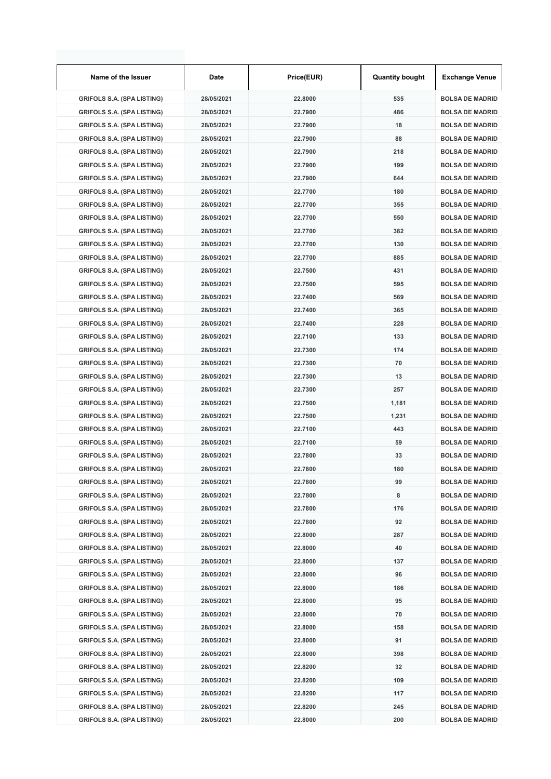| Name of the Issuer                | Date       | Price(EUR) | <b>Quantity bought</b> | <b>Exchange Venue</b>  |
|-----------------------------------|------------|------------|------------------------|------------------------|
| <b>GRIFOLS S.A. (SPA LISTING)</b> | 28/05/2021 | 22.8000    | 535                    | <b>BOLSA DE MADRID</b> |
| <b>GRIFOLS S.A. (SPA LISTING)</b> | 28/05/2021 | 22.7900    | 486                    | <b>BOLSA DE MADRID</b> |
| <b>GRIFOLS S.A. (SPA LISTING)</b> | 28/05/2021 | 22.7900    | 18                     | <b>BOLSA DE MADRID</b> |
| <b>GRIFOLS S.A. (SPA LISTING)</b> | 28/05/2021 | 22.7900    | 88                     | <b>BOLSA DE MADRID</b> |
| <b>GRIFOLS S.A. (SPA LISTING)</b> | 28/05/2021 | 22.7900    | 218                    | <b>BOLSA DE MADRID</b> |
| <b>GRIFOLS S.A. (SPA LISTING)</b> | 28/05/2021 | 22.7900    | 199                    | <b>BOLSA DE MADRID</b> |
| <b>GRIFOLS S.A. (SPA LISTING)</b> | 28/05/2021 | 22.7900    | 644                    | <b>BOLSA DE MADRID</b> |
| <b>GRIFOLS S.A. (SPA LISTING)</b> | 28/05/2021 | 22.7700    | 180                    | <b>BOLSA DE MADRID</b> |
| <b>GRIFOLS S.A. (SPA LISTING)</b> | 28/05/2021 | 22.7700    | 355                    | <b>BOLSA DE MADRID</b> |
| <b>GRIFOLS S.A. (SPA LISTING)</b> | 28/05/2021 | 22.7700    | 550                    | <b>BOLSA DE MADRID</b> |
| <b>GRIFOLS S.A. (SPA LISTING)</b> | 28/05/2021 | 22.7700    | 382                    | <b>BOLSA DE MADRID</b> |
| <b>GRIFOLS S.A. (SPA LISTING)</b> | 28/05/2021 | 22.7700    | 130                    | <b>BOLSA DE MADRID</b> |
| <b>GRIFOLS S.A. (SPA LISTING)</b> | 28/05/2021 | 22.7700    | 885                    | <b>BOLSA DE MADRID</b> |
| <b>GRIFOLS S.A. (SPA LISTING)</b> | 28/05/2021 | 22.7500    | 431                    | <b>BOLSA DE MADRID</b> |
| <b>GRIFOLS S.A. (SPA LISTING)</b> | 28/05/2021 | 22.7500    | 595                    | <b>BOLSA DE MADRID</b> |
| <b>GRIFOLS S.A. (SPA LISTING)</b> | 28/05/2021 | 22.7400    | 569                    | <b>BOLSA DE MADRID</b> |
| <b>GRIFOLS S.A. (SPA LISTING)</b> | 28/05/2021 | 22.7400    | 365                    | <b>BOLSA DE MADRID</b> |
| <b>GRIFOLS S.A. (SPA LISTING)</b> | 28/05/2021 | 22.7400    | 228                    | <b>BOLSA DE MADRID</b> |
| <b>GRIFOLS S.A. (SPA LISTING)</b> | 28/05/2021 | 22.7100    | 133                    | <b>BOLSA DE MADRID</b> |
| <b>GRIFOLS S.A. (SPA LISTING)</b> | 28/05/2021 | 22.7300    | 174                    | <b>BOLSA DE MADRID</b> |
| <b>GRIFOLS S.A. (SPA LISTING)</b> | 28/05/2021 | 22.7300    | 70                     | <b>BOLSA DE MADRID</b> |
| <b>GRIFOLS S.A. (SPA LISTING)</b> | 28/05/2021 | 22.7300    | 13                     | <b>BOLSA DE MADRID</b> |
| <b>GRIFOLS S.A. (SPA LISTING)</b> | 28/05/2021 | 22.7300    | 257                    | <b>BOLSA DE MADRID</b> |
| <b>GRIFOLS S.A. (SPA LISTING)</b> | 28/05/2021 | 22.7500    | 1,181                  | <b>BOLSA DE MADRID</b> |
| <b>GRIFOLS S.A. (SPA LISTING)</b> | 28/05/2021 | 22.7500    | 1,231                  | <b>BOLSA DE MADRID</b> |
| <b>GRIFOLS S.A. (SPA LISTING)</b> | 28/05/2021 | 22.7100    | 443                    | <b>BOLSA DE MADRID</b> |
| <b>GRIFOLS S.A. (SPA LISTING)</b> | 28/05/2021 | 22.7100    | 59                     | <b>BOLSA DE MADRID</b> |
| <b>GRIFOLS S.A. (SPA LISTING)</b> | 28/05/2021 | 22.7800    | 33                     | <b>BOLSA DE MADRID</b> |
| <b>GRIFOLS S.A. (SPA LISTING)</b> | 28/05/2021 | 22.7800    | 180                    | <b>BOLSA DE MADRID</b> |
| <b>GRIFOLS S.A. (SPA LISTING)</b> | 28/05/2021 | 22.7800    | 99                     | <b>BOLSA DE MADRID</b> |
| <b>GRIFOLS S.A. (SPA LISTING)</b> | 28/05/2021 | 22.7800    | 8                      | <b>BOLSA DE MADRID</b> |
| <b>GRIFOLS S.A. (SPA LISTING)</b> | 28/05/2021 | 22.7800    | 176                    | <b>BOLSA DE MADRID</b> |
| <b>GRIFOLS S.A. (SPA LISTING)</b> | 28/05/2021 | 22.7800    | 92                     | <b>BOLSA DE MADRID</b> |
| <b>GRIFOLS S.A. (SPA LISTING)</b> | 28/05/2021 | 22.8000    | 287                    | <b>BOLSA DE MADRID</b> |
| <b>GRIFOLS S.A. (SPA LISTING)</b> | 28/05/2021 | 22.8000    | 40                     | <b>BOLSA DE MADRID</b> |
| <b>GRIFOLS S.A. (SPA LISTING)</b> | 28/05/2021 | 22.8000    | 137                    | <b>BOLSA DE MADRID</b> |
| <b>GRIFOLS S.A. (SPA LISTING)</b> | 28/05/2021 | 22.8000    | 96                     | <b>BOLSA DE MADRID</b> |
| <b>GRIFOLS S.A. (SPA LISTING)</b> | 28/05/2021 | 22.8000    | 186                    | <b>BOLSA DE MADRID</b> |
| <b>GRIFOLS S.A. (SPA LISTING)</b> | 28/05/2021 | 22.8000    | 95                     | <b>BOLSA DE MADRID</b> |
| <b>GRIFOLS S.A. (SPA LISTING)</b> | 28/05/2021 | 22.8000    | 70                     | <b>BOLSA DE MADRID</b> |
| <b>GRIFOLS S.A. (SPA LISTING)</b> | 28/05/2021 | 22.8000    | 158                    | <b>BOLSA DE MADRID</b> |
| <b>GRIFOLS S.A. (SPA LISTING)</b> | 28/05/2021 | 22.8000    | 91                     | <b>BOLSA DE MADRID</b> |
| <b>GRIFOLS S.A. (SPA LISTING)</b> | 28/05/2021 | 22.8000    | 398                    | <b>BOLSA DE MADRID</b> |
| <b>GRIFOLS S.A. (SPA LISTING)</b> | 28/05/2021 | 22.8200    | 32                     | <b>BOLSA DE MADRID</b> |
| <b>GRIFOLS S.A. (SPA LISTING)</b> | 28/05/2021 | 22.8200    | 109                    | <b>BOLSA DE MADRID</b> |
| <b>GRIFOLS S.A. (SPA LISTING)</b> | 28/05/2021 | 22.8200    | 117                    | <b>BOLSA DE MADRID</b> |
| <b>GRIFOLS S.A. (SPA LISTING)</b> | 28/05/2021 | 22.8200    | 245                    | <b>BOLSA DE MADRID</b> |
| <b>GRIFOLS S.A. (SPA LISTING)</b> | 28/05/2021 | 22.8000    | 200                    | <b>BOLSA DE MADRID</b> |
|                                   |            |            |                        |                        |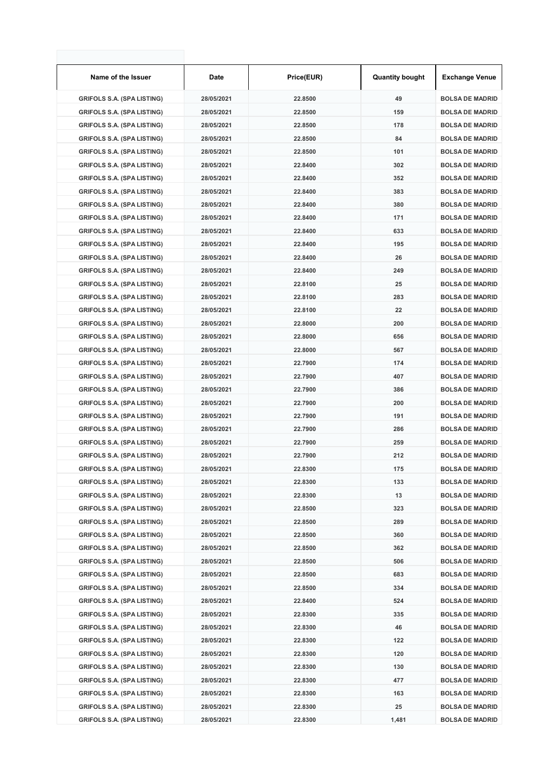| Name of the Issuer                | Date       | Price(EUR) | <b>Quantity bought</b> | <b>Exchange Venue</b>  |
|-----------------------------------|------------|------------|------------------------|------------------------|
| <b>GRIFOLS S.A. (SPA LISTING)</b> | 28/05/2021 | 22.8500    | 49                     | <b>BOLSA DE MADRID</b> |
| <b>GRIFOLS S.A. (SPA LISTING)</b> | 28/05/2021 | 22.8500    | 159                    | <b>BOLSA DE MADRID</b> |
| <b>GRIFOLS S.A. (SPA LISTING)</b> | 28/05/2021 | 22.8500    | 178                    | <b>BOLSA DE MADRID</b> |
| <b>GRIFOLS S.A. (SPA LISTING)</b> | 28/05/2021 | 22.8500    | 84                     | <b>BOLSA DE MADRID</b> |
| <b>GRIFOLS S.A. (SPA LISTING)</b> | 28/05/2021 | 22.8500    | 101                    | <b>BOLSA DE MADRID</b> |
| <b>GRIFOLS S.A. (SPA LISTING)</b> | 28/05/2021 | 22.8400    | 302                    | <b>BOLSA DE MADRID</b> |
| <b>GRIFOLS S.A. (SPA LISTING)</b> | 28/05/2021 | 22.8400    | 352                    | <b>BOLSA DE MADRID</b> |
| <b>GRIFOLS S.A. (SPA LISTING)</b> | 28/05/2021 | 22.8400    | 383                    | <b>BOLSA DE MADRID</b> |
| <b>GRIFOLS S.A. (SPA LISTING)</b> | 28/05/2021 | 22.8400    | 380                    | <b>BOLSA DE MADRID</b> |
| <b>GRIFOLS S.A. (SPA LISTING)</b> | 28/05/2021 | 22.8400    | 171                    | <b>BOLSA DE MADRID</b> |
| <b>GRIFOLS S.A. (SPA LISTING)</b> | 28/05/2021 | 22.8400    | 633                    | <b>BOLSA DE MADRID</b> |
| <b>GRIFOLS S.A. (SPA LISTING)</b> | 28/05/2021 | 22.8400    | 195                    | <b>BOLSA DE MADRID</b> |
| <b>GRIFOLS S.A. (SPA LISTING)</b> | 28/05/2021 | 22.8400    | 26                     | <b>BOLSA DE MADRID</b> |
| <b>GRIFOLS S.A. (SPA LISTING)</b> | 28/05/2021 | 22.8400    | 249                    | <b>BOLSA DE MADRID</b> |
| <b>GRIFOLS S.A. (SPA LISTING)</b> | 28/05/2021 | 22.8100    | 25                     | <b>BOLSA DE MADRID</b> |
| <b>GRIFOLS S.A. (SPA LISTING)</b> | 28/05/2021 | 22.8100    | 283                    | <b>BOLSA DE MADRID</b> |
| <b>GRIFOLS S.A. (SPA LISTING)</b> | 28/05/2021 | 22.8100    | 22                     | <b>BOLSA DE MADRID</b> |
| <b>GRIFOLS S.A. (SPA LISTING)</b> | 28/05/2021 | 22.8000    | 200                    | <b>BOLSA DE MADRID</b> |
| <b>GRIFOLS S.A. (SPA LISTING)</b> | 28/05/2021 | 22.8000    | 656                    | <b>BOLSA DE MADRID</b> |
| <b>GRIFOLS S.A. (SPA LISTING)</b> | 28/05/2021 | 22.8000    | 567                    | <b>BOLSA DE MADRID</b> |
| <b>GRIFOLS S.A. (SPA LISTING)</b> | 28/05/2021 | 22.7900    | 174                    | <b>BOLSA DE MADRID</b> |
| <b>GRIFOLS S.A. (SPA LISTING)</b> | 28/05/2021 | 22.7900    | 407                    | <b>BOLSA DE MADRID</b> |
| <b>GRIFOLS S.A. (SPA LISTING)</b> | 28/05/2021 | 22.7900    | 386                    | <b>BOLSA DE MADRID</b> |
| <b>GRIFOLS S.A. (SPA LISTING)</b> | 28/05/2021 | 22.7900    | 200                    | <b>BOLSA DE MADRID</b> |
| <b>GRIFOLS S.A. (SPA LISTING)</b> | 28/05/2021 | 22.7900    | 191                    | <b>BOLSA DE MADRID</b> |
| <b>GRIFOLS S.A. (SPA LISTING)</b> | 28/05/2021 | 22.7900    | 286                    | <b>BOLSA DE MADRID</b> |
| <b>GRIFOLS S.A. (SPA LISTING)</b> | 28/05/2021 | 22.7900    | 259                    | <b>BOLSA DE MADRID</b> |
| <b>GRIFOLS S.A. (SPA LISTING)</b> | 28/05/2021 | 22.7900    | 212                    | <b>BOLSA DE MADRID</b> |
| <b>GRIFOLS S.A. (SPA LISTING)</b> | 28/05/2021 | 22.8300    | 175                    | <b>BOLSA DE MADRID</b> |
| <b>GRIFOLS S.A. (SPA LISTING)</b> | 28/05/2021 | 22.8300    | 133                    | <b>BOLSA DE MADRID</b> |
| <b>GRIFOLS S.A. (SPA LISTING)</b> | 28/05/2021 | 22.8300    | 13                     | <b>BOLSA DE MADRID</b> |
| <b>GRIFOLS S.A. (SPA LISTING)</b> | 28/05/2021 | 22.8500    | 323                    | <b>BOLSA DE MADRID</b> |
| <b>GRIFOLS S.A. (SPA LISTING)</b> | 28/05/2021 | 22.8500    | 289                    | <b>BOLSA DE MADRID</b> |
| <b>GRIFOLS S.A. (SPA LISTING)</b> | 28/05/2021 | 22.8500    | 360                    | <b>BOLSA DE MADRID</b> |
| <b>GRIFOLS S.A. (SPA LISTING)</b> | 28/05/2021 | 22.8500    | 362                    | <b>BOLSA DE MADRID</b> |
| <b>GRIFOLS S.A. (SPA LISTING)</b> | 28/05/2021 | 22.8500    | 506                    | <b>BOLSA DE MADRID</b> |
| <b>GRIFOLS S.A. (SPA LISTING)</b> | 28/05/2021 | 22.8500    | 683                    | <b>BOLSA DE MADRID</b> |
| <b>GRIFOLS S.A. (SPA LISTING)</b> | 28/05/2021 | 22.8500    | 334                    | <b>BOLSA DE MADRID</b> |
| <b>GRIFOLS S.A. (SPA LISTING)</b> | 28/05/2021 | 22.8400    | 524                    | <b>BOLSA DE MADRID</b> |
| <b>GRIFOLS S.A. (SPA LISTING)</b> | 28/05/2021 | 22.8300    | 335                    | <b>BOLSA DE MADRID</b> |
| <b>GRIFOLS S.A. (SPA LISTING)</b> | 28/05/2021 | 22.8300    | 46                     | <b>BOLSA DE MADRID</b> |
| <b>GRIFOLS S.A. (SPA LISTING)</b> | 28/05/2021 | 22.8300    | 122                    | <b>BOLSA DE MADRID</b> |
| <b>GRIFOLS S.A. (SPA LISTING)</b> | 28/05/2021 | 22.8300    | 120                    | <b>BOLSA DE MADRID</b> |
| <b>GRIFOLS S.A. (SPA LISTING)</b> | 28/05/2021 | 22.8300    | 130                    | <b>BOLSA DE MADRID</b> |
| <b>GRIFOLS S.A. (SPA LISTING)</b> | 28/05/2021 | 22.8300    | 477                    | <b>BOLSA DE MADRID</b> |
| <b>GRIFOLS S.A. (SPA LISTING)</b> | 28/05/2021 | 22.8300    | 163                    | <b>BOLSA DE MADRID</b> |
| <b>GRIFOLS S.A. (SPA LISTING)</b> | 28/05/2021 | 22.8300    | 25                     | <b>BOLSA DE MADRID</b> |
| <b>GRIFOLS S.A. (SPA LISTING)</b> | 28/05/2021 | 22.8300    | 1,481                  | <b>BOLSA DE MADRID</b> |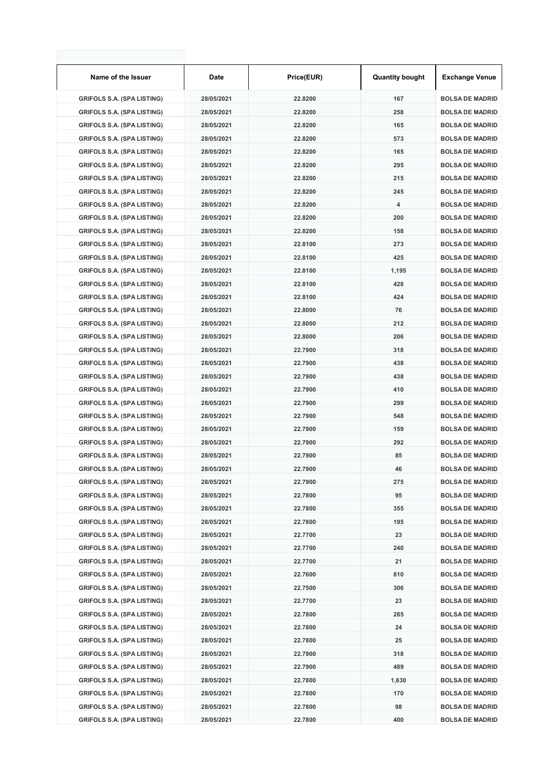| Name of the Issuer                | Date       | Price(EUR) | <b>Quantity bought</b> | <b>Exchange Venue</b>  |
|-----------------------------------|------------|------------|------------------------|------------------------|
| <b>GRIFOLS S.A. (SPA LISTING)</b> | 28/05/2021 | 22.8200    | 167                    | <b>BOLSA DE MADRID</b> |
| <b>GRIFOLS S.A. (SPA LISTING)</b> | 28/05/2021 | 22.8200    | 258                    | <b>BOLSA DE MADRID</b> |
| <b>GRIFOLS S.A. (SPA LISTING)</b> | 28/05/2021 | 22.8200    | 165                    | <b>BOLSA DE MADRID</b> |
| <b>GRIFOLS S.A. (SPA LISTING)</b> | 28/05/2021 | 22.8200    | 573                    | <b>BOLSA DE MADRID</b> |
| <b>GRIFOLS S.A. (SPA LISTING)</b> | 28/05/2021 | 22.8200    | 165                    | <b>BOLSA DE MADRID</b> |
| <b>GRIFOLS S.A. (SPA LISTING)</b> | 28/05/2021 | 22.8200    | 295                    | <b>BOLSA DE MADRID</b> |
| <b>GRIFOLS S.A. (SPA LISTING)</b> | 28/05/2021 | 22.8200    | 215                    | <b>BOLSA DE MADRID</b> |
| <b>GRIFOLS S.A. (SPA LISTING)</b> | 28/05/2021 | 22.8200    | 245                    | <b>BOLSA DE MADRID</b> |
| <b>GRIFOLS S.A. (SPA LISTING)</b> | 28/05/2021 | 22.8200    | 4                      | <b>BOLSA DE MADRID</b> |
| <b>GRIFOLS S.A. (SPA LISTING)</b> | 28/05/2021 | 22.8200    | 200                    | <b>BOLSA DE MADRID</b> |
| <b>GRIFOLS S.A. (SPA LISTING)</b> | 28/05/2021 | 22.8200    | 158                    | <b>BOLSA DE MADRID</b> |
| <b>GRIFOLS S.A. (SPA LISTING)</b> | 28/05/2021 | 22.8100    | 273                    | <b>BOLSA DE MADRID</b> |
| <b>GRIFOLS S.A. (SPA LISTING)</b> | 28/05/2021 | 22.8100    | 425                    | <b>BOLSA DE MADRID</b> |
| <b>GRIFOLS S.A. (SPA LISTING)</b> | 28/05/2021 | 22.8100    | 1,195                  | <b>BOLSA DE MADRID</b> |
| <b>GRIFOLS S.A. (SPA LISTING)</b> | 28/05/2021 | 22.8100    | 428                    | <b>BOLSA DE MADRID</b> |
| <b>GRIFOLS S.A. (SPA LISTING)</b> | 28/05/2021 | 22.8100    | 424                    | <b>BOLSA DE MADRID</b> |
| <b>GRIFOLS S.A. (SPA LISTING)</b> | 28/05/2021 | 22.8000    | 76                     | <b>BOLSA DE MADRID</b> |
| <b>GRIFOLS S.A. (SPA LISTING)</b> | 28/05/2021 | 22.8000    | 212                    | <b>BOLSA DE MADRID</b> |
| <b>GRIFOLS S.A. (SPA LISTING)</b> | 28/05/2021 | 22.8000    | 206                    | <b>BOLSA DE MADRID</b> |
| <b>GRIFOLS S.A. (SPA LISTING)</b> | 28/05/2021 | 22.7900    | 318                    | <b>BOLSA DE MADRID</b> |
| <b>GRIFOLS S.A. (SPA LISTING)</b> | 28/05/2021 | 22.7900    | 438                    | <b>BOLSA DE MADRID</b> |
| <b>GRIFOLS S.A. (SPA LISTING)</b> | 28/05/2021 | 22.7900    | 438                    | <b>BOLSA DE MADRID</b> |
| <b>GRIFOLS S.A. (SPA LISTING)</b> | 28/05/2021 | 22.7900    | 410                    | <b>BOLSA DE MADRID</b> |
| <b>GRIFOLS S.A. (SPA LISTING)</b> | 28/05/2021 | 22.7900    | 299                    | <b>BOLSA DE MADRID</b> |
| <b>GRIFOLS S.A. (SPA LISTING)</b> | 28/05/2021 | 22.7900    | 548                    | <b>BOLSA DE MADRID</b> |
| <b>GRIFOLS S.A. (SPA LISTING)</b> | 28/05/2021 | 22.7900    | 159                    | <b>BOLSA DE MADRID</b> |
| <b>GRIFOLS S.A. (SPA LISTING)</b> | 28/05/2021 | 22.7900    | 292                    | <b>BOLSA DE MADRID</b> |
| <b>GRIFOLS S.A. (SPA LISTING)</b> | 28/05/2021 | 22.7900    | 85                     | <b>BOLSA DE MADRID</b> |
| <b>GRIFOLS S.A. (SPA LISTING)</b> | 28/05/2021 | 22.7900    | 46                     | <b>BOLSA DE MADRID</b> |
| <b>GRIFOLS S.A. (SPA LISTING)</b> | 28/05/2021 | 22.7900    | 275                    | <b>BOLSA DE MADRID</b> |
| <b>GRIFOLS S.A. (SPA LISTING)</b> | 28/05/2021 | 22.7800    | 95                     | <b>BOLSA DE MADRID</b> |
| <b>GRIFOLS S.A. (SPA LISTING)</b> | 28/05/2021 | 22.7800    | 355                    | <b>BOLSA DE MADRID</b> |
| <b>GRIFOLS S.A. (SPA LISTING)</b> | 28/05/2021 | 22.7800    | 195                    | <b>BOLSA DE MADRID</b> |
| <b>GRIFOLS S.A. (SPA LISTING)</b> | 28/05/2021 | 22.7700    | 23                     | <b>BOLSA DE MADRID</b> |
| <b>GRIFOLS S.A. (SPA LISTING)</b> | 28/05/2021 | 22.7700    | 240                    | <b>BOLSA DE MADRID</b> |
| <b>GRIFOLS S.A. (SPA LISTING)</b> | 28/05/2021 | 22.7700    | 21                     | <b>BOLSA DE MADRID</b> |
| <b>GRIFOLS S.A. (SPA LISTING)</b> | 28/05/2021 | 22.7600    | 810                    | <b>BOLSA DE MADRID</b> |
| <b>GRIFOLS S.A. (SPA LISTING)</b> | 28/05/2021 | 22.7500    | 306                    | <b>BOLSA DE MADRID</b> |
| <b>GRIFOLS S.A. (SPA LISTING)</b> | 28/05/2021 | 22.7700    | 23                     | <b>BOLSA DE MADRID</b> |
| <b>GRIFOLS S.A. (SPA LISTING)</b> | 28/05/2021 | 22.7800    | 285                    | <b>BOLSA DE MADRID</b> |
| <b>GRIFOLS S.A. (SPA LISTING)</b> | 28/05/2021 | 22.7800    | 24                     | <b>BOLSA DE MADRID</b> |
| <b>GRIFOLS S.A. (SPA LISTING)</b> | 28/05/2021 | 22.7800    | 25                     | <b>BOLSA DE MADRID</b> |
| <b>GRIFOLS S.A. (SPA LISTING)</b> | 28/05/2021 | 22.7900    | 318                    | <b>BOLSA DE MADRID</b> |
| <b>GRIFOLS S.A. (SPA LISTING)</b> | 28/05/2021 | 22.7900    | 489                    | <b>BOLSA DE MADRID</b> |
| <b>GRIFOLS S.A. (SPA LISTING)</b> | 28/05/2021 | 22.7800    | 1,630                  | <b>BOLSA DE MADRID</b> |
| <b>GRIFOLS S.A. (SPA LISTING)</b> | 28/05/2021 | 22.7800    | 170                    | <b>BOLSA DE MADRID</b> |
| <b>GRIFOLS S.A. (SPA LISTING)</b> | 28/05/2021 | 22.7800    | 98                     | <b>BOLSA DE MADRID</b> |
| <b>GRIFOLS S.A. (SPA LISTING)</b> | 28/05/2021 | 22.7800    | 400                    | <b>BOLSA DE MADRID</b> |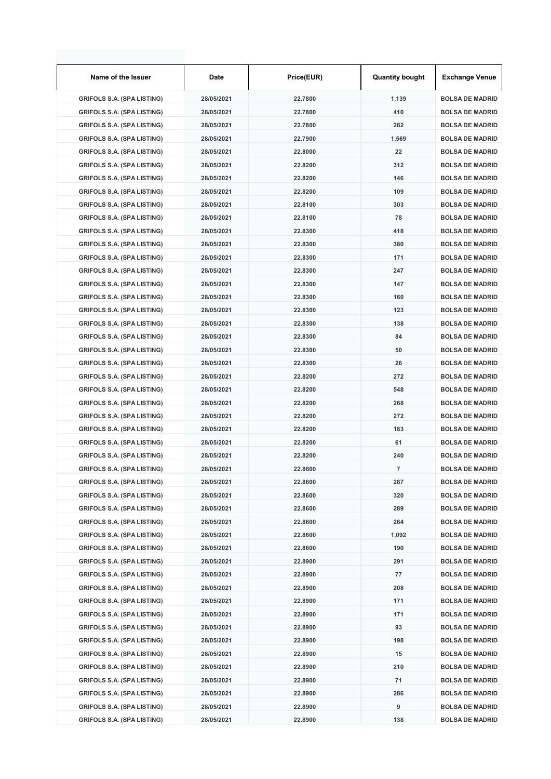| Name of the Issuer                | Date       | Price(EUR) | <b>Quantity bought</b> | <b>Exchange Venue</b>  |  |
|-----------------------------------|------------|------------|------------------------|------------------------|--|
| <b>GRIFOLS S.A. (SPA LISTING)</b> | 28/05/2021 | 22.7800    | 1,139                  | <b>BOLSA DE MADRID</b> |  |
| <b>GRIFOLS S.A. (SPA LISTING)</b> | 28/05/2021 | 22.7800    | 410                    | <b>BOLSA DE MADRID</b> |  |
| <b>GRIFOLS S.A. (SPA LISTING)</b> | 28/05/2021 | 22.7800    | 282                    | <b>BOLSA DE MADRID</b> |  |
| <b>GRIFOLS S.A. (SPA LISTING)</b> | 28/05/2021 | 22.7900    | 1,569                  | <b>BOLSA DE MADRID</b> |  |
| <b>GRIFOLS S.A. (SPA LISTING)</b> | 28/05/2021 | 22.8000    | 22                     | <b>BOLSA DE MADRID</b> |  |
| <b>GRIFOLS S.A. (SPA LISTING)</b> | 28/05/2021 | 22.8200    | 312                    | <b>BOLSA DE MADRID</b> |  |
| <b>GRIFOLS S.A. (SPA LISTING)</b> | 28/05/2021 | 22.8200    | 146                    | <b>BOLSA DE MADRID</b> |  |
| <b>GRIFOLS S.A. (SPA LISTING)</b> | 28/05/2021 | 22.8200    | 109                    | <b>BOLSA DE MADRID</b> |  |
| <b>GRIFOLS S.A. (SPA LISTING)</b> | 28/05/2021 | 22.8100    | 303                    | <b>BOLSA DE MADRID</b> |  |
| <b>GRIFOLS S.A. (SPA LISTING)</b> | 28/05/2021 | 22.8100    | 78                     | <b>BOLSA DE MADRID</b> |  |
| <b>GRIFOLS S.A. (SPA LISTING)</b> | 28/05/2021 | 22.8300    | 418                    | <b>BOLSA DE MADRID</b> |  |
| <b>GRIFOLS S.A. (SPA LISTING)</b> | 28/05/2021 | 22.8300    | 380                    | <b>BOLSA DE MADRID</b> |  |
| <b>GRIFOLS S.A. (SPA LISTING)</b> | 28/05/2021 | 22.8300    | 171                    | <b>BOLSA DE MADRID</b> |  |
| <b>GRIFOLS S.A. (SPA LISTING)</b> | 28/05/2021 | 22.8300    | 247                    | <b>BOLSA DE MADRID</b> |  |
| <b>GRIFOLS S.A. (SPA LISTING)</b> | 28/05/2021 | 22.8300    | 147                    | <b>BOLSA DE MADRID</b> |  |
| <b>GRIFOLS S.A. (SPA LISTING)</b> | 28/05/2021 | 22.8300    | 160                    | <b>BOLSA DE MADRID</b> |  |
| <b>GRIFOLS S.A. (SPA LISTING)</b> | 28/05/2021 | 22.8300    | 123                    | <b>BOLSA DE MADRID</b> |  |
| <b>GRIFOLS S.A. (SPA LISTING)</b> | 28/05/2021 | 22.8300    | 138                    | <b>BOLSA DE MADRID</b> |  |
| <b>GRIFOLS S.A. (SPA LISTING)</b> | 28/05/2021 | 22.8300    | 84                     | <b>BOLSA DE MADRID</b> |  |
| <b>GRIFOLS S.A. (SPA LISTING)</b> | 28/05/2021 | 22.8300    | 50                     | <b>BOLSA DE MADRID</b> |  |
| <b>GRIFOLS S.A. (SPA LISTING)</b> | 28/05/2021 | 22.8300    | 26                     | <b>BOLSA DE MADRID</b> |  |
| <b>GRIFOLS S.A. (SPA LISTING)</b> | 28/05/2021 | 22.8200    | 272                    | <b>BOLSA DE MADRID</b> |  |
| <b>GRIFOLS S.A. (SPA LISTING)</b> | 28/05/2021 | 22.8200    | 548                    | <b>BOLSA DE MADRID</b> |  |
| <b>GRIFOLS S.A. (SPA LISTING)</b> | 28/05/2021 | 22.8200    | 268                    | <b>BOLSA DE MADRID</b> |  |
| <b>GRIFOLS S.A. (SPA LISTING)</b> | 28/05/2021 | 22.8200    | 272                    | <b>BOLSA DE MADRID</b> |  |
| <b>GRIFOLS S.A. (SPA LISTING)</b> | 28/05/2021 | 22.8200    | 183                    | <b>BOLSA DE MADRID</b> |  |
| <b>GRIFOLS S.A. (SPA LISTING)</b> | 28/05/2021 | 22.8200    | 61                     | <b>BOLSA DE MADRID</b> |  |
| <b>GRIFOLS S.A. (SPA LISTING)</b> | 28/05/2021 | 22.8200    | 240                    | <b>BOLSA DE MADRID</b> |  |
| <b>GRIFOLS S.A. (SPA LISTING)</b> | 28/05/2021 | 22.8600    | $\overline{7}$         | <b>BOLSA DE MADRID</b> |  |
| <b>GRIFOLS S.A. (SPA LISTING)</b> | 28/05/2021 | 22.8600    | 287                    | <b>BOLSA DE MADRID</b> |  |
| <b>GRIFOLS S.A. (SPA LISTING)</b> | 28/05/2021 | 22.8600    | 320                    | <b>BOLSA DE MADRID</b> |  |
|                                   |            |            |                        | <b>BOLSA DE MADRID</b> |  |
| <b>GRIFOLS S.A. (SPA LISTING)</b> | 28/05/2021 | 22.8600    | 289<br>264             |                        |  |
| <b>GRIFOLS S.A. (SPA LISTING)</b> | 28/05/2021 | 22.8600    |                        | <b>BOLSA DE MADRID</b> |  |
| <b>GRIFOLS S.A. (SPA LISTING)</b> | 28/05/2021 | 22.8600    | 1,092                  | <b>BOLSA DE MADRID</b> |  |
| <b>GRIFOLS S.A. (SPA LISTING)</b> | 28/05/2021 | 22.8600    | 190                    | <b>BOLSA DE MADRID</b> |  |
| <b>GRIFOLS S.A. (SPA LISTING)</b> | 28/05/2021 | 22.8900    | 291                    | <b>BOLSA DE MADRID</b> |  |
| <b>GRIFOLS S.A. (SPA LISTING)</b> | 28/05/2021 | 22.8900    | 77                     | <b>BOLSA DE MADRID</b> |  |
| <b>GRIFOLS S.A. (SPA LISTING)</b> | 28/05/2021 | 22.8900    | 208                    | <b>BOLSA DE MADRID</b> |  |
| <b>GRIFOLS S.A. (SPA LISTING)</b> | 28/05/2021 | 22.8900    | 171                    | <b>BOLSA DE MADRID</b> |  |
| <b>GRIFOLS S.A. (SPA LISTING)</b> | 28/05/2021 | 22.8900    | 171                    | <b>BOLSA DE MADRID</b> |  |
| <b>GRIFOLS S.A. (SPA LISTING)</b> | 28/05/2021 | 22.8900    | 93                     | <b>BOLSA DE MADRID</b> |  |
| <b>GRIFOLS S.A. (SPA LISTING)</b> | 28/05/2021 | 22.8900    | 198                    | <b>BOLSA DE MADRID</b> |  |
| <b>GRIFOLS S.A. (SPA LISTING)</b> | 28/05/2021 | 22.8900    | 15                     | <b>BOLSA DE MADRID</b> |  |
| <b>GRIFOLS S.A. (SPA LISTING)</b> | 28/05/2021 | 22.8900    | 210                    | <b>BOLSA DE MADRID</b> |  |
| <b>GRIFOLS S.A. (SPA LISTING)</b> | 28/05/2021 | 22.8900    | 71                     | <b>BOLSA DE MADRID</b> |  |
| <b>GRIFOLS S.A. (SPA LISTING)</b> | 28/05/2021 | 22.8900    | 286                    | <b>BOLSA DE MADRID</b> |  |
| <b>GRIFOLS S.A. (SPA LISTING)</b> | 28/05/2021 | 22.8900    | 9                      | <b>BOLSA DE MADRID</b> |  |
| <b>GRIFOLS S.A. (SPA LISTING)</b> | 28/05/2021 | 22.8900    | 138                    | <b>BOLSA DE MADRID</b> |  |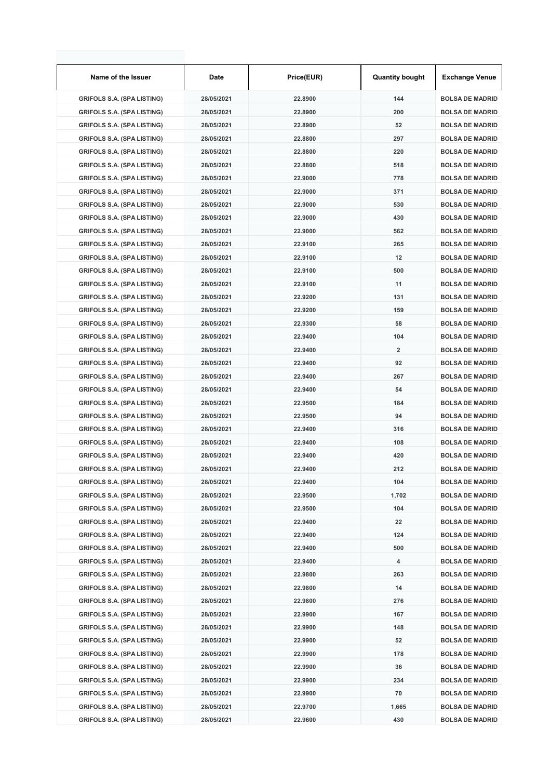| Name of the Issuer                | Date       | Price(EUR) | <b>Quantity bought</b> | <b>Exchange Venue</b>  |
|-----------------------------------|------------|------------|------------------------|------------------------|
| <b>GRIFOLS S.A. (SPA LISTING)</b> | 28/05/2021 | 22.8900    | 144                    | <b>BOLSA DE MADRID</b> |
| <b>GRIFOLS S.A. (SPA LISTING)</b> | 28/05/2021 | 22.8900    | 200                    | <b>BOLSA DE MADRID</b> |
| <b>GRIFOLS S.A. (SPA LISTING)</b> | 28/05/2021 | 22.8900    | 52                     | <b>BOLSA DE MADRID</b> |
| <b>GRIFOLS S.A. (SPA LISTING)</b> | 28/05/2021 | 22.8800    | 297                    | <b>BOLSA DE MADRID</b> |
| <b>GRIFOLS S.A. (SPA LISTING)</b> | 28/05/2021 | 22.8800    | 220                    | <b>BOLSA DE MADRID</b> |
| <b>GRIFOLS S.A. (SPA LISTING)</b> | 28/05/2021 | 22.8800    | 518                    | <b>BOLSA DE MADRID</b> |
| <b>GRIFOLS S.A. (SPA LISTING)</b> | 28/05/2021 | 22.9000    | 778                    | <b>BOLSA DE MADRID</b> |
| <b>GRIFOLS S.A. (SPA LISTING)</b> | 28/05/2021 | 22.9000    | 371                    | <b>BOLSA DE MADRID</b> |
| <b>GRIFOLS S.A. (SPA LISTING)</b> | 28/05/2021 | 22.9000    | 530                    | <b>BOLSA DE MADRID</b> |
| <b>GRIFOLS S.A. (SPA LISTING)</b> | 28/05/2021 | 22.9000    | 430                    | <b>BOLSA DE MADRID</b> |
| <b>GRIFOLS S.A. (SPA LISTING)</b> | 28/05/2021 | 22.9000    | 562                    | <b>BOLSA DE MADRID</b> |
| <b>GRIFOLS S.A. (SPA LISTING)</b> | 28/05/2021 | 22.9100    | 265                    | <b>BOLSA DE MADRID</b> |
| <b>GRIFOLS S.A. (SPA LISTING)</b> | 28/05/2021 | 22.9100    | 12                     | <b>BOLSA DE MADRID</b> |
| <b>GRIFOLS S.A. (SPA LISTING)</b> | 28/05/2021 | 22.9100    | 500                    | <b>BOLSA DE MADRID</b> |
| <b>GRIFOLS S.A. (SPA LISTING)</b> | 28/05/2021 | 22.9100    | 11                     | <b>BOLSA DE MADRID</b> |
| <b>GRIFOLS S.A. (SPA LISTING)</b> | 28/05/2021 | 22.9200    | 131                    | <b>BOLSA DE MADRID</b> |
| <b>GRIFOLS S.A. (SPA LISTING)</b> | 28/05/2021 | 22.9200    | 159                    | <b>BOLSA DE MADRID</b> |
| <b>GRIFOLS S.A. (SPA LISTING)</b> | 28/05/2021 | 22.9300    | 58                     | <b>BOLSA DE MADRID</b> |
| <b>GRIFOLS S.A. (SPA LISTING)</b> | 28/05/2021 | 22.9400    | 104                    | <b>BOLSA DE MADRID</b> |
| <b>GRIFOLS S.A. (SPA LISTING)</b> | 28/05/2021 | 22.9400    | $\overline{2}$         | <b>BOLSA DE MADRID</b> |
| <b>GRIFOLS S.A. (SPA LISTING)</b> | 28/05/2021 | 22.9400    | 92                     | <b>BOLSA DE MADRID</b> |
| <b>GRIFOLS S.A. (SPA LISTING)</b> | 28/05/2021 | 22.9400    | 267                    | <b>BOLSA DE MADRID</b> |
| <b>GRIFOLS S.A. (SPA LISTING)</b> | 28/05/2021 | 22.9400    | 54                     | <b>BOLSA DE MADRID</b> |
| <b>GRIFOLS S.A. (SPA LISTING)</b> | 28/05/2021 | 22.9500    | 184                    | <b>BOLSA DE MADRID</b> |
| <b>GRIFOLS S.A. (SPA LISTING)</b> | 28/05/2021 | 22.9500    | 94                     | <b>BOLSA DE MADRID</b> |
| <b>GRIFOLS S.A. (SPA LISTING)</b> | 28/05/2021 | 22.9400    | 316                    | <b>BOLSA DE MADRID</b> |
| <b>GRIFOLS S.A. (SPA LISTING)</b> | 28/05/2021 | 22.9400    | 108                    | <b>BOLSA DE MADRID</b> |
| <b>GRIFOLS S.A. (SPA LISTING)</b> | 28/05/2021 | 22.9400    | 420                    | <b>BOLSA DE MADRID</b> |
| <b>GRIFOLS S.A. (SPA LISTING)</b> | 28/05/2021 | 22.9400    | 212                    | <b>BOLSA DE MADRID</b> |
| <b>GRIFOLS S.A. (SPA LISTING)</b> | 28/05/2021 | 22.9400    | 104                    | <b>BOLSA DE MADRID</b> |
| <b>GRIFOLS S.A. (SPA LISTING)</b> | 28/05/2021 | 22.9500    | 1,702                  | <b>BOLSA DE MADRID</b> |
| <b>GRIFOLS S.A. (SPA LISTING)</b> | 28/05/2021 | 22.9500    | 104                    | <b>BOLSA DE MADRID</b> |
| <b>GRIFOLS S.A. (SPA LISTING)</b> | 28/05/2021 | 22.9400    | 22                     | <b>BOLSA DE MADRID</b> |
| <b>GRIFOLS S.A. (SPA LISTING)</b> | 28/05/2021 | 22.9400    | 124                    | <b>BOLSA DE MADRID</b> |
| <b>GRIFOLS S.A. (SPA LISTING)</b> | 28/05/2021 | 22.9400    | 500                    | <b>BOLSA DE MADRID</b> |
| <b>GRIFOLS S.A. (SPA LISTING)</b> | 28/05/2021 | 22.9400    | 4                      | <b>BOLSA DE MADRID</b> |
| <b>GRIFOLS S.A. (SPA LISTING)</b> | 28/05/2021 | 22.9800    | 263                    | <b>BOLSA DE MADRID</b> |
| <b>GRIFOLS S.A. (SPA LISTING)</b> | 28/05/2021 | 22.9800    | 14                     | <b>BOLSA DE MADRID</b> |
| <b>GRIFOLS S.A. (SPA LISTING)</b> | 28/05/2021 | 22.9800    | 276                    | <b>BOLSA DE MADRID</b> |
| <b>GRIFOLS S.A. (SPA LISTING)</b> | 28/05/2021 | 22.9900    | 167                    | <b>BOLSA DE MADRID</b> |
| <b>GRIFOLS S.A. (SPA LISTING)</b> | 28/05/2021 | 22.9900    | 148                    | <b>BOLSA DE MADRID</b> |
| <b>GRIFOLS S.A. (SPA LISTING)</b> | 28/05/2021 | 22.9900    | 52                     | <b>BOLSA DE MADRID</b> |
| <b>GRIFOLS S.A. (SPA LISTING)</b> | 28/05/2021 | 22.9900    | 178                    | <b>BOLSA DE MADRID</b> |
| <b>GRIFOLS S.A. (SPA LISTING)</b> | 28/05/2021 | 22.9900    | 36                     | <b>BOLSA DE MADRID</b> |
| <b>GRIFOLS S.A. (SPA LISTING)</b> | 28/05/2021 | 22.9900    | 234                    | <b>BOLSA DE MADRID</b> |
| <b>GRIFOLS S.A. (SPA LISTING)</b> | 28/05/2021 | 22.9900    | 70                     | <b>BOLSA DE MADRID</b> |
| <b>GRIFOLS S.A. (SPA LISTING)</b> | 28/05/2021 | 22.9700    | 1,665                  | <b>BOLSA DE MADRID</b> |
| <b>GRIFOLS S.A. (SPA LISTING)</b> | 28/05/2021 | 22.9600    | 430                    | <b>BOLSA DE MADRID</b> |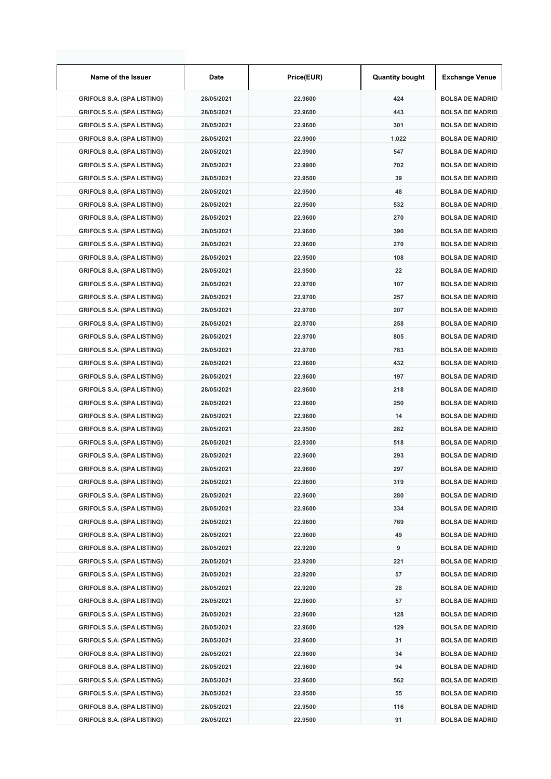| Name of the Issuer                | Date       | Price(EUR) | <b>Quantity bought</b> | <b>Exchange Venue</b>  |
|-----------------------------------|------------|------------|------------------------|------------------------|
| <b>GRIFOLS S.A. (SPA LISTING)</b> | 28/05/2021 | 22.9600    | 424                    | <b>BOLSA DE MADRID</b> |
| <b>GRIFOLS S.A. (SPA LISTING)</b> | 28/05/2021 | 22.9600    | 443                    | <b>BOLSA DE MADRID</b> |
| <b>GRIFOLS S.A. (SPA LISTING)</b> | 28/05/2021 | 22.9600    | 301                    | <b>BOLSA DE MADRID</b> |
| <b>GRIFOLS S.A. (SPA LISTING)</b> | 28/05/2021 | 22.9900    | 1,022                  | <b>BOLSA DE MADRID</b> |
| <b>GRIFOLS S.A. (SPA LISTING)</b> | 28/05/2021 | 22.9900    | 547                    | <b>BOLSA DE MADRID</b> |
| <b>GRIFOLS S.A. (SPA LISTING)</b> | 28/05/2021 | 22.9900    | 702                    | <b>BOLSA DE MADRID</b> |
| <b>GRIFOLS S.A. (SPA LISTING)</b> | 28/05/2021 | 22.9500    | 39                     | <b>BOLSA DE MADRID</b> |
| <b>GRIFOLS S.A. (SPA LISTING)</b> | 28/05/2021 | 22.9500    | 48                     | <b>BOLSA DE MADRID</b> |
| <b>GRIFOLS S.A. (SPA LISTING)</b> | 28/05/2021 | 22.9500    | 532                    | <b>BOLSA DE MADRID</b> |
| <b>GRIFOLS S.A. (SPA LISTING)</b> | 28/05/2021 | 22.9600    | 270                    | <b>BOLSA DE MADRID</b> |
| <b>GRIFOLS S.A. (SPA LISTING)</b> | 28/05/2021 | 22.9600    | 390                    | <b>BOLSA DE MADRID</b> |
| <b>GRIFOLS S.A. (SPA LISTING)</b> | 28/05/2021 | 22.9600    | 270                    | <b>BOLSA DE MADRID</b> |
| <b>GRIFOLS S.A. (SPA LISTING)</b> | 28/05/2021 | 22.9500    | 108                    | <b>BOLSA DE MADRID</b> |
| <b>GRIFOLS S.A. (SPA LISTING)</b> | 28/05/2021 | 22.9500    | 22                     | <b>BOLSA DE MADRID</b> |
| <b>GRIFOLS S.A. (SPA LISTING)</b> | 28/05/2021 | 22.9700    | 107                    | <b>BOLSA DE MADRID</b> |
| <b>GRIFOLS S.A. (SPA LISTING)</b> | 28/05/2021 | 22.9700    | 257                    | <b>BOLSA DE MADRID</b> |
| <b>GRIFOLS S.A. (SPA LISTING)</b> | 28/05/2021 | 22.9700    | 207                    | <b>BOLSA DE MADRID</b> |
| <b>GRIFOLS S.A. (SPA LISTING)</b> | 28/05/2021 | 22.9700    | 258                    | <b>BOLSA DE MADRID</b> |
| <b>GRIFOLS S.A. (SPA LISTING)</b> | 28/05/2021 | 22.9700    | 805                    | <b>BOLSA DE MADRID</b> |
| <b>GRIFOLS S.A. (SPA LISTING)</b> | 28/05/2021 | 22.9700    | 783                    | <b>BOLSA DE MADRID</b> |
| <b>GRIFOLS S.A. (SPA LISTING)</b> | 28/05/2021 | 22.9600    | 432                    | <b>BOLSA DE MADRID</b> |
| <b>GRIFOLS S.A. (SPA LISTING)</b> | 28/05/2021 | 22.9600    | 197                    | <b>BOLSA DE MADRID</b> |
| <b>GRIFOLS S.A. (SPA LISTING)</b> | 28/05/2021 | 22.9600    | 218                    | <b>BOLSA DE MADRID</b> |
| <b>GRIFOLS S.A. (SPA LISTING)</b> | 28/05/2021 | 22.9600    | 250                    | <b>BOLSA DE MADRID</b> |
| <b>GRIFOLS S.A. (SPA LISTING)</b> | 28/05/2021 | 22.9600    | 14                     | <b>BOLSA DE MADRID</b> |
| <b>GRIFOLS S.A. (SPA LISTING)</b> | 28/05/2021 | 22.9500    | 282                    | <b>BOLSA DE MADRID</b> |
| <b>GRIFOLS S.A. (SPA LISTING)</b> | 28/05/2021 | 22.9300    | 518                    | <b>BOLSA DE MADRID</b> |
| <b>GRIFOLS S.A. (SPA LISTING)</b> | 28/05/2021 | 22.9600    | 293                    | <b>BOLSA DE MADRID</b> |
| <b>GRIFOLS S.A. (SPA LISTING)</b> | 28/05/2021 | 22.9600    | 297                    | <b>BOLSA DE MADRID</b> |
| <b>GRIFOLS S.A. (SPA LISTING)</b> | 28/05/2021 | 22.9600    | 319                    | <b>BOLSA DE MADRID</b> |
| <b>GRIFOLS S.A. (SPA LISTING)</b> | 28/05/2021 | 22.9600    | 280                    | <b>BOLSA DE MADRID</b> |
| <b>GRIFOLS S.A. (SPA LISTING)</b> | 28/05/2021 | 22.9600    | 334                    | <b>BOLSA DE MADRID</b> |
| <b>GRIFOLS S.A. (SPA LISTING)</b> | 28/05/2021 | 22.9600    | 769                    | <b>BOLSA DE MADRID</b> |
| <b>GRIFOLS S.A. (SPA LISTING)</b> | 28/05/2021 | 22.9600    | 49                     | <b>BOLSA DE MADRID</b> |
| <b>GRIFOLS S.A. (SPA LISTING)</b> | 28/05/2021 | 22.9200    | 9                      | <b>BOLSA DE MADRID</b> |
| <b>GRIFOLS S.A. (SPA LISTING)</b> | 28/05/2021 | 22.9200    | 221                    | <b>BOLSA DE MADRID</b> |
| <b>GRIFOLS S.A. (SPA LISTING)</b> | 28/05/2021 | 22.9200    | 57                     | <b>BOLSA DE MADRID</b> |
| <b>GRIFOLS S.A. (SPA LISTING)</b> | 28/05/2021 | 22.9200    | 28                     | <b>BOLSA DE MADRID</b> |
| <b>GRIFOLS S.A. (SPA LISTING)</b> | 28/05/2021 | 22.9600    | 57                     | <b>BOLSA DE MADRID</b> |
| <b>GRIFOLS S.A. (SPA LISTING)</b> | 28/05/2021 | 22.9600    | 128                    | <b>BOLSA DE MADRID</b> |
| <b>GRIFOLS S.A. (SPA LISTING)</b> | 28/05/2021 | 22.9600    | 129                    | <b>BOLSA DE MADRID</b> |
| <b>GRIFOLS S.A. (SPA LISTING)</b> | 28/05/2021 | 22.9600    | 31                     | <b>BOLSA DE MADRID</b> |
| <b>GRIFOLS S.A. (SPA LISTING)</b> | 28/05/2021 | 22.9600    | 34                     | <b>BOLSA DE MADRID</b> |
| <b>GRIFOLS S.A. (SPA LISTING)</b> | 28/05/2021 | 22.9600    | 94                     | <b>BOLSA DE MADRID</b> |
| <b>GRIFOLS S.A. (SPA LISTING)</b> | 28/05/2021 | 22.9600    | 562                    | <b>BOLSA DE MADRID</b> |
| <b>GRIFOLS S.A. (SPA LISTING)</b> | 28/05/2021 | 22.9500    | 55                     | <b>BOLSA DE MADRID</b> |
| <b>GRIFOLS S.A. (SPA LISTING)</b> | 28/05/2021 | 22.9500    | 116                    | <b>BOLSA DE MADRID</b> |
| <b>GRIFOLS S.A. (SPA LISTING)</b> | 28/05/2021 | 22.9500    | 91                     | <b>BOLSA DE MADRID</b> |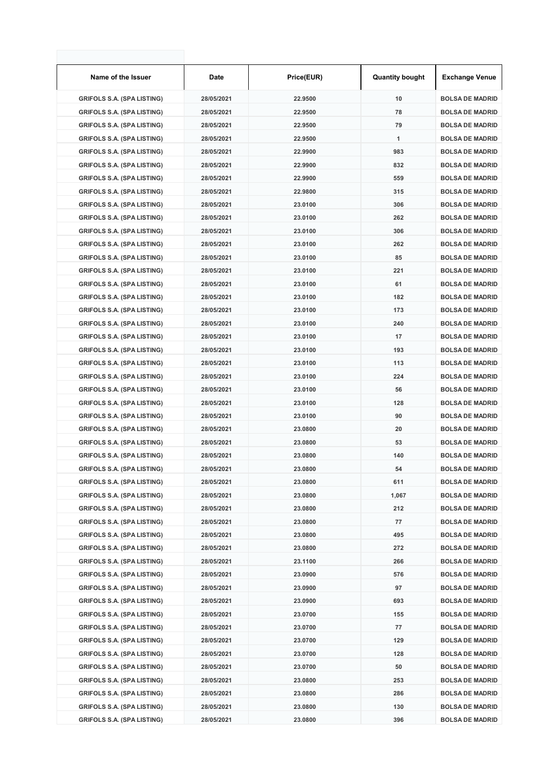| Name of the Issuer                | Date       | Price(EUR) | <b>Quantity bought</b> | <b>Exchange Venue</b>  |
|-----------------------------------|------------|------------|------------------------|------------------------|
| <b>GRIFOLS S.A. (SPA LISTING)</b> | 28/05/2021 | 22.9500    | 10                     | <b>BOLSA DE MADRID</b> |
| <b>GRIFOLS S.A. (SPA LISTING)</b> | 28/05/2021 | 22.9500    | 78                     | <b>BOLSA DE MADRID</b> |
| <b>GRIFOLS S.A. (SPA LISTING)</b> | 28/05/2021 | 22.9500    | 79                     | <b>BOLSA DE MADRID</b> |
| <b>GRIFOLS S.A. (SPA LISTING)</b> | 28/05/2021 | 22.9500    | 1                      | <b>BOLSA DE MADRID</b> |
| <b>GRIFOLS S.A. (SPA LISTING)</b> | 28/05/2021 | 22.9900    | 983                    | <b>BOLSA DE MADRID</b> |
| <b>GRIFOLS S.A. (SPA LISTING)</b> | 28/05/2021 | 22.9900    | 832                    | <b>BOLSA DE MADRID</b> |
| <b>GRIFOLS S.A. (SPA LISTING)</b> | 28/05/2021 | 22.9900    | 559                    | <b>BOLSA DE MADRID</b> |
| <b>GRIFOLS S.A. (SPA LISTING)</b> | 28/05/2021 | 22.9800    | 315                    | <b>BOLSA DE MADRID</b> |
| <b>GRIFOLS S.A. (SPA LISTING)</b> | 28/05/2021 | 23.0100    | 306                    | <b>BOLSA DE MADRID</b> |
| <b>GRIFOLS S.A. (SPA LISTING)</b> | 28/05/2021 | 23.0100    | 262                    | <b>BOLSA DE MADRID</b> |
| <b>GRIFOLS S.A. (SPA LISTING)</b> | 28/05/2021 | 23.0100    | 306                    | <b>BOLSA DE MADRID</b> |
| <b>GRIFOLS S.A. (SPA LISTING)</b> | 28/05/2021 | 23.0100    | 262                    | <b>BOLSA DE MADRID</b> |
| <b>GRIFOLS S.A. (SPA LISTING)</b> | 28/05/2021 | 23.0100    | 85                     | <b>BOLSA DE MADRID</b> |
| <b>GRIFOLS S.A. (SPA LISTING)</b> | 28/05/2021 | 23.0100    | 221                    | <b>BOLSA DE MADRID</b> |
| <b>GRIFOLS S.A. (SPA LISTING)</b> | 28/05/2021 | 23.0100    | 61                     | <b>BOLSA DE MADRID</b> |
| <b>GRIFOLS S.A. (SPA LISTING)</b> | 28/05/2021 | 23.0100    | 182                    | <b>BOLSA DE MADRID</b> |
| <b>GRIFOLS S.A. (SPA LISTING)</b> | 28/05/2021 | 23.0100    | 173                    | <b>BOLSA DE MADRID</b> |
| <b>GRIFOLS S.A. (SPA LISTING)</b> | 28/05/2021 | 23.0100    | 240                    | <b>BOLSA DE MADRID</b> |
| <b>GRIFOLS S.A. (SPA LISTING)</b> | 28/05/2021 | 23.0100    | 17                     | <b>BOLSA DE MADRID</b> |
| <b>GRIFOLS S.A. (SPA LISTING)</b> | 28/05/2021 | 23.0100    | 193                    | <b>BOLSA DE MADRID</b> |
| <b>GRIFOLS S.A. (SPA LISTING)</b> | 28/05/2021 | 23.0100    | 113                    | <b>BOLSA DE MADRID</b> |
| <b>GRIFOLS S.A. (SPA LISTING)</b> | 28/05/2021 | 23.0100    | 224                    | <b>BOLSA DE MADRID</b> |
| <b>GRIFOLS S.A. (SPA LISTING)</b> | 28/05/2021 | 23.0100    | 56                     | <b>BOLSA DE MADRID</b> |
| <b>GRIFOLS S.A. (SPA LISTING)</b> | 28/05/2021 | 23.0100    | 128                    | <b>BOLSA DE MADRID</b> |
| <b>GRIFOLS S.A. (SPA LISTING)</b> | 28/05/2021 | 23.0100    | 90                     | <b>BOLSA DE MADRID</b> |
| <b>GRIFOLS S.A. (SPA LISTING)</b> | 28/05/2021 | 23.0800    | 20                     | <b>BOLSA DE MADRID</b> |
| <b>GRIFOLS S.A. (SPA LISTING)</b> | 28/05/2021 | 23.0800    | 53                     | <b>BOLSA DE MADRID</b> |
| <b>GRIFOLS S.A. (SPA LISTING)</b> | 28/05/2021 | 23.0800    | 140                    | <b>BOLSA DE MADRID</b> |
| <b>GRIFOLS S.A. (SPA LISTING)</b> | 28/05/2021 | 23.0800    | 54                     | <b>BOLSA DE MADRID</b> |
| <b>GRIFOLS S.A. (SPA LISTING)</b> | 28/05/2021 | 23.0800    | 611                    | <b>BOLSA DE MADRID</b> |
| <b>GRIFOLS S.A. (SPA LISTING)</b> | 28/05/2021 | 23.0800    | 1,067                  | <b>BOLSA DE MADRID</b> |
| <b>GRIFOLS S.A. (SPA LISTING)</b> | 28/05/2021 | 23.0800    | 212                    | <b>BOLSA DE MADRID</b> |
| <b>GRIFOLS S.A. (SPA LISTING)</b> | 28/05/2021 | 23.0800    | 77                     | <b>BOLSA DE MADRID</b> |
| <b>GRIFOLS S.A. (SPA LISTING)</b> | 28/05/2021 | 23.0800    | 495                    | <b>BOLSA DE MADRID</b> |
| <b>GRIFOLS S.A. (SPA LISTING)</b> | 28/05/2021 | 23.0800    | 272                    | <b>BOLSA DE MADRID</b> |
| <b>GRIFOLS S.A. (SPA LISTING)</b> | 28/05/2021 | 23.1100    | 266                    | <b>BOLSA DE MADRID</b> |
| <b>GRIFOLS S.A. (SPA LISTING)</b> | 28/05/2021 | 23.0900    | 576                    | <b>BOLSA DE MADRID</b> |
| <b>GRIFOLS S.A. (SPA LISTING)</b> | 28/05/2021 | 23.0900    | 97                     | <b>BOLSA DE MADRID</b> |
| <b>GRIFOLS S.A. (SPA LISTING)</b> | 28/05/2021 | 23.0900    | 693                    | <b>BOLSA DE MADRID</b> |
| <b>GRIFOLS S.A. (SPA LISTING)</b> | 28/05/2021 | 23.0700    | 155                    | <b>BOLSA DE MADRID</b> |
| <b>GRIFOLS S.A. (SPA LISTING)</b> | 28/05/2021 | 23.0700    | 77                     | <b>BOLSA DE MADRID</b> |
| <b>GRIFOLS S.A. (SPA LISTING)</b> | 28/05/2021 | 23.0700    | 129                    | <b>BOLSA DE MADRID</b> |
| <b>GRIFOLS S.A. (SPA LISTING)</b> | 28/05/2021 | 23.0700    | 128                    | <b>BOLSA DE MADRID</b> |
| <b>GRIFOLS S.A. (SPA LISTING)</b> | 28/05/2021 | 23.0700    | 50                     | <b>BOLSA DE MADRID</b> |
| <b>GRIFOLS S.A. (SPA LISTING)</b> | 28/05/2021 | 23.0800    | 253                    | <b>BOLSA DE MADRID</b> |
| <b>GRIFOLS S.A. (SPA LISTING)</b> | 28/05/2021 | 23.0800    | 286                    | <b>BOLSA DE MADRID</b> |
| <b>GRIFOLS S.A. (SPA LISTING)</b> | 28/05/2021 | 23.0800    | 130                    | <b>BOLSA DE MADRID</b> |
| <b>GRIFOLS S.A. (SPA LISTING)</b> | 28/05/2021 | 23.0800    | 396                    | <b>BOLSA DE MADRID</b> |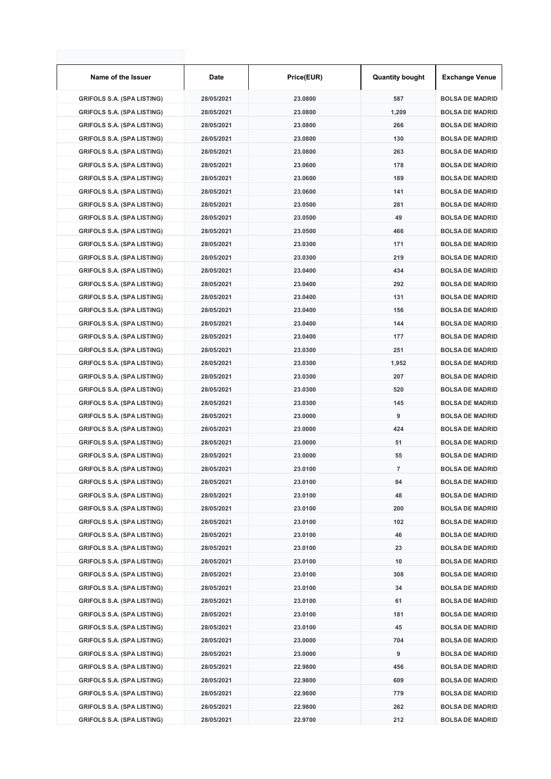| Name of the Issuer                | Date       | Price(EUR) | <b>Quantity bought</b> | <b>Exchange Venue</b>  |
|-----------------------------------|------------|------------|------------------------|------------------------|
| <b>GRIFOLS S.A. (SPA LISTING)</b> | 28/05/2021 | 23.0800    | 587                    | <b>BOLSA DE MADRID</b> |
| <b>GRIFOLS S.A. (SPA LISTING)</b> | 28/05/2021 | 23.0800    | 1,209                  | <b>BOLSA DE MADRID</b> |
| <b>GRIFOLS S.A. (SPA LISTING)</b> | 28/05/2021 | 23.0800    | 266                    | <b>BOLSA DE MADRID</b> |
| <b>GRIFOLS S.A. (SPA LISTING)</b> | 28/05/2021 | 23.0800    | 130                    | <b>BOLSA DE MADRID</b> |
| <b>GRIFOLS S.A. (SPA LISTING)</b> | 28/05/2021 | 23.0800    | 263                    | <b>BOLSA DE MADRID</b> |
| <b>GRIFOLS S.A. (SPA LISTING)</b> | 28/05/2021 | 23.0600    | 178                    | <b>BOLSA DE MADRID</b> |
| <b>GRIFOLS S.A. (SPA LISTING)</b> | 28/05/2021 | 23.0600    | 189                    | <b>BOLSA DE MADRID</b> |
| <b>GRIFOLS S.A. (SPA LISTING)</b> | 28/05/2021 | 23.0600    | 141                    | <b>BOLSA DE MADRID</b> |
| <b>GRIFOLS S.A. (SPA LISTING)</b> | 28/05/2021 | 23.0500    | 281                    | <b>BOLSA DE MADRID</b> |
| <b>GRIFOLS S.A. (SPA LISTING)</b> | 28/05/2021 | 23.0500    | 49                     | <b>BOLSA DE MADRID</b> |
| <b>GRIFOLS S.A. (SPA LISTING)</b> | 28/05/2021 | 23.0500    | 466                    | <b>BOLSA DE MADRID</b> |
| <b>GRIFOLS S.A. (SPA LISTING)</b> | 28/05/2021 | 23.0300    | 171                    | <b>BOLSA DE MADRID</b> |
| <b>GRIFOLS S.A. (SPA LISTING)</b> | 28/05/2021 | 23.0300    | 219                    | <b>BOLSA DE MADRID</b> |
| <b>GRIFOLS S.A. (SPA LISTING)</b> | 28/05/2021 | 23.0400    | 434                    | <b>BOLSA DE MADRID</b> |
| <b>GRIFOLS S.A. (SPA LISTING)</b> | 28/05/2021 | 23.0400    | 292                    | <b>BOLSA DE MADRID</b> |
| <b>GRIFOLS S.A. (SPA LISTING)</b> | 28/05/2021 | 23.0400    | 131                    | <b>BOLSA DE MADRID</b> |
| <b>GRIFOLS S.A. (SPA LISTING)</b> | 28/05/2021 | 23.0400    | 156                    | <b>BOLSA DE MADRID</b> |
| <b>GRIFOLS S.A. (SPA LISTING)</b> | 28/05/2021 | 23.0400    | 144                    | <b>BOLSA DE MADRID</b> |
| <b>GRIFOLS S.A. (SPA LISTING)</b> | 28/05/2021 | 23.0400    | 177                    | <b>BOLSA DE MADRID</b> |
| <b>GRIFOLS S.A. (SPA LISTING)</b> | 28/05/2021 | 23.0300    | 251                    | <b>BOLSA DE MADRID</b> |
|                                   | 28/05/2021 | 23.0300    |                        | <b>BOLSA DE MADRID</b> |
| <b>GRIFOLS S.A. (SPA LISTING)</b> |            | 23.0300    | 1,952<br>207           | <b>BOLSA DE MADRID</b> |
| <b>GRIFOLS S.A. (SPA LISTING)</b> | 28/05/2021 |            |                        |                        |
| <b>GRIFOLS S.A. (SPA LISTING)</b> | 28/05/2021 | 23.0300    | 520                    | <b>BOLSA DE MADRID</b> |
| <b>GRIFOLS S.A. (SPA LISTING)</b> | 28/05/2021 | 23.0300    | 145                    | <b>BOLSA DE MADRID</b> |
| <b>GRIFOLS S.A. (SPA LISTING)</b> | 28/05/2021 | 23.0000    | 9                      | <b>BOLSA DE MADRID</b> |
| <b>GRIFOLS S.A. (SPA LISTING)</b> | 28/05/2021 | 23.0000    | 424                    | <b>BOLSA DE MADRID</b> |
| <b>GRIFOLS S.A. (SPA LISTING)</b> | 28/05/2021 | 23.0000    | 51                     | <b>BOLSA DE MADRID</b> |
| <b>GRIFOLS S.A. (SPA LISTING)</b> | 28/05/2021 | 23.0000    | 55                     | <b>BOLSA DE MADRID</b> |
| <b>GRIFOLS S.A. (SPA LISTING)</b> | 28/05/2021 | 23.0100    | $\overline{7}$         | <b>BOLSA DE MADRID</b> |
| <b>GRIFOLS S.A. (SPA LISTING)</b> | 28/05/2021 | 23.0100    | 84                     | <b>BOLSA DE MADRID</b> |
| <b>GRIFOLS S.A. (SPA LISTING)</b> | 28/05/2021 | 23.0100    | 48                     | <b>BOLSA DE MADRID</b> |
| <b>GRIFOLS S.A. (SPA LISTING)</b> | 28/05/2021 | 23.0100    | 200                    | <b>BOLSA DE MADRID</b> |
| <b>GRIFOLS S.A. (SPA LISTING)</b> | 28/05/2021 | 23.0100    | 102                    | <b>BOLSA DE MADRID</b> |
| <b>GRIFOLS S.A. (SPA LISTING)</b> | 28/05/2021 | 23.0100    | 46                     | <b>BOLSA DE MADRID</b> |
| <b>GRIFOLS S.A. (SPA LISTING)</b> | 28/05/2021 | 23.0100    | 23                     | <b>BOLSA DE MADRID</b> |
| <b>GRIFOLS S.A. (SPA LISTING)</b> | 28/05/2021 | 23.0100    | 10                     | <b>BOLSA DE MADRID</b> |
| <b>GRIFOLS S.A. (SPA LISTING)</b> | 28/05/2021 | 23.0100    | 308                    | <b>BOLSA DE MADRID</b> |
| <b>GRIFOLS S.A. (SPA LISTING)</b> | 28/05/2021 | 23.0100    | 34                     | <b>BOLSA DE MADRID</b> |
| <b>GRIFOLS S.A. (SPA LISTING)</b> | 28/05/2021 | 23.0100    | 61                     | <b>BOLSA DE MADRID</b> |
| <b>GRIFOLS S.A. (SPA LISTING)</b> | 28/05/2021 | 23.0100    | 181                    | <b>BOLSA DE MADRID</b> |
| <b>GRIFOLS S.A. (SPA LISTING)</b> | 28/05/2021 | 23.0100    | 45                     | <b>BOLSA DE MADRID</b> |
| <b>GRIFOLS S.A. (SPA LISTING)</b> | 28/05/2021 | 23.0000    | 704                    | <b>BOLSA DE MADRID</b> |
| <b>GRIFOLS S.A. (SPA LISTING)</b> | 28/05/2021 | 23.0000    | 9                      | <b>BOLSA DE MADRID</b> |
| <b>GRIFOLS S.A. (SPA LISTING)</b> | 28/05/2021 | 22.9800    | 456                    | <b>BOLSA DE MADRID</b> |
| <b>GRIFOLS S.A. (SPA LISTING)</b> | 28/05/2021 | 22.9800    | 609                    | <b>BOLSA DE MADRID</b> |
| <b>GRIFOLS S.A. (SPA LISTING)</b> | 28/05/2021 | 22.9800    | 779                    | <b>BOLSA DE MADRID</b> |
| <b>GRIFOLS S.A. (SPA LISTING)</b> | 28/05/2021 | 22.9800    | 262                    | <b>BOLSA DE MADRID</b> |
| <b>GRIFOLS S.A. (SPA LISTING)</b> | 28/05/2021 | 22.9700    | 212                    | <b>BOLSA DE MADRID</b> |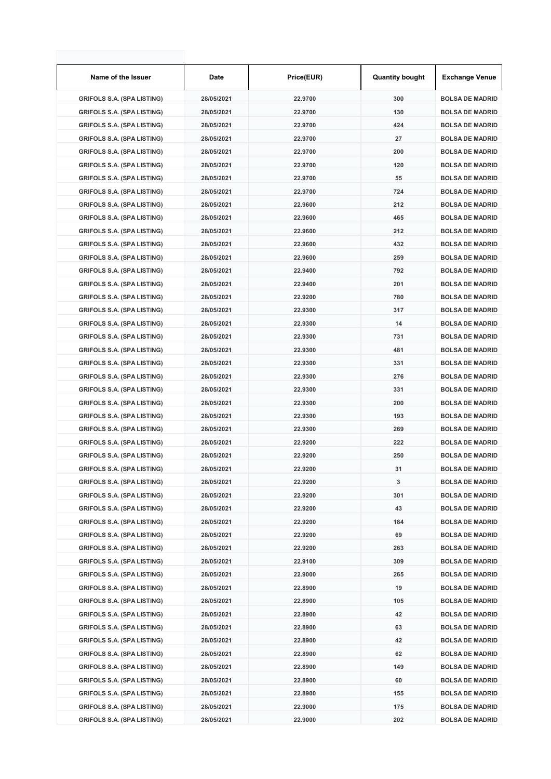| Name of the Issuer                | Date       | Price(EUR) | <b>Quantity bought</b> | <b>Exchange Venue</b>  |
|-----------------------------------|------------|------------|------------------------|------------------------|
| <b>GRIFOLS S.A. (SPA LISTING)</b> | 28/05/2021 | 22.9700    | 300                    | <b>BOLSA DE MADRID</b> |
| <b>GRIFOLS S.A. (SPA LISTING)</b> | 28/05/2021 | 22.9700    | 130                    | <b>BOLSA DE MADRID</b> |
| <b>GRIFOLS S.A. (SPA LISTING)</b> | 28/05/2021 | 22.9700    | 424                    | <b>BOLSA DE MADRID</b> |
| <b>GRIFOLS S.A. (SPA LISTING)</b> | 28/05/2021 | 22.9700    | 27                     | <b>BOLSA DE MADRID</b> |
| <b>GRIFOLS S.A. (SPA LISTING)</b> | 28/05/2021 | 22.9700    | 200                    | <b>BOLSA DE MADRID</b> |
| <b>GRIFOLS S.A. (SPA LISTING)</b> | 28/05/2021 | 22.9700    | 120                    | <b>BOLSA DE MADRID</b> |
| <b>GRIFOLS S.A. (SPA LISTING)</b> | 28/05/2021 | 22.9700    | 55                     | <b>BOLSA DE MADRID</b> |
| <b>GRIFOLS S.A. (SPA LISTING)</b> | 28/05/2021 | 22.9700    | 724                    | <b>BOLSA DE MADRID</b> |
| <b>GRIFOLS S.A. (SPA LISTING)</b> | 28/05/2021 | 22.9600    | 212                    | <b>BOLSA DE MADRID</b> |
| <b>GRIFOLS S.A. (SPA LISTING)</b> | 28/05/2021 | 22.9600    | 465                    | <b>BOLSA DE MADRID</b> |
| <b>GRIFOLS S.A. (SPA LISTING)</b> | 28/05/2021 | 22.9600    | 212                    | <b>BOLSA DE MADRID</b> |
| <b>GRIFOLS S.A. (SPA LISTING)</b> | 28/05/2021 | 22.9600    | 432                    | <b>BOLSA DE MADRID</b> |
| <b>GRIFOLS S.A. (SPA LISTING)</b> | 28/05/2021 | 22.9600    | 259                    | <b>BOLSA DE MADRID</b> |
| <b>GRIFOLS S.A. (SPA LISTING)</b> | 28/05/2021 | 22.9400    | 792                    | <b>BOLSA DE MADRID</b> |
| <b>GRIFOLS S.A. (SPA LISTING)</b> | 28/05/2021 | 22.9400    | 201                    | <b>BOLSA DE MADRID</b> |
| <b>GRIFOLS S.A. (SPA LISTING)</b> | 28/05/2021 | 22.9200    | 780                    | <b>BOLSA DE MADRID</b> |
| <b>GRIFOLS S.A. (SPA LISTING)</b> | 28/05/2021 | 22.9300    | 317                    | <b>BOLSA DE MADRID</b> |
| <b>GRIFOLS S.A. (SPA LISTING)</b> | 28/05/2021 | 22.9300    | 14                     | <b>BOLSA DE MADRID</b> |
| <b>GRIFOLS S.A. (SPA LISTING)</b> | 28/05/2021 | 22.9300    | 731                    | <b>BOLSA DE MADRID</b> |
| <b>GRIFOLS S.A. (SPA LISTING)</b> | 28/05/2021 | 22.9300    | 481                    | <b>BOLSA DE MADRID</b> |
| <b>GRIFOLS S.A. (SPA LISTING)</b> | 28/05/2021 | 22.9300    | 331                    | <b>BOLSA DE MADRID</b> |
| <b>GRIFOLS S.A. (SPA LISTING)</b> | 28/05/2021 | 22.9300    | 276                    | <b>BOLSA DE MADRID</b> |
| <b>GRIFOLS S.A. (SPA LISTING)</b> | 28/05/2021 | 22.9300    | 331                    | <b>BOLSA DE MADRID</b> |
| <b>GRIFOLS S.A. (SPA LISTING)</b> | 28/05/2021 | 22.9300    | 200                    | <b>BOLSA DE MADRID</b> |
| <b>GRIFOLS S.A. (SPA LISTING)</b> | 28/05/2021 | 22.9300    | 193                    | <b>BOLSA DE MADRID</b> |
| <b>GRIFOLS S.A. (SPA LISTING)</b> | 28/05/2021 | 22.9300    | 269                    | <b>BOLSA DE MADRID</b> |
| <b>GRIFOLS S.A. (SPA LISTING)</b> | 28/05/2021 | 22.9200    | 222                    | <b>BOLSA DE MADRID</b> |
| <b>GRIFOLS S.A. (SPA LISTING)</b> | 28/05/2021 | 22.9200    | 250                    | <b>BOLSA DE MADRID</b> |
| <b>GRIFOLS S.A. (SPA LISTING)</b> | 28/05/2021 | 22.9200    | 31                     | <b>BOLSA DE MADRID</b> |
| <b>GRIFOLS S.A. (SPA LISTING)</b> |            |            |                        |                        |
|                                   | 28/05/2021 | 22.9200    | 3                      | <b>BOLSA DE MADRID</b> |
| <b>GRIFOLS S.A. (SPA LISTING)</b> | 28/05/2021 | 22.9200    | 301                    | <b>BOLSA DE MADRID</b> |
| <b>GRIFOLS S.A. (SPA LISTING)</b> | 28/05/2021 | 22.9200    | 43                     | <b>BOLSA DE MADRID</b> |
| <b>GRIFOLS S.A. (SPA LISTING)</b> | 28/05/2021 | 22.9200    | 184                    | <b>BOLSA DE MADRID</b> |
| <b>GRIFOLS S.A. (SPA LISTING)</b> | 28/05/2021 | 22.9200    | 69                     | <b>BOLSA DE MADRID</b> |
| <b>GRIFOLS S.A. (SPA LISTING)</b> | 28/05/2021 | 22.9200    | 263                    | <b>BOLSA DE MADRID</b> |
| <b>GRIFOLS S.A. (SPA LISTING)</b> | 28/05/2021 | 22.9100    | 309                    | <b>BOLSA DE MADRID</b> |
| <b>GRIFOLS S.A. (SPA LISTING)</b> | 28/05/2021 | 22.9000    | 265                    | <b>BOLSA DE MADRID</b> |
| <b>GRIFOLS S.A. (SPA LISTING)</b> | 28/05/2021 | 22.8900    | 19                     | <b>BOLSA DE MADRID</b> |
| <b>GRIFOLS S.A. (SPA LISTING)</b> | 28/05/2021 | 22.8900    | 105                    | <b>BOLSA DE MADRID</b> |
| <b>GRIFOLS S.A. (SPA LISTING)</b> | 28/05/2021 | 22.8900    | 42                     | <b>BOLSA DE MADRID</b> |
| <b>GRIFOLS S.A. (SPA LISTING)</b> | 28/05/2021 | 22.8900    | 63                     | <b>BOLSA DE MADRID</b> |
| <b>GRIFOLS S.A. (SPA LISTING)</b> | 28/05/2021 | 22.8900    | 42                     | <b>BOLSA DE MADRID</b> |
| <b>GRIFOLS S.A. (SPA LISTING)</b> | 28/05/2021 | 22.8900    | 62                     | <b>BOLSA DE MADRID</b> |
| <b>GRIFOLS S.A. (SPA LISTING)</b> | 28/05/2021 | 22.8900    | 149                    | <b>BOLSA DE MADRID</b> |
| <b>GRIFOLS S.A. (SPA LISTING)</b> | 28/05/2021 | 22.8900    | 60                     | <b>BOLSA DE MADRID</b> |
| <b>GRIFOLS S.A. (SPA LISTING)</b> | 28/05/2021 | 22.8900    | 155                    | <b>BOLSA DE MADRID</b> |
| <b>GRIFOLS S.A. (SPA LISTING)</b> | 28/05/2021 | 22.9000    | 175                    | <b>BOLSA DE MADRID</b> |
| <b>GRIFOLS S.A. (SPA LISTING)</b> | 28/05/2021 | 22.9000    | 202                    | <b>BOLSA DE MADRID</b> |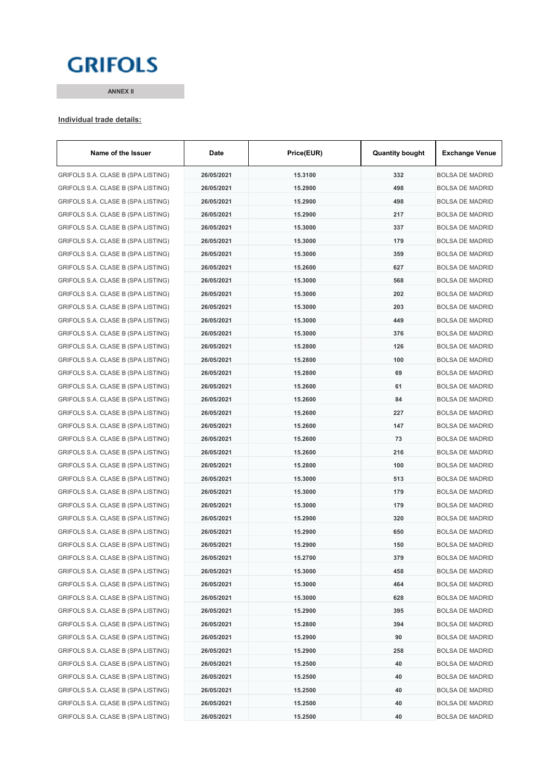## **GRIFOLS**

**ANNEX II**

#### **Individual trade details:**

| Name of the Issuer                 | Date       | Price(EUR) | <b>Quantity bought</b> | <b>Exchange Venue</b>  |
|------------------------------------|------------|------------|------------------------|------------------------|
| GRIFOLS S.A. CLASE B (SPA LISTING) | 26/05/2021 | 15.3100    | 332                    | <b>BOLSA DE MADRID</b> |
| GRIFOLS S.A. CLASE B (SPA LISTING) | 26/05/2021 | 15.2900    | 498                    | <b>BOLSA DE MADRID</b> |
| GRIFOLS S.A. CLASE B (SPA LISTING) | 26/05/2021 | 15.2900    | 498                    | <b>BOLSA DE MADRID</b> |
| GRIFOLS S.A. CLASE B (SPA LISTING) | 26/05/2021 | 15.2900    | 217                    | <b>BOLSA DE MADRID</b> |
| GRIFOLS S.A. CLASE B (SPA LISTING) | 26/05/2021 | 15.3000    | 337                    | <b>BOLSA DE MADRID</b> |
| GRIFOLS S.A. CLASE B (SPA LISTING) | 26/05/2021 | 15.3000    | 179                    | <b>BOLSA DE MADRID</b> |
| GRIFOLS S.A. CLASE B (SPA LISTING) | 26/05/2021 | 15.3000    | 359                    | BOLSA DE MADRID        |
| GRIFOLS S.A. CLASE B (SPA LISTING) | 26/05/2021 | 15.2600    | 627                    | <b>BOLSA DE MADRID</b> |
| GRIFOLS S.A. CLASE B (SPA LISTING) | 26/05/2021 | 15.3000    | 568                    | <b>BOLSA DE MADRID</b> |
| GRIFOLS S.A. CLASE B (SPA LISTING) | 26/05/2021 | 15.3000    | 202                    | <b>BOLSA DE MADRID</b> |
| GRIFOLS S.A. CLASE B (SPA LISTING) | 26/05/2021 | 15.3000    | 203                    | <b>BOLSA DE MADRID</b> |
| GRIFOLS S.A. CLASE B (SPA LISTING) | 26/05/2021 | 15.3000    | 449                    | <b>BOLSA DE MADRID</b> |
| GRIFOLS S.A. CLASE B (SPA LISTING) | 26/05/2021 | 15.3000    | 376                    | <b>BOLSA DE MADRID</b> |
| GRIFOLS S.A. CLASE B (SPA LISTING) | 26/05/2021 | 15.2800    | 126                    | <b>BOLSA DE MADRID</b> |
| GRIFOLS S.A. CLASE B (SPA LISTING) | 26/05/2021 | 15.2800    | 100                    | <b>BOLSA DE MADRID</b> |
| GRIFOLS S.A. CLASE B (SPA LISTING) | 26/05/2021 | 15.2800    | 69                     | <b>BOLSA DE MADRID</b> |
| GRIFOLS S.A. CLASE B (SPA LISTING) | 26/05/2021 | 15.2600    | 61                     | BOLSA DE MADRID        |
| GRIFOLS S.A. CLASE B (SPA LISTING) | 26/05/2021 | 15.2600    | 84                     | <b>BOLSA DE MADRID</b> |
| GRIFOLS S.A. CLASE B (SPA LISTING) | 26/05/2021 | 15.2600    | 227                    | <b>BOLSA DE MADRID</b> |
| GRIFOLS S.A. CLASE B (SPA LISTING) | 26/05/2021 | 15.2600    | 147                    | <b>BOLSA DE MADRID</b> |
| GRIFOLS S.A. CLASE B (SPA LISTING) | 26/05/2021 | 15.2600    | 73                     | <b>BOLSA DE MADRID</b> |
| GRIFOLS S.A. CLASE B (SPA LISTING) | 26/05/2021 | 15.2600    | 216                    | <b>BOLSA DE MADRID</b> |
| GRIFOLS S.A. CLASE B (SPA LISTING) | 26/05/2021 | 15.2800    | 100                    | <b>BOLSA DE MADRID</b> |
| GRIFOLS S.A. CLASE B (SPA LISTING) | 26/05/2021 | 15.3000    | 513                    | <b>BOLSA DE MADRID</b> |
| GRIFOLS S.A. CLASE B (SPA LISTING) | 26/05/2021 | 15.3000    | 179                    | <b>BOLSA DE MADRID</b> |
| GRIFOLS S.A. CLASE B (SPA LISTING) | 26/05/2021 | 15.3000    | 179                    | <b>BOLSA DE MADRID</b> |
| GRIFOLS S.A. CLASE B (SPA LISTING) | 26/05/2021 | 15.2900    | 320                    | <b>BOLSA DE MADRID</b> |
| GRIFOLS S.A. CLASE B (SPA LISTING) | 26/05/2021 | 15.2900    | 650                    | <b>BOLSA DE MADRID</b> |
| GRIFOLS S.A. CLASE B (SPA LISTING) | 26/05/2021 | 15.2900    | 150                    | <b>BOLSA DE MADRID</b> |
| GRIFOLS S.A. CLASE B (SPA LISTING) | 26/05/2021 | 15.2700    | 379                    | <b>BOLSA DE MADRID</b> |
| GRIFOLS S.A. CLASE B (SPA LISTING) | 26/05/2021 | 15.3000    | 458                    | <b>BOLSA DE MADRID</b> |
| GRIFOLS S.A. CLASE B (SPA LISTING) | 26/05/2021 | 15.3000    | 464                    | <b>BOLSA DE MADRID</b> |
| GRIFOLS S.A. CLASE B (SPA LISTING) | 26/05/2021 | 15.3000    | 628                    | <b>BOLSA DE MADRID</b> |
| GRIFOLS S.A. CLASE B (SPA LISTING) | 26/05/2021 | 15.2900    | 395                    | <b>BOLSA DE MADRID</b> |
| GRIFOLS S.A. CLASE B (SPA LISTING) | 26/05/2021 | 15.2800    | 394                    | <b>BOLSA DE MADRID</b> |
| GRIFOLS S.A. CLASE B (SPA LISTING) | 26/05/2021 | 15.2900    | 90                     | <b>BOLSA DE MADRID</b> |
| GRIFOLS S.A. CLASE B (SPA LISTING) | 26/05/2021 | 15.2900    | 258                    | <b>BOLSA DE MADRID</b> |
| GRIFOLS S.A. CLASE B (SPA LISTING) | 26/05/2021 | 15.2500    | 40                     | <b>BOLSA DE MADRID</b> |
| GRIFOLS S.A. CLASE B (SPA LISTING) | 26/05/2021 | 15.2500    | 40                     | <b>BOLSA DE MADRID</b> |
| GRIFOLS S.A. CLASE B (SPA LISTING) | 26/05/2021 | 15.2500    | 40                     | BOLSA DE MADRID        |
| GRIFOLS S.A. CLASE B (SPA LISTING) | 26/05/2021 | 15.2500    | 40                     | <b>BOLSA DE MADRID</b> |
| GRIFOLS S.A. CLASE B (SPA LISTING) | 26/05/2021 | 15.2500    | 40                     | <b>BOLSA DE MADRID</b> |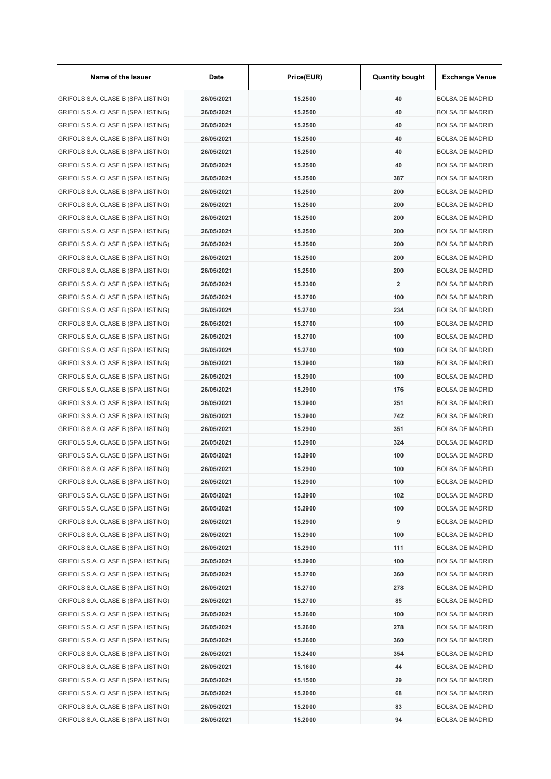| Name of the Issuer                 | Date       | Price(EUR) | <b>Quantity bought</b>  | <b>Exchange Venue</b>  |
|------------------------------------|------------|------------|-------------------------|------------------------|
| GRIFOLS S.A. CLASE B (SPA LISTING) | 26/05/2021 | 15.2500    | 40                      | <b>BOLSA DE MADRID</b> |
| GRIFOLS S.A. CLASE B (SPA LISTING) | 26/05/2021 | 15.2500    | 40                      | <b>BOLSA DE MADRID</b> |
| GRIFOLS S.A. CLASE B (SPA LISTING) | 26/05/2021 | 15.2500    | 40                      | <b>BOLSA DE MADRID</b> |
| GRIFOLS S.A. CLASE B (SPA LISTING) | 26/05/2021 | 15.2500    | 40                      | <b>BOLSA DE MADRID</b> |
| GRIFOLS S.A. CLASE B (SPA LISTING) | 26/05/2021 | 15.2500    | 40                      | <b>BOLSA DE MADRID</b> |
| GRIFOLS S.A. CLASE B (SPA LISTING) | 26/05/2021 | 15.2500    | 40                      | <b>BOLSA DE MADRID</b> |
| GRIFOLS S.A. CLASE B (SPA LISTING) | 26/05/2021 | 15.2500    | 387                     | <b>BOLSA DE MADRID</b> |
| GRIFOLS S.A. CLASE B (SPA LISTING) | 26/05/2021 | 15.2500    | 200                     | <b>BOLSA DE MADRID</b> |
| GRIFOLS S.A. CLASE B (SPA LISTING) | 26/05/2021 | 15.2500    | 200                     | <b>BOLSA DE MADRID</b> |
| GRIFOLS S.A. CLASE B (SPA LISTING) | 26/05/2021 | 15.2500    | 200                     | <b>BOLSA DE MADRID</b> |
| GRIFOLS S.A. CLASE B (SPA LISTING) | 26/05/2021 | 15.2500    | 200                     | <b>BOLSA DE MADRID</b> |
| GRIFOLS S.A. CLASE B (SPA LISTING) | 26/05/2021 | 15.2500    | 200                     | <b>BOLSA DE MADRID</b> |
| GRIFOLS S.A. CLASE B (SPA LISTING) | 26/05/2021 | 15.2500    | 200                     | <b>BOLSA DE MADRID</b> |
| GRIFOLS S.A. CLASE B (SPA LISTING) | 26/05/2021 | 15.2500    | 200                     | <b>BOLSA DE MADRID</b> |
| GRIFOLS S.A. CLASE B (SPA LISTING) | 26/05/2021 | 15.2300    | $\overline{\mathbf{2}}$ | <b>BOLSA DE MADRID</b> |
| GRIFOLS S.A. CLASE B (SPA LISTING) | 26/05/2021 | 15.2700    | 100                     | <b>BOLSA DE MADRID</b> |
| GRIFOLS S.A. CLASE B (SPA LISTING) | 26/05/2021 | 15.2700    | 234                     | <b>BOLSA DE MADRID</b> |
| GRIFOLS S.A. CLASE B (SPA LISTING) | 26/05/2021 | 15.2700    | 100                     | <b>BOLSA DE MADRID</b> |
| GRIFOLS S.A. CLASE B (SPA LISTING) | 26/05/2021 | 15.2700    | 100                     | <b>BOLSA DE MADRID</b> |
| GRIFOLS S.A. CLASE B (SPA LISTING) | 26/05/2021 | 15.2700    | 100                     | <b>BOLSA DE MADRID</b> |
| GRIFOLS S.A. CLASE B (SPA LISTING) | 26/05/2021 | 15.2900    | 180                     | <b>BOLSA DE MADRID</b> |
| GRIFOLS S.A. CLASE B (SPA LISTING) | 26/05/2021 | 15.2900    | 100                     | <b>BOLSA DE MADRID</b> |
| GRIFOLS S.A. CLASE B (SPA LISTING) | 26/05/2021 | 15.2900    | 176                     | <b>BOLSA DE MADRID</b> |
| GRIFOLS S.A. CLASE B (SPA LISTING) | 26/05/2021 | 15.2900    | 251                     | <b>BOLSA DE MADRID</b> |
| GRIFOLS S.A. CLASE B (SPA LISTING) | 26/05/2021 | 15.2900    | 742                     | <b>BOLSA DE MADRID</b> |
| GRIFOLS S.A. CLASE B (SPA LISTING) | 26/05/2021 | 15.2900    | 351                     | <b>BOLSA DE MADRID</b> |
| GRIFOLS S.A. CLASE B (SPA LISTING) | 26/05/2021 | 15.2900    | 324                     | <b>BOLSA DE MADRID</b> |
| GRIFOLS S.A. CLASE B (SPA LISTING) | 26/05/2021 | 15.2900    | 100                     | <b>BOLSA DE MADRID</b> |
| GRIFOLS S.A. CLASE B (SPA LISTING) | 26/05/2021 | 15.2900    | 100                     | <b>BOLSA DE MADRID</b> |
| GRIFOLS S.A. CLASE B (SPA LISTING) | 26/05/2021 | 15.2900    | 100                     | <b>BOLSA DE MADRID</b> |
| GRIFOLS S.A. CLASE B (SPA LISTING) | 26/05/2021 | 15.2900    | 102                     | <b>BOLSA DE MADRID</b> |
| GRIFOLS S.A. CLASE B (SPA LISTING) | 26/05/2021 | 15.2900    | 100                     | <b>BOLSA DE MADRID</b> |
| GRIFOLS S.A. CLASE B (SPA LISTING) | 26/05/2021 | 15.2900    | 9                       | <b>BOLSA DE MADRID</b> |
| GRIFOLS S.A. CLASE B (SPA LISTING) | 26/05/2021 | 15.2900    | 100                     | <b>BOLSA DE MADRID</b> |
| GRIFOLS S.A. CLASE B (SPA LISTING) | 26/05/2021 | 15.2900    | 111                     | <b>BOLSA DE MADRID</b> |
| GRIFOLS S.A. CLASE B (SPA LISTING) | 26/05/2021 | 15.2900    | 100                     | <b>BOLSA DE MADRID</b> |
| GRIFOLS S.A. CLASE B (SPA LISTING) | 26/05/2021 | 15.2700    | 360                     | <b>BOLSA DE MADRID</b> |
| GRIFOLS S.A. CLASE B (SPA LISTING) | 26/05/2021 | 15.2700    | 278                     | <b>BOLSA DE MADRID</b> |
| GRIFOLS S.A. CLASE B (SPA LISTING) | 26/05/2021 | 15.2700    | 85                      | <b>BOLSA DE MADRID</b> |
| GRIFOLS S.A. CLASE B (SPA LISTING) | 26/05/2021 | 15.2600    | 100                     | <b>BOLSA DE MADRID</b> |
| GRIFOLS S.A. CLASE B (SPA LISTING) | 26/05/2021 | 15.2600    | 278                     | <b>BOLSA DE MADRID</b> |
| GRIFOLS S.A. CLASE B (SPA LISTING) | 26/05/2021 | 15.2600    | 360                     | <b>BOLSA DE MADRID</b> |
| GRIFOLS S.A. CLASE B (SPA LISTING) | 26/05/2021 | 15.2400    | 354                     | <b>BOLSA DE MADRID</b> |
| GRIFOLS S.A. CLASE B (SPA LISTING) | 26/05/2021 | 15.1600    | 44                      | <b>BOLSA DE MADRID</b> |
| GRIFOLS S.A. CLASE B (SPA LISTING) | 26/05/2021 | 15.1500    | 29                      | <b>BOLSA DE MADRID</b> |
| GRIFOLS S.A. CLASE B (SPA LISTING) | 26/05/2021 | 15.2000    | 68                      | <b>BOLSA DE MADRID</b> |
| GRIFOLS S.A. CLASE B (SPA LISTING) | 26/05/2021 | 15.2000    | 83                      | <b>BOLSA DE MADRID</b> |
| GRIFOLS S.A. CLASE B (SPA LISTING) | 26/05/2021 | 15.2000    | 94                      | <b>BOLSA DE MADRID</b> |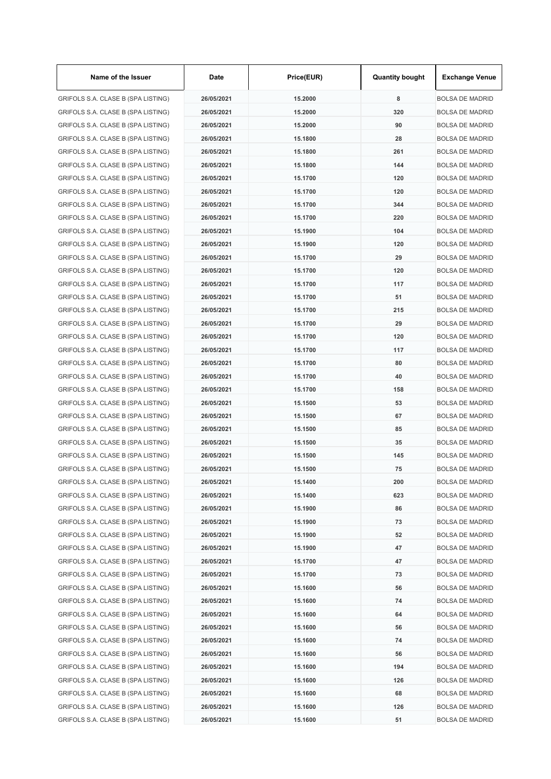| Name of the Issuer                 | Date       | Price(EUR) | <b>Quantity bought</b> | <b>Exchange Venue</b>  |
|------------------------------------|------------|------------|------------------------|------------------------|
| GRIFOLS S.A. CLASE B (SPA LISTING) | 26/05/2021 | 15.2000    | 8                      | <b>BOLSA DE MADRID</b> |
| GRIFOLS S.A. CLASE B (SPA LISTING) | 26/05/2021 | 15.2000    | 320                    | <b>BOLSA DE MADRID</b> |
| GRIFOLS S.A. CLASE B (SPA LISTING) | 26/05/2021 | 15.2000    | 90                     | <b>BOLSA DE MADRID</b> |
| GRIFOLS S.A. CLASE B (SPA LISTING) | 26/05/2021 | 15.1800    | 28                     | <b>BOLSA DE MADRID</b> |
| GRIFOLS S.A. CLASE B (SPA LISTING) | 26/05/2021 | 15.1800    | 261                    | <b>BOLSA DE MADRID</b> |
| GRIFOLS S.A. CLASE B (SPA LISTING) | 26/05/2021 | 15.1800    | 144                    | <b>BOLSA DE MADRID</b> |
| GRIFOLS S.A. CLASE B (SPA LISTING) | 26/05/2021 | 15.1700    | 120                    | <b>BOLSA DE MADRID</b> |
| GRIFOLS S.A. CLASE B (SPA LISTING) | 26/05/2021 | 15.1700    | 120                    | <b>BOLSA DE MADRID</b> |
| GRIFOLS S.A. CLASE B (SPA LISTING) | 26/05/2021 | 15.1700    | 344                    | <b>BOLSA DE MADRID</b> |
| GRIFOLS S.A. CLASE B (SPA LISTING) | 26/05/2021 | 15.1700    | 220                    | <b>BOLSA DE MADRID</b> |
| GRIFOLS S.A. CLASE B (SPA LISTING) | 26/05/2021 | 15.1900    | 104                    | <b>BOLSA DE MADRID</b> |
| GRIFOLS S.A. CLASE B (SPA LISTING) | 26/05/2021 | 15.1900    | 120                    | <b>BOLSA DE MADRID</b> |
| GRIFOLS S.A. CLASE B (SPA LISTING) | 26/05/2021 | 15.1700    | 29                     | <b>BOLSA DE MADRID</b> |
| GRIFOLS S.A. CLASE B (SPA LISTING) | 26/05/2021 | 15.1700    | 120                    | <b>BOLSA DE MADRID</b> |
| GRIFOLS S.A. CLASE B (SPA LISTING) | 26/05/2021 | 15.1700    | 117                    | <b>BOLSA DE MADRID</b> |
| GRIFOLS S.A. CLASE B (SPA LISTING) | 26/05/2021 | 15.1700    | 51                     | <b>BOLSA DE MADRID</b> |
| GRIFOLS S.A. CLASE B (SPA LISTING) | 26/05/2021 | 15.1700    | 215                    | <b>BOLSA DE MADRID</b> |
| GRIFOLS S.A. CLASE B (SPA LISTING) | 26/05/2021 | 15.1700    | 29                     | <b>BOLSA DE MADRID</b> |
| GRIFOLS S.A. CLASE B (SPA LISTING) | 26/05/2021 | 15.1700    | 120                    | <b>BOLSA DE MADRID</b> |
| GRIFOLS S.A. CLASE B (SPA LISTING) | 26/05/2021 | 15.1700    | 117                    | <b>BOLSA DE MADRID</b> |
| GRIFOLS S.A. CLASE B (SPA LISTING) | 26/05/2021 | 15.1700    | 80                     | <b>BOLSA DE MADRID</b> |
| GRIFOLS S.A. CLASE B (SPA LISTING) | 26/05/2021 | 15.1700    | 40                     | <b>BOLSA DE MADRID</b> |
| GRIFOLS S.A. CLASE B (SPA LISTING) | 26/05/2021 | 15.1700    | 158                    | <b>BOLSA DE MADRID</b> |
| GRIFOLS S.A. CLASE B (SPA LISTING) | 26/05/2021 | 15.1500    | 53                     | <b>BOLSA DE MADRID</b> |
| GRIFOLS S.A. CLASE B (SPA LISTING) | 26/05/2021 | 15.1500    | 67                     | <b>BOLSA DE MADRID</b> |
| GRIFOLS S.A. CLASE B (SPA LISTING) | 26/05/2021 | 15.1500    | 85                     | <b>BOLSA DE MADRID</b> |
| GRIFOLS S.A. CLASE B (SPA LISTING) | 26/05/2021 | 15.1500    | 35                     | <b>BOLSA DE MADRID</b> |
| GRIFOLS S.A. CLASE B (SPA LISTING) | 26/05/2021 | 15.1500    | 145                    | <b>BOLSA DE MADRID</b> |
| GRIFOLS S.A. CLASE B (SPA LISTING) | 26/05/2021 | 15.1500    | 75                     | BOLSA DE MADRID        |
| GRIFOLS S.A. CLASE B (SPA LISTING) | 26/05/2021 | 15.1400    | 200                    | BOLSA DE MADRID        |
| GRIFOLS S.A. CLASE B (SPA LISTING) | 26/05/2021 | 15.1400    | 623                    | <b>BOLSA DE MADRID</b> |
| GRIFOLS S.A. CLASE B (SPA LISTING) | 26/05/2021 | 15.1900    | 86                     | <b>BOLSA DE MADRID</b> |
| GRIFOLS S.A. CLASE B (SPA LISTING) | 26/05/2021 | 15.1900    | 73                     | <b>BOLSA DE MADRID</b> |
| GRIFOLS S.A. CLASE B (SPA LISTING) | 26/05/2021 | 15.1900    | 52                     | <b>BOLSA DE MADRID</b> |
| GRIFOLS S.A. CLASE B (SPA LISTING) | 26/05/2021 | 15.1900    | 47                     | <b>BOLSA DE MADRID</b> |
| GRIFOLS S.A. CLASE B (SPA LISTING) | 26/05/2021 | 15.1700    | 47                     | <b>BOLSA DE MADRID</b> |
| GRIFOLS S.A. CLASE B (SPA LISTING) | 26/05/2021 | 15.1700    | 73                     | <b>BOLSA DE MADRID</b> |
| GRIFOLS S.A. CLASE B (SPA LISTING) | 26/05/2021 | 15.1600    | 56                     | <b>BOLSA DE MADRID</b> |
| GRIFOLS S.A. CLASE B (SPA LISTING) | 26/05/2021 | 15.1600    | 74                     | <b>BOLSA DE MADRID</b> |
| GRIFOLS S.A. CLASE B (SPA LISTING) | 26/05/2021 | 15.1600    | 64                     | <b>BOLSA DE MADRID</b> |
| GRIFOLS S.A. CLASE B (SPA LISTING) | 26/05/2021 | 15.1600    | 56                     | <b>BOLSA DE MADRID</b> |
| GRIFOLS S.A. CLASE B (SPA LISTING) | 26/05/2021 | 15.1600    | 74                     | <b>BOLSA DE MADRID</b> |
| GRIFOLS S.A. CLASE B (SPA LISTING) | 26/05/2021 | 15.1600    | 56                     | <b>BOLSA DE MADRID</b> |
| GRIFOLS S.A. CLASE B (SPA LISTING) | 26/05/2021 | 15.1600    | 194                    | <b>BOLSA DE MADRID</b> |
| GRIFOLS S.A. CLASE B (SPA LISTING) | 26/05/2021 | 15.1600    | 126                    | <b>BOLSA DE MADRID</b> |
| GRIFOLS S.A. CLASE B (SPA LISTING) | 26/05/2021 | 15.1600    | 68                     | <b>BOLSA DE MADRID</b> |
| GRIFOLS S.A. CLASE B (SPA LISTING) | 26/05/2021 | 15.1600    | 126                    | <b>BOLSA DE MADRID</b> |
| GRIFOLS S.A. CLASE B (SPA LISTING) | 26/05/2021 | 15.1600    | 51                     | <b>BOLSA DE MADRID</b> |
|                                    |            |            |                        |                        |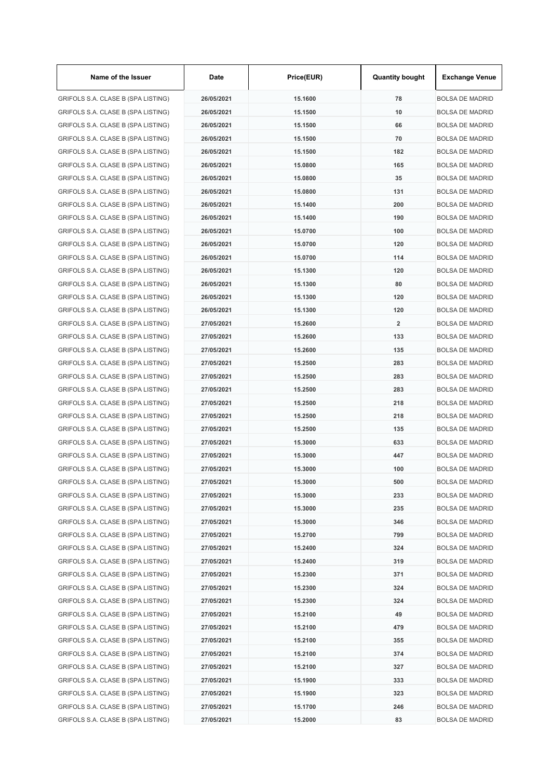| Name of the Issuer                 | Date       | Price(EUR) | <b>Quantity bought</b> | <b>Exchange Venue</b>  |
|------------------------------------|------------|------------|------------------------|------------------------|
| GRIFOLS S.A. CLASE B (SPA LISTING) | 26/05/2021 | 15.1600    | 78                     | <b>BOLSA DE MADRID</b> |
| GRIFOLS S.A. CLASE B (SPA LISTING) | 26/05/2021 | 15.1500    | 10                     | <b>BOLSA DE MADRID</b> |
| GRIFOLS S.A. CLASE B (SPA LISTING) | 26/05/2021 | 15.1500    | 66                     | <b>BOLSA DE MADRID</b> |
| GRIFOLS S.A. CLASE B (SPA LISTING) | 26/05/2021 | 15.1500    | 70                     | <b>BOLSA DE MADRID</b> |
| GRIFOLS S.A. CLASE B (SPA LISTING) | 26/05/2021 | 15.1500    | 182                    | <b>BOLSA DE MADRID</b> |
| GRIFOLS S.A. CLASE B (SPA LISTING) | 26/05/2021 | 15.0800    | 165                    | <b>BOLSA DE MADRID</b> |
| GRIFOLS S.A. CLASE B (SPA LISTING) | 26/05/2021 | 15.0800    | 35                     | <b>BOLSA DE MADRID</b> |
| GRIFOLS S.A. CLASE B (SPA LISTING) | 26/05/2021 | 15.0800    | 131                    | <b>BOLSA DE MADRID</b> |
| GRIFOLS S.A. CLASE B (SPA LISTING) | 26/05/2021 | 15.1400    | 200                    | <b>BOLSA DE MADRID</b> |
| GRIFOLS S.A. CLASE B (SPA LISTING) | 26/05/2021 | 15.1400    | 190                    | <b>BOLSA DE MADRID</b> |
| GRIFOLS S.A. CLASE B (SPA LISTING) | 26/05/2021 | 15.0700    | 100                    | <b>BOLSA DE MADRID</b> |
| GRIFOLS S.A. CLASE B (SPA LISTING) | 26/05/2021 | 15.0700    | 120                    | <b>BOLSA DE MADRID</b> |
| GRIFOLS S.A. CLASE B (SPA LISTING) | 26/05/2021 | 15.0700    | 114                    | <b>BOLSA DE MADRID</b> |
| GRIFOLS S.A. CLASE B (SPA LISTING) | 26/05/2021 | 15.1300    | 120                    | <b>BOLSA DE MADRID</b> |
| GRIFOLS S.A. CLASE B (SPA LISTING) | 26/05/2021 | 15.1300    | 80                     | <b>BOLSA DE MADRID</b> |
| GRIFOLS S.A. CLASE B (SPA LISTING) | 26/05/2021 | 15.1300    | 120                    | BOLSA DE MADRID        |
| GRIFOLS S.A. CLASE B (SPA LISTING) | 26/05/2021 | 15.1300    | 120                    | <b>BOLSA DE MADRID</b> |
| GRIFOLS S.A. CLASE B (SPA LISTING) | 27/05/2021 | 15.2600    | $\overline{2}$         | <b>BOLSA DE MADRID</b> |
| GRIFOLS S.A. CLASE B (SPA LISTING) | 27/05/2021 | 15.2600    | 133                    | <b>BOLSA DE MADRID</b> |
| GRIFOLS S.A. CLASE B (SPA LISTING) | 27/05/2021 | 15.2600    | 135                    | <b>BOLSA DE MADRID</b> |
| GRIFOLS S.A. CLASE B (SPA LISTING) | 27/05/2021 | 15.2500    | 283                    | <b>BOLSA DE MADRID</b> |
| GRIFOLS S.A. CLASE B (SPA LISTING) | 27/05/2021 | 15.2500    | 283                    | <b>BOLSA DE MADRID</b> |
| GRIFOLS S.A. CLASE B (SPA LISTING) | 27/05/2021 | 15.2500    | 283                    | <b>BOLSA DE MADRID</b> |
| GRIFOLS S.A. CLASE B (SPA LISTING) | 27/05/2021 | 15.2500    | 218                    | <b>BOLSA DE MADRID</b> |
| GRIFOLS S.A. CLASE B (SPA LISTING) | 27/05/2021 | 15.2500    | 218                    | <b>BOLSA DE MADRID</b> |
| GRIFOLS S.A. CLASE B (SPA LISTING) | 27/05/2021 | 15.2500    | 135                    | <b>BOLSA DE MADRID</b> |
| GRIFOLS S.A. CLASE B (SPA LISTING) | 27/05/2021 | 15.3000    | 633                    | <b>BOLSA DE MADRID</b> |
| GRIFOLS S.A. CLASE B (SPA LISTING) | 27/05/2021 | 15.3000    | 447                    | <b>BOLSA DE MADRID</b> |
| GRIFOLS S.A. CLASE B (SPA LISTING) | 27/05/2021 | 15.3000    | 100                    | <b>BOLSA DE MADRID</b> |
| GRIFOLS S.A. CLASE B (SPA LISTING) | 27/05/2021 | 15.3000    | 500                    | <b>BOLSA DE MADRID</b> |
| GRIFOLS S.A. CLASE B (SPA LISTING) | 27/05/2021 | 15.3000    | 233                    | <b>BOLSA DE MADRID</b> |
| GRIFOLS S.A. CLASE B (SPA LISTING) | 27/05/2021 | 15.3000    | 235                    | <b>BOLSA DE MADRID</b> |
| GRIFOLS S.A. CLASE B (SPA LISTING) | 27/05/2021 | 15.3000    | 346                    | <b>BOLSA DE MADRID</b> |
| GRIFOLS S.A. CLASE B (SPA LISTING) | 27/05/2021 | 15.2700    | 799                    | <b>BOLSA DE MADRID</b> |
| GRIFOLS S.A. CLASE B (SPA LISTING) | 27/05/2021 | 15.2400    | 324                    | <b>BOLSA DE MADRID</b> |
| GRIFOLS S.A. CLASE B (SPA LISTING) | 27/05/2021 | 15.2400    | 319                    | <b>BOLSA DE MADRID</b> |
| GRIFOLS S.A. CLASE B (SPA LISTING) | 27/05/2021 | 15.2300    | 371                    | <b>BOLSA DE MADRID</b> |
| GRIFOLS S.A. CLASE B (SPA LISTING) | 27/05/2021 | 15.2300    | 324                    | <b>BOLSA DE MADRID</b> |
| GRIFOLS S.A. CLASE B (SPA LISTING) | 27/05/2021 | 15.2300    | 324                    | <b>BOLSA DE MADRID</b> |
| GRIFOLS S.A. CLASE B (SPA LISTING) | 27/05/2021 | 15.2100    | 49                     | <b>BOLSA DE MADRID</b> |
| GRIFOLS S.A. CLASE B (SPA LISTING) | 27/05/2021 | 15.2100    | 479                    | <b>BOLSA DE MADRID</b> |
| GRIFOLS S.A. CLASE B (SPA LISTING) | 27/05/2021 | 15.2100    | 355                    | <b>BOLSA DE MADRID</b> |
| GRIFOLS S.A. CLASE B (SPA LISTING) | 27/05/2021 | 15.2100    | 374                    | <b>BOLSA DE MADRID</b> |
| GRIFOLS S.A. CLASE B (SPA LISTING) | 27/05/2021 | 15.2100    | 327                    | <b>BOLSA DE MADRID</b> |
| GRIFOLS S.A. CLASE B (SPA LISTING) | 27/05/2021 | 15.1900    | 333                    | <b>BOLSA DE MADRID</b> |
| GRIFOLS S.A. CLASE B (SPA LISTING) | 27/05/2021 | 15.1900    | 323                    | BOLSA DE MADRID        |
| GRIFOLS S.A. CLASE B (SPA LISTING) | 27/05/2021 | 15.1700    | 246                    | <b>BOLSA DE MADRID</b> |
| GRIFOLS S.A. CLASE B (SPA LISTING) | 27/05/2021 | 15.2000    | 83                     | <b>BOLSA DE MADRID</b> |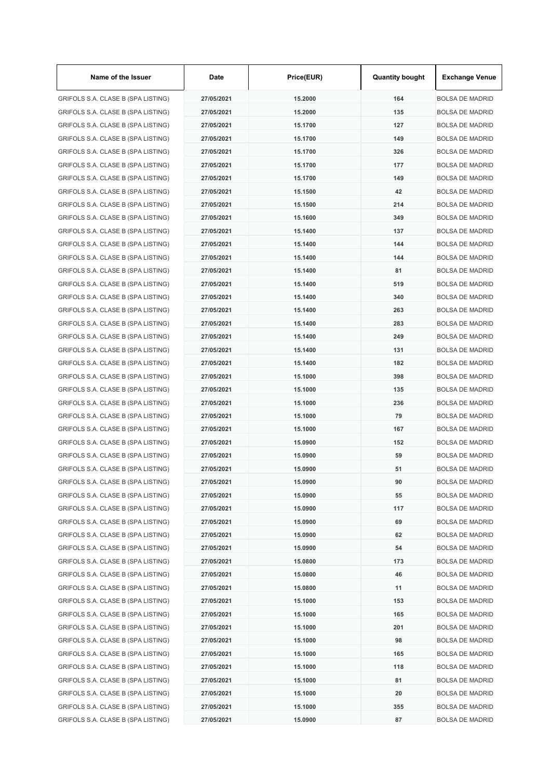| Name of the Issuer                 | Date       | Price(EUR) | <b>Quantity bought</b> | <b>Exchange Venue</b>  |
|------------------------------------|------------|------------|------------------------|------------------------|
| GRIFOLS S.A. CLASE B (SPA LISTING) | 27/05/2021 | 15.2000    | 164                    | <b>BOLSA DE MADRID</b> |
| GRIFOLS S.A. CLASE B (SPA LISTING) | 27/05/2021 | 15.2000    | 135                    | <b>BOLSA DE MADRID</b> |
| GRIFOLS S.A. CLASE B (SPA LISTING) | 27/05/2021 | 15.1700    | 127                    | <b>BOLSA DE MADRID</b> |
| GRIFOLS S.A. CLASE B (SPA LISTING) | 27/05/2021 | 15.1700    | 149                    | <b>BOLSA DE MADRID</b> |
| GRIFOLS S.A. CLASE B (SPA LISTING) | 27/05/2021 | 15.1700    | 326                    | <b>BOLSA DE MADRID</b> |
| GRIFOLS S.A. CLASE B (SPA LISTING) | 27/05/2021 | 15.1700    | 177                    | <b>BOLSA DE MADRID</b> |
| GRIFOLS S.A. CLASE B (SPA LISTING) | 27/05/2021 | 15.1700    | 149                    | <b>BOLSA DE MADRID</b> |
| GRIFOLS S.A. CLASE B (SPA LISTING) | 27/05/2021 | 15.1500    | 42                     | <b>BOLSA DE MADRID</b> |
| GRIFOLS S.A. CLASE B (SPA LISTING) | 27/05/2021 | 15.1500    | 214                    | <b>BOLSA DE MADRID</b> |
| GRIFOLS S.A. CLASE B (SPA LISTING) | 27/05/2021 | 15.1600    | 349                    | <b>BOLSA DE MADRID</b> |
| GRIFOLS S.A. CLASE B (SPA LISTING) | 27/05/2021 | 15.1400    | 137                    | <b>BOLSA DE MADRID</b> |
| GRIFOLS S.A. CLASE B (SPA LISTING) | 27/05/2021 | 15.1400    | 144                    | <b>BOLSA DE MADRID</b> |
| GRIFOLS S.A. CLASE B (SPA LISTING) | 27/05/2021 | 15.1400    | 144                    | <b>BOLSA DE MADRID</b> |
| GRIFOLS S.A. CLASE B (SPA LISTING) | 27/05/2021 | 15.1400    | 81                     | <b>BOLSA DE MADRID</b> |
| GRIFOLS S.A. CLASE B (SPA LISTING) | 27/05/2021 | 15.1400    | 519                    | <b>BOLSA DE MADRID</b> |
| GRIFOLS S.A. CLASE B (SPA LISTING) | 27/05/2021 | 15.1400    | 340                    | <b>BOLSA DE MADRID</b> |
| GRIFOLS S.A. CLASE B (SPA LISTING) | 27/05/2021 | 15.1400    | 263                    | <b>BOLSA DE MADRID</b> |
| GRIFOLS S.A. CLASE B (SPA LISTING) | 27/05/2021 | 15.1400    | 283                    | <b>BOLSA DE MADRID</b> |
| GRIFOLS S.A. CLASE B (SPA LISTING) | 27/05/2021 | 15.1400    | 249                    | <b>BOLSA DE MADRID</b> |
| GRIFOLS S.A. CLASE B (SPA LISTING) | 27/05/2021 | 15.1400    | 131                    | <b>BOLSA DE MADRID</b> |
| GRIFOLS S.A. CLASE B (SPA LISTING) | 27/05/2021 | 15.1400    | 182                    | <b>BOLSA DE MADRID</b> |
| GRIFOLS S.A. CLASE B (SPA LISTING) | 27/05/2021 | 15.1000    | 398                    | <b>BOLSA DE MADRID</b> |
| GRIFOLS S.A. CLASE B (SPA LISTING) | 27/05/2021 | 15.1000    | 135                    | <b>BOLSA DE MADRID</b> |
| GRIFOLS S.A. CLASE B (SPA LISTING) | 27/05/2021 | 15.1000    | 236                    | <b>BOLSA DE MADRID</b> |
| GRIFOLS S.A. CLASE B (SPA LISTING) | 27/05/2021 | 15.1000    | 79                     | <b>BOLSA DE MADRID</b> |
| GRIFOLS S.A. CLASE B (SPA LISTING) | 27/05/2021 | 15.1000    | 167                    | <b>BOLSA DE MADRID</b> |
| GRIFOLS S.A. CLASE B (SPA LISTING) | 27/05/2021 | 15.0900    | 152                    | <b>BOLSA DE MADRID</b> |
| GRIFOLS S.A. CLASE B (SPA LISTING) | 27/05/2021 | 15.0900    | 59                     | <b>BOLSA DE MADRID</b> |
| GRIFOLS S.A. CLASE B (SPA LISTING) | 27/05/2021 | 15.0900    | 51                     | <b>BOLSA DE MADRID</b> |
| GRIFOLS S.A. CLASE B (SPA LISTING) | 27/05/2021 | 15.0900    | 90                     | <b>BOLSA DE MADRID</b> |
| GRIFOLS S.A. CLASE B (SPA LISTING) | 27/05/2021 | 15.0900    | 55                     | <b>BOLSA DE MADRID</b> |
| GRIFOLS S.A. CLASE B (SPA LISTING) | 27/05/2021 | 15.0900    | 117                    | <b>BOLSA DE MADRID</b> |
| GRIFOLS S.A. CLASE B (SPA LISTING) | 27/05/2021 | 15.0900    | 69                     | <b>BOLSA DE MADRID</b> |
| GRIFOLS S.A. CLASE B (SPA LISTING) | 27/05/2021 | 15.0900    | 62                     | <b>BOLSA DE MADRID</b> |
| GRIFOLS S.A. CLASE B (SPA LISTING) | 27/05/2021 | 15.0900    | 54                     | <b>BOLSA DE MADRID</b> |
| GRIFOLS S.A. CLASE B (SPA LISTING) | 27/05/2021 | 15.0800    | 173                    | <b>BOLSA DE MADRID</b> |
| GRIFOLS S.A. CLASE B (SPA LISTING) | 27/05/2021 | 15.0800    | 46                     | <b>BOLSA DE MADRID</b> |
| GRIFOLS S.A. CLASE B (SPA LISTING) | 27/05/2021 | 15.0800    | 11                     | <b>BOLSA DE MADRID</b> |
| GRIFOLS S.A. CLASE B (SPA LISTING) | 27/05/2021 | 15.1000    | 153                    | <b>BOLSA DE MADRID</b> |
| GRIFOLS S.A. CLASE B (SPA LISTING) | 27/05/2021 | 15.1000    | 165                    | <b>BOLSA DE MADRID</b> |
| GRIFOLS S.A. CLASE B (SPA LISTING) | 27/05/2021 | 15.1000    | 201                    | <b>BOLSA DE MADRID</b> |
| GRIFOLS S.A. CLASE B (SPA LISTING) | 27/05/2021 | 15.1000    | 98                     | <b>BOLSA DE MADRID</b> |
| GRIFOLS S.A. CLASE B (SPA LISTING) | 27/05/2021 | 15.1000    | 165                    | <b>BOLSA DE MADRID</b> |
| GRIFOLS S.A. CLASE B (SPA LISTING) | 27/05/2021 | 15.1000    | 118                    | <b>BOLSA DE MADRID</b> |
| GRIFOLS S.A. CLASE B (SPA LISTING) | 27/05/2021 | 15.1000    | 81                     | <b>BOLSA DE MADRID</b> |
| GRIFOLS S.A. CLASE B (SPA LISTING) | 27/05/2021 | 15.1000    | 20                     | <b>BOLSA DE MADRID</b> |
| GRIFOLS S.A. CLASE B (SPA LISTING) | 27/05/2021 | 15.1000    | 355                    | <b>BOLSA DE MADRID</b> |
| GRIFOLS S.A. CLASE B (SPA LISTING) | 27/05/2021 | 15.0900    | 87                     | <b>BOLSA DE MADRID</b> |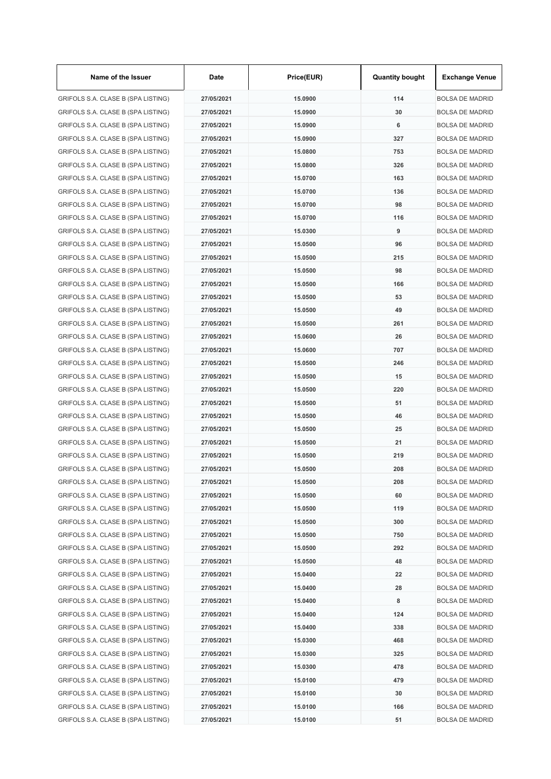| Name of the Issuer                 | Date       | Price(EUR) | <b>Quantity bought</b> | <b>Exchange Venue</b>  |
|------------------------------------|------------|------------|------------------------|------------------------|
| GRIFOLS S.A. CLASE B (SPA LISTING) | 27/05/2021 | 15.0900    | 114                    | <b>BOLSA DE MADRID</b> |
| GRIFOLS S.A. CLASE B (SPA LISTING) | 27/05/2021 | 15.0900    | 30                     | <b>BOLSA DE MADRID</b> |
| GRIFOLS S.A. CLASE B (SPA LISTING) | 27/05/2021 | 15.0900    | 6                      | <b>BOLSA DE MADRID</b> |
| GRIFOLS S.A. CLASE B (SPA LISTING) | 27/05/2021 | 15.0900    | 327                    | <b>BOLSA DE MADRID</b> |
| GRIFOLS S.A. CLASE B (SPA LISTING) | 27/05/2021 | 15.0800    | 753                    | <b>BOLSA DE MADRID</b> |
| GRIFOLS S.A. CLASE B (SPA LISTING) | 27/05/2021 | 15.0800    | 326                    | <b>BOLSA DE MADRID</b> |
| GRIFOLS S.A. CLASE B (SPA LISTING) | 27/05/2021 | 15.0700    | 163                    | <b>BOLSA DE MADRID</b> |
| GRIFOLS S.A. CLASE B (SPA LISTING) | 27/05/2021 | 15.0700    | 136                    | <b>BOLSA DE MADRID</b> |
| GRIFOLS S.A. CLASE B (SPA LISTING) | 27/05/2021 | 15.0700    | 98                     | <b>BOLSA DE MADRID</b> |
| GRIFOLS S.A. CLASE B (SPA LISTING) | 27/05/2021 | 15.0700    | 116                    | <b>BOLSA DE MADRID</b> |
| GRIFOLS S.A. CLASE B (SPA LISTING) | 27/05/2021 | 15.0300    | 9                      | <b>BOLSA DE MADRID</b> |
| GRIFOLS S.A. CLASE B (SPA LISTING) | 27/05/2021 | 15.0500    | 96                     | <b>BOLSA DE MADRID</b> |
| GRIFOLS S.A. CLASE B (SPA LISTING) | 27/05/2021 | 15.0500    | 215                    | <b>BOLSA DE MADRID</b> |
| GRIFOLS S.A. CLASE B (SPA LISTING) | 27/05/2021 | 15.0500    | 98                     | <b>BOLSA DE MADRID</b> |
| GRIFOLS S.A. CLASE B (SPA LISTING) | 27/05/2021 | 15.0500    | 166                    | <b>BOLSA DE MADRID</b> |
| GRIFOLS S.A. CLASE B (SPA LISTING) | 27/05/2021 | 15.0500    | 53                     | <b>BOLSA DE MADRID</b> |
| GRIFOLS S.A. CLASE B (SPA LISTING) | 27/05/2021 | 15.0500    | 49                     | <b>BOLSA DE MADRID</b> |
| GRIFOLS S.A. CLASE B (SPA LISTING) | 27/05/2021 | 15.0500    | 261                    | <b>BOLSA DE MADRID</b> |
| GRIFOLS S.A. CLASE B (SPA LISTING) | 27/05/2021 | 15.0600    | 26                     | <b>BOLSA DE MADRID</b> |
| GRIFOLS S.A. CLASE B (SPA LISTING) | 27/05/2021 | 15.0600    | 707                    | <b>BOLSA DE MADRID</b> |
| GRIFOLS S.A. CLASE B (SPA LISTING) | 27/05/2021 | 15.0500    | 246                    | <b>BOLSA DE MADRID</b> |
| GRIFOLS S.A. CLASE B (SPA LISTING) | 27/05/2021 | 15.0500    | 15                     | <b>BOLSA DE MADRID</b> |
| GRIFOLS S.A. CLASE B (SPA LISTING) | 27/05/2021 | 15.0500    | 220                    | <b>BOLSA DE MADRID</b> |
| GRIFOLS S.A. CLASE B (SPA LISTING) | 27/05/2021 | 15.0500    | 51                     | <b>BOLSA DE MADRID</b> |
| GRIFOLS S.A. CLASE B (SPA LISTING) | 27/05/2021 | 15.0500    | 46                     | <b>BOLSA DE MADRID</b> |
| GRIFOLS S.A. CLASE B (SPA LISTING) | 27/05/2021 | 15.0500    | 25                     | <b>BOLSA DE MADRID</b> |
| GRIFOLS S.A. CLASE B (SPA LISTING) | 27/05/2021 | 15.0500    | 21                     | <b>BOLSA DE MADRID</b> |
| GRIFOLS S.A. CLASE B (SPA LISTING) | 27/05/2021 | 15.0500    | 219                    | <b>BOLSA DE MADRID</b> |
| GRIFOLS S.A. CLASE B (SPA LISTING) | 27/05/2021 | 15.0500    | 208                    | <b>BOLSA DE MADRID</b> |
| GRIFOLS S.A. CLASE B (SPA LISTING) | 27/05/2021 | 15.0500    | 208                    | <b>BOLSA DE MADRID</b> |
| GRIFOLS S.A. CLASE B (SPA LISTING) | 27/05/2021 | 15.0500    | 60                     | <b>BOLSA DE MADRID</b> |
| GRIFOLS S.A. CLASE B (SPA LISTING) | 27/05/2021 | 15.0500    | 119                    | <b>BOLSA DE MADRID</b> |
| GRIFOLS S.A. CLASE B (SPA LISTING) | 27/05/2021 | 15.0500    | 300                    | <b>BOLSA DE MADRID</b> |
| GRIFOLS S.A. CLASE B (SPA LISTING) | 27/05/2021 | 15.0500    | 750                    | <b>BOLSA DE MADRID</b> |
| GRIFOLS S.A. CLASE B (SPA LISTING) | 27/05/2021 | 15.0500    | 292                    | <b>BOLSA DE MADRID</b> |
| GRIFOLS S.A. CLASE B (SPA LISTING) | 27/05/2021 | 15.0500    | 48                     | <b>BOLSA DE MADRID</b> |
| GRIFOLS S.A. CLASE B (SPA LISTING) | 27/05/2021 | 15.0400    | 22                     | <b>BOLSA DE MADRID</b> |
| GRIFOLS S.A. CLASE B (SPA LISTING) | 27/05/2021 | 15.0400    | 28                     | <b>BOLSA DE MADRID</b> |
| GRIFOLS S.A. CLASE B (SPA LISTING) | 27/05/2021 | 15.0400    | 8                      | <b>BOLSA DE MADRID</b> |
| GRIFOLS S.A. CLASE B (SPA LISTING) | 27/05/2021 | 15.0400    | 124                    | <b>BOLSA DE MADRID</b> |
| GRIFOLS S.A. CLASE B (SPA LISTING) | 27/05/2021 | 15.0400    | 338                    | <b>BOLSA DE MADRID</b> |
| GRIFOLS S.A. CLASE B (SPA LISTING) | 27/05/2021 | 15.0300    | 468                    | <b>BOLSA DE MADRID</b> |
| GRIFOLS S.A. CLASE B (SPA LISTING) | 27/05/2021 | 15.0300    | 325                    | <b>BOLSA DE MADRID</b> |
| GRIFOLS S.A. CLASE B (SPA LISTING) | 27/05/2021 | 15.0300    | 478                    | <b>BOLSA DE MADRID</b> |
| GRIFOLS S.A. CLASE B (SPA LISTING) | 27/05/2021 | 15.0100    | 479                    | <b>BOLSA DE MADRID</b> |
| GRIFOLS S.A. CLASE B (SPA LISTING) | 27/05/2021 | 15.0100    | 30                     | <b>BOLSA DE MADRID</b> |
| GRIFOLS S.A. CLASE B (SPA LISTING) | 27/05/2021 | 15.0100    | 166                    | <b>BOLSA DE MADRID</b> |
| GRIFOLS S.A. CLASE B (SPA LISTING) | 27/05/2021 | 15.0100    | 51                     | <b>BOLSA DE MADRID</b> |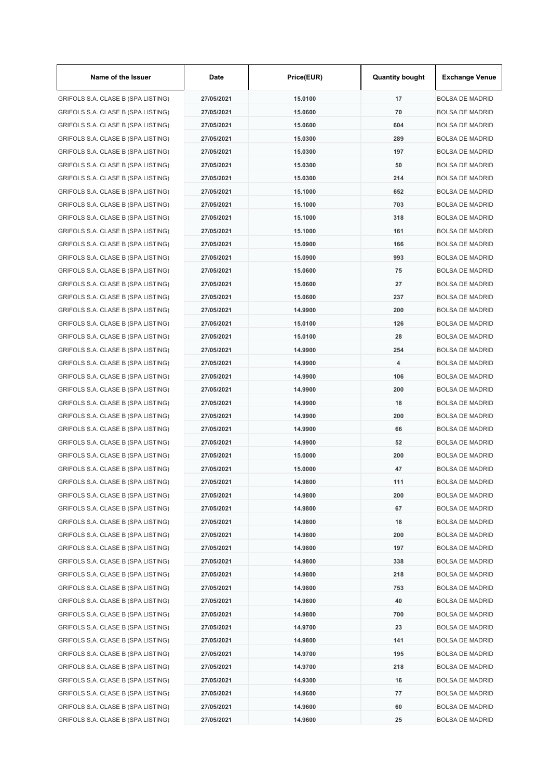| Name of the Issuer                 | Date       | Price(EUR) | <b>Quantity bought</b> | <b>Exchange Venue</b>  |
|------------------------------------|------------|------------|------------------------|------------------------|
| GRIFOLS S.A. CLASE B (SPA LISTING) | 27/05/2021 | 15.0100    | 17                     | <b>BOLSA DE MADRID</b> |
| GRIFOLS S.A. CLASE B (SPA LISTING) | 27/05/2021 | 15.0600    | 70                     | <b>BOLSA DE MADRID</b> |
| GRIFOLS S.A. CLASE B (SPA LISTING) | 27/05/2021 | 15.0600    | 604                    | <b>BOLSA DE MADRID</b> |
| GRIFOLS S.A. CLASE B (SPA LISTING) | 27/05/2021 | 15.0300    | 289                    | <b>BOLSA DE MADRID</b> |
| GRIFOLS S.A. CLASE B (SPA LISTING) | 27/05/2021 | 15.0300    | 197                    | <b>BOLSA DE MADRID</b> |
| GRIFOLS S.A. CLASE B (SPA LISTING) | 27/05/2021 | 15.0300    | 50                     | <b>BOLSA DE MADRID</b> |
| GRIFOLS S.A. CLASE B (SPA LISTING) | 27/05/2021 | 15.0300    | 214                    | <b>BOLSA DE MADRID</b> |
| GRIFOLS S.A. CLASE B (SPA LISTING) | 27/05/2021 | 15.1000    | 652                    | <b>BOLSA DE MADRID</b> |
| GRIFOLS S.A. CLASE B (SPA LISTING) | 27/05/2021 | 15.1000    | 703                    | <b>BOLSA DE MADRID</b> |
| GRIFOLS S.A. CLASE B (SPA LISTING) | 27/05/2021 | 15.1000    | 318                    | <b>BOLSA DE MADRID</b> |
| GRIFOLS S.A. CLASE B (SPA LISTING) | 27/05/2021 | 15.1000    | 161                    | <b>BOLSA DE MADRID</b> |
| GRIFOLS S.A. CLASE B (SPA LISTING) | 27/05/2021 | 15.0900    | 166                    | <b>BOLSA DE MADRID</b> |
| GRIFOLS S.A. CLASE B (SPA LISTING) | 27/05/2021 | 15.0900    | 993                    | <b>BOLSA DE MADRID</b> |
| GRIFOLS S.A. CLASE B (SPA LISTING) | 27/05/2021 | 15.0600    | 75                     | <b>BOLSA DE MADRID</b> |
| GRIFOLS S.A. CLASE B (SPA LISTING) | 27/05/2021 | 15.0600    | 27                     | <b>BOLSA DE MADRID</b> |
| GRIFOLS S.A. CLASE B (SPA LISTING) | 27/05/2021 | 15.0600    | 237                    | <b>BOLSA DE MADRID</b> |
| GRIFOLS S.A. CLASE B (SPA LISTING) | 27/05/2021 | 14.9900    | 200                    | <b>BOLSA DE MADRID</b> |
| GRIFOLS S.A. CLASE B (SPA LISTING) | 27/05/2021 | 15.0100    | 126                    | <b>BOLSA DE MADRID</b> |
| GRIFOLS S.A. CLASE B (SPA LISTING) | 27/05/2021 | 15.0100    | 28                     | <b>BOLSA DE MADRID</b> |
| GRIFOLS S.A. CLASE B (SPA LISTING) | 27/05/2021 | 14.9900    | 254                    | <b>BOLSA DE MADRID</b> |
| GRIFOLS S.A. CLASE B (SPA LISTING) | 27/05/2021 | 14.9900    | 4                      | <b>BOLSA DE MADRID</b> |
| GRIFOLS S.A. CLASE B (SPA LISTING) | 27/05/2021 | 14.9900    | 106                    | <b>BOLSA DE MADRID</b> |
| GRIFOLS S.A. CLASE B (SPA LISTING) | 27/05/2021 | 14.9900    | 200                    | <b>BOLSA DE MADRID</b> |
| GRIFOLS S.A. CLASE B (SPA LISTING) | 27/05/2021 | 14.9900    | 18                     | <b>BOLSA DE MADRID</b> |
| GRIFOLS S.A. CLASE B (SPA LISTING) | 27/05/2021 | 14.9900    | 200                    | <b>BOLSA DE MADRID</b> |
| GRIFOLS S.A. CLASE B (SPA LISTING) | 27/05/2021 | 14.9900    | 66                     | <b>BOLSA DE MADRID</b> |
| GRIFOLS S.A. CLASE B (SPA LISTING) | 27/05/2021 | 14.9900    | 52                     | <b>BOLSA DE MADRID</b> |
| GRIFOLS S.A. CLASE B (SPA LISTING) | 27/05/2021 | 15.0000    | 200                    | <b>BOLSA DE MADRID</b> |
| GRIFOLS S.A. CLASE B (SPA LISTING) | 27/05/2021 | 15.0000    | 47                     | <b>BOLSA DE MADRID</b> |
| GRIFOLS S.A. CLASE B (SPA LISTING) | 27/05/2021 | 14.9800    | 111                    | <b>BOLSA DE MADRID</b> |
| GRIFOLS S.A. CLASE B (SPA LISTING) | 27/05/2021 | 14.9800    | 200                    | <b>BOLSA DE MADRID</b> |
| GRIFOLS S.A. CLASE B (SPA LISTING) | 27/05/2021 | 14.9800    | 67                     | <b>BOLSA DE MADRID</b> |
| GRIFOLS S.A. CLASE B (SPA LISTING) | 27/05/2021 | 14.9800    | 18                     | <b>BOLSA DE MADRID</b> |
| GRIFOLS S.A. CLASE B (SPA LISTING) | 27/05/2021 | 14.9800    | 200                    | <b>BOLSA DE MADRID</b> |
| GRIFOLS S.A. CLASE B (SPA LISTING) | 27/05/2021 | 14.9800    | 197                    | <b>BOLSA DE MADRID</b> |
| GRIFOLS S.A. CLASE B (SPA LISTING) | 27/05/2021 | 14.9800    | 338                    | <b>BOLSA DE MADRID</b> |
| GRIFOLS S.A. CLASE B (SPA LISTING) | 27/05/2021 | 14.9800    | 218                    | <b>BOLSA DE MADRID</b> |
| GRIFOLS S.A. CLASE B (SPA LISTING) | 27/05/2021 | 14.9800    | 753                    | <b>BOLSA DE MADRID</b> |
| GRIFOLS S.A. CLASE B (SPA LISTING) | 27/05/2021 | 14.9800    | 40                     | <b>BOLSA DE MADRID</b> |
| GRIFOLS S.A. CLASE B (SPA LISTING) | 27/05/2021 | 14.9800    | 700                    | <b>BOLSA DE MADRID</b> |
| GRIFOLS S.A. CLASE B (SPA LISTING) | 27/05/2021 | 14.9700    | 23                     | <b>BOLSA DE MADRID</b> |
| GRIFOLS S.A. CLASE B (SPA LISTING) | 27/05/2021 | 14.9800    | 141                    | <b>BOLSA DE MADRID</b> |
| GRIFOLS S.A. CLASE B (SPA LISTING) | 27/05/2021 | 14.9700    | 195                    | <b>BOLSA DE MADRID</b> |
| GRIFOLS S.A. CLASE B (SPA LISTING) | 27/05/2021 | 14.9700    | 218                    | <b>BOLSA DE MADRID</b> |
| GRIFOLS S.A. CLASE B (SPA LISTING) | 27/05/2021 | 14.9300    | 16                     | <b>BOLSA DE MADRID</b> |
| GRIFOLS S.A. CLASE B (SPA LISTING) | 27/05/2021 | 14.9600    | 77                     | <b>BOLSA DE MADRID</b> |
| GRIFOLS S.A. CLASE B (SPA LISTING) | 27/05/2021 | 14.9600    | 60                     | <b>BOLSA DE MADRID</b> |
| GRIFOLS S.A. CLASE B (SPA LISTING) | 27/05/2021 | 14.9600    | 25                     | <b>BOLSA DE MADRID</b> |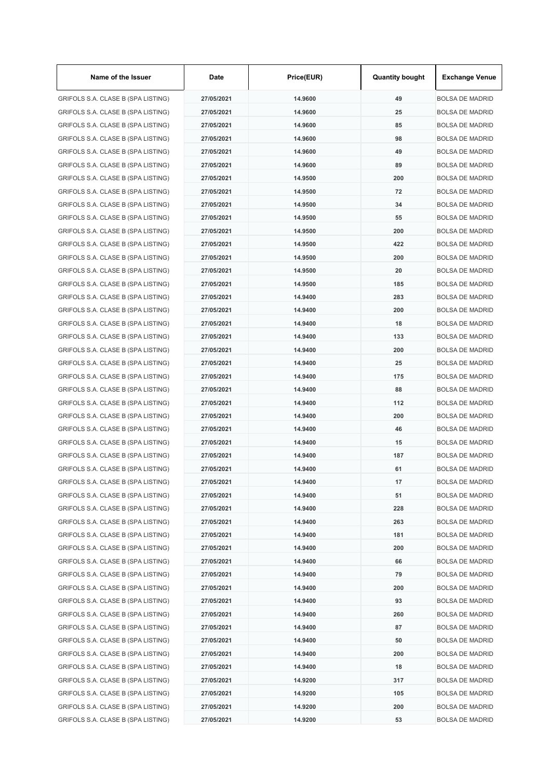| Name of the Issuer                 | Date       | Price(EUR) | <b>Quantity bought</b> | <b>Exchange Venue</b>  |
|------------------------------------|------------|------------|------------------------|------------------------|
| GRIFOLS S.A. CLASE B (SPA LISTING) | 27/05/2021 | 14.9600    | 49                     | <b>BOLSA DE MADRID</b> |
| GRIFOLS S.A. CLASE B (SPA LISTING) | 27/05/2021 | 14.9600    | 25                     | <b>BOLSA DE MADRID</b> |
| GRIFOLS S.A. CLASE B (SPA LISTING) | 27/05/2021 | 14.9600    | 85                     | <b>BOLSA DE MADRID</b> |
| GRIFOLS S.A. CLASE B (SPA LISTING) | 27/05/2021 | 14.9600    | 98                     | <b>BOLSA DE MADRID</b> |
| GRIFOLS S.A. CLASE B (SPA LISTING) | 27/05/2021 | 14.9600    | 49                     | <b>BOLSA DE MADRID</b> |
| GRIFOLS S.A. CLASE B (SPA LISTING) | 27/05/2021 | 14.9600    | 89                     | <b>BOLSA DE MADRID</b> |
| GRIFOLS S.A. CLASE B (SPA LISTING) | 27/05/2021 | 14.9500    | 200                    | <b>BOLSA DE MADRID</b> |
| GRIFOLS S.A. CLASE B (SPA LISTING) | 27/05/2021 | 14.9500    | 72                     | <b>BOLSA DE MADRID</b> |
| GRIFOLS S.A. CLASE B (SPA LISTING) | 27/05/2021 | 14.9500    | 34                     | <b>BOLSA DE MADRID</b> |
| GRIFOLS S.A. CLASE B (SPA LISTING) | 27/05/2021 | 14.9500    | 55                     | <b>BOLSA DE MADRID</b> |
| GRIFOLS S.A. CLASE B (SPA LISTING) | 27/05/2021 | 14.9500    | 200                    | <b>BOLSA DE MADRID</b> |
| GRIFOLS S.A. CLASE B (SPA LISTING) | 27/05/2021 | 14.9500    | 422                    | <b>BOLSA DE MADRID</b> |
| GRIFOLS S.A. CLASE B (SPA LISTING) | 27/05/2021 | 14.9500    | 200                    | <b>BOLSA DE MADRID</b> |
| GRIFOLS S.A. CLASE B (SPA LISTING) | 27/05/2021 | 14.9500    | 20                     | <b>BOLSA DE MADRID</b> |
| GRIFOLS S.A. CLASE B (SPA LISTING) | 27/05/2021 | 14.9500    | 185                    | <b>BOLSA DE MADRID</b> |
| GRIFOLS S.A. CLASE B (SPA LISTING) | 27/05/2021 | 14.9400    | 283                    | BOLSA DE MADRID        |
| GRIFOLS S.A. CLASE B (SPA LISTING) | 27/05/2021 | 14.9400    | 200                    | <b>BOLSA DE MADRID</b> |
| GRIFOLS S.A. CLASE B (SPA LISTING) | 27/05/2021 | 14.9400    | 18                     | <b>BOLSA DE MADRID</b> |
| GRIFOLS S.A. CLASE B (SPA LISTING) | 27/05/2021 | 14.9400    | 133                    | <b>BOLSA DE MADRID</b> |
| GRIFOLS S.A. CLASE B (SPA LISTING) | 27/05/2021 | 14.9400    | 200                    | <b>BOLSA DE MADRID</b> |
| GRIFOLS S.A. CLASE B (SPA LISTING) | 27/05/2021 | 14.9400    | 25                     | <b>BOLSA DE MADRID</b> |
| GRIFOLS S.A. CLASE B (SPA LISTING) | 27/05/2021 | 14.9400    | 175                    | <b>BOLSA DE MADRID</b> |
| GRIFOLS S.A. CLASE B (SPA LISTING) | 27/05/2021 | 14.9400    | 88                     | <b>BOLSA DE MADRID</b> |
| GRIFOLS S.A. CLASE B (SPA LISTING) | 27/05/2021 | 14.9400    | 112                    | <b>BOLSA DE MADRID</b> |
| GRIFOLS S.A. CLASE B (SPA LISTING) | 27/05/2021 | 14.9400    | 200                    | <b>BOLSA DE MADRID</b> |
| GRIFOLS S.A. CLASE B (SPA LISTING) | 27/05/2021 | 14.9400    | 46                     | <b>BOLSA DE MADRID</b> |
| GRIFOLS S.A. CLASE B (SPA LISTING) | 27/05/2021 | 14.9400    | 15                     | <b>BOLSA DE MADRID</b> |
| GRIFOLS S.A. CLASE B (SPA LISTING) | 27/05/2021 | 14.9400    | 187                    | <b>BOLSA DE MADRID</b> |
| GRIFOLS S.A. CLASE B (SPA LISTING) | 27/05/2021 | 14.9400    | 61                     | <b>BOLSA DE MADRID</b> |
| GRIFOLS S.A. CLASE B (SPA LISTING) | 27/05/2021 | 14.9400    | 17                     | <b>BOLSA DE MADRID</b> |
| GRIFOLS S.A. CLASE B (SPA LISTING) | 27/05/2021 | 14.9400    | 51                     | <b>BOLSA DE MADRID</b> |
| GRIFOLS S.A. CLASE B (SPA LISTING) | 27/05/2021 | 14.9400    | 228                    | <b>BOLSA DE MADRID</b> |
| GRIFOLS S.A. CLASE B (SPA LISTING) | 27/05/2021 | 14.9400    | 263                    | <b>BOLSA DE MADRID</b> |
| GRIFOLS S.A. CLASE B (SPA LISTING) | 27/05/2021 | 14.9400    | 181                    | <b>BOLSA DE MADRID</b> |
| GRIFOLS S.A. CLASE B (SPA LISTING) | 27/05/2021 | 14.9400    | 200                    | <b>BOLSA DE MADRID</b> |
| GRIFOLS S.A. CLASE B (SPA LISTING) | 27/05/2021 | 14.9400    | 66                     | <b>BOLSA DE MADRID</b> |
| GRIFOLS S.A. CLASE B (SPA LISTING) | 27/05/2021 | 14.9400    | 79                     | <b>BOLSA DE MADRID</b> |
| GRIFOLS S.A. CLASE B (SPA LISTING) | 27/05/2021 | 14.9400    | 200                    | <b>BOLSA DE MADRID</b> |
| GRIFOLS S.A. CLASE B (SPA LISTING) | 27/05/2021 | 14.9400    | 93                     | <b>BOLSA DE MADRID</b> |
| GRIFOLS S.A. CLASE B (SPA LISTING) | 27/05/2021 | 14.9400    | 260                    | <b>BOLSA DE MADRID</b> |
| GRIFOLS S.A. CLASE B (SPA LISTING) | 27/05/2021 | 14.9400    | 87                     | <b>BOLSA DE MADRID</b> |
| GRIFOLS S.A. CLASE B (SPA LISTING) | 27/05/2021 | 14.9400    | 50                     | <b>BOLSA DE MADRID</b> |
| GRIFOLS S.A. CLASE B (SPA LISTING) | 27/05/2021 | 14.9400    | 200                    | <b>BOLSA DE MADRID</b> |
| GRIFOLS S.A. CLASE B (SPA LISTING) | 27/05/2021 | 14.9400    | 18                     | <b>BOLSA DE MADRID</b> |
| GRIFOLS S.A. CLASE B (SPA LISTING) | 27/05/2021 | 14.9200    | 317                    | <b>BOLSA DE MADRID</b> |
| GRIFOLS S.A. CLASE B (SPA LISTING) | 27/05/2021 | 14.9200    | 105                    | BOLSA DE MADRID        |
| GRIFOLS S.A. CLASE B (SPA LISTING) | 27/05/2021 | 14.9200    | 200                    | <b>BOLSA DE MADRID</b> |
| GRIFOLS S.A. CLASE B (SPA LISTING) | 27/05/2021 | 14.9200    | 53                     | <b>BOLSA DE MADRID</b> |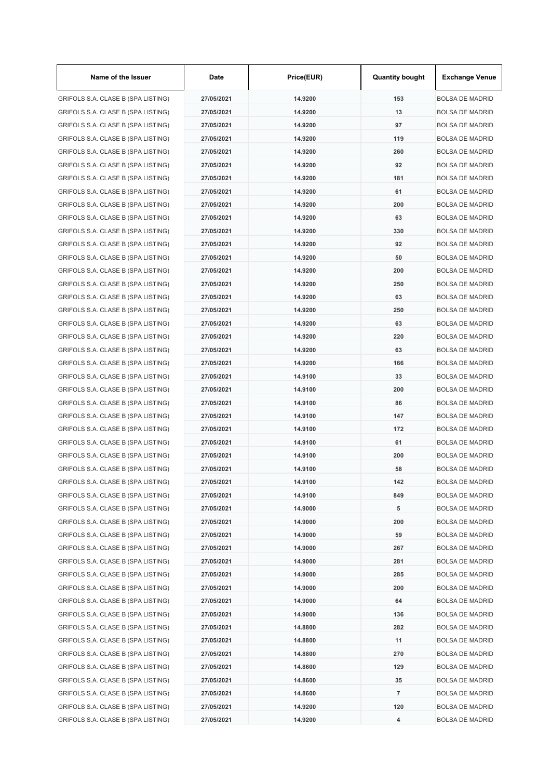| Name of the Issuer                 | Date       | Price(EUR) | <b>Quantity bought</b> | <b>Exchange Venue</b>  |
|------------------------------------|------------|------------|------------------------|------------------------|
| GRIFOLS S.A. CLASE B (SPA LISTING) | 27/05/2021 | 14.9200    | 153                    | <b>BOLSA DE MADRID</b> |
| GRIFOLS S.A. CLASE B (SPA LISTING) | 27/05/2021 | 14.9200    | 13                     | <b>BOLSA DE MADRID</b> |
| GRIFOLS S.A. CLASE B (SPA LISTING) | 27/05/2021 | 14.9200    | 97                     | <b>BOLSA DE MADRID</b> |
| GRIFOLS S.A. CLASE B (SPA LISTING) | 27/05/2021 | 14.9200    | 119                    | <b>BOLSA DE MADRID</b> |
| GRIFOLS S.A. CLASE B (SPA LISTING) | 27/05/2021 | 14.9200    | 260                    | <b>BOLSA DE MADRID</b> |
| GRIFOLS S.A. CLASE B (SPA LISTING) | 27/05/2021 | 14.9200    | 92                     | <b>BOLSA DE MADRID</b> |
| GRIFOLS S.A. CLASE B (SPA LISTING) | 27/05/2021 | 14.9200    | 181                    | <b>BOLSA DE MADRID</b> |
| GRIFOLS S.A. CLASE B (SPA LISTING) | 27/05/2021 | 14.9200    | 61                     | <b>BOLSA DE MADRID</b> |
| GRIFOLS S.A. CLASE B (SPA LISTING) | 27/05/2021 | 14.9200    | 200                    | <b>BOLSA DE MADRID</b> |
| GRIFOLS S.A. CLASE B (SPA LISTING) | 27/05/2021 | 14.9200    | 63                     | <b>BOLSA DE MADRID</b> |
| GRIFOLS S.A. CLASE B (SPA LISTING) | 27/05/2021 | 14.9200    | 330                    | <b>BOLSA DE MADRID</b> |
| GRIFOLS S.A. CLASE B (SPA LISTING) | 27/05/2021 | 14.9200    | 92                     | <b>BOLSA DE MADRID</b> |
| GRIFOLS S.A. CLASE B (SPA LISTING) | 27/05/2021 | 14.9200    | 50                     | <b>BOLSA DE MADRID</b> |
| GRIFOLS S.A. CLASE B (SPA LISTING) | 27/05/2021 | 14.9200    | 200                    | <b>BOLSA DE MADRID</b> |
| GRIFOLS S.A. CLASE B (SPA LISTING) | 27/05/2021 | 14.9200    | 250                    | <b>BOLSA DE MADRID</b> |
| GRIFOLS S.A. CLASE B (SPA LISTING) | 27/05/2021 | 14.9200    | 63                     | <b>BOLSA DE MADRID</b> |
| GRIFOLS S.A. CLASE B (SPA LISTING) | 27/05/2021 | 14.9200    | 250                    | <b>BOLSA DE MADRID</b> |
| GRIFOLS S.A. CLASE B (SPA LISTING) | 27/05/2021 | 14.9200    | 63                     | <b>BOLSA DE MADRID</b> |
| GRIFOLS S.A. CLASE B (SPA LISTING) | 27/05/2021 | 14.9200    | 220                    | <b>BOLSA DE MADRID</b> |
| GRIFOLS S.A. CLASE B (SPA LISTING) | 27/05/2021 | 14.9200    | 63                     | <b>BOLSA DE MADRID</b> |
| GRIFOLS S.A. CLASE B (SPA LISTING) | 27/05/2021 | 14.9200    | 166                    | <b>BOLSA DE MADRID</b> |
| GRIFOLS S.A. CLASE B (SPA LISTING) | 27/05/2021 | 14.9100    | 33                     | <b>BOLSA DE MADRID</b> |
| GRIFOLS S.A. CLASE B (SPA LISTING) | 27/05/2021 | 14.9100    | 200                    | <b>BOLSA DE MADRID</b> |
| GRIFOLS S.A. CLASE B (SPA LISTING) | 27/05/2021 | 14.9100    | 86                     | <b>BOLSA DE MADRID</b> |
| GRIFOLS S.A. CLASE B (SPA LISTING) | 27/05/2021 | 14.9100    | 147                    | <b>BOLSA DE MADRID</b> |
| GRIFOLS S.A. CLASE B (SPA LISTING) | 27/05/2021 | 14.9100    | 172                    | <b>BOLSA DE MADRID</b> |
| GRIFOLS S.A. CLASE B (SPA LISTING) | 27/05/2021 | 14.9100    | 61                     | <b>BOLSA DE MADRID</b> |
| GRIFOLS S.A. CLASE B (SPA LISTING) | 27/05/2021 | 14.9100    | 200                    | <b>BOLSA DE MADRID</b> |
| GRIFOLS S.A. CLASE B (SPA LISTING) | 27/05/2021 | 14.9100    | 58                     | BOLSA DE MADRID        |
| GRIFOLS S.A. CLASE B (SPA LISTING) | 27/05/2021 | 14.9100    | 142                    | <b>BOLSA DE MADRID</b> |
| GRIFOLS S.A. CLASE B (SPA LISTING) | 27/05/2021 | 14.9100    | 849                    | <b>BOLSA DE MADRID</b> |
| GRIFOLS S.A. CLASE B (SPA LISTING) | 27/05/2021 | 14.9000    | 5                      | <b>BOLSA DE MADRID</b> |
| GRIFOLS S.A. CLASE B (SPA LISTING) | 27/05/2021 | 14.9000    | 200                    | <b>BOLSA DE MADRID</b> |
| GRIFOLS S.A. CLASE B (SPA LISTING) | 27/05/2021 | 14.9000    | 59                     | <b>BOLSA DE MADRID</b> |
| GRIFOLS S.A. CLASE B (SPA LISTING) | 27/05/2021 | 14.9000    | 267                    | <b>BOLSA DE MADRID</b> |
| GRIFOLS S.A. CLASE B (SPA LISTING) | 27/05/2021 | 14.9000    | 281                    | <b>BOLSA DE MADRID</b> |
| GRIFOLS S.A. CLASE B (SPA LISTING) | 27/05/2021 | 14.9000    | 285                    | <b>BOLSA DE MADRID</b> |
| GRIFOLS S.A. CLASE B (SPA LISTING) | 27/05/2021 | 14.9000    | 200                    | <b>BOLSA DE MADRID</b> |
| GRIFOLS S.A. CLASE B (SPA LISTING) | 27/05/2021 | 14.9000    | 64                     | <b>BOLSA DE MADRID</b> |
| GRIFOLS S.A. CLASE B (SPA LISTING) | 27/05/2021 | 14.9000    | 136                    | <b>BOLSA DE MADRID</b> |
| GRIFOLS S.A. CLASE B (SPA LISTING) | 27/05/2021 | 14.8800    | 282                    | <b>BOLSA DE MADRID</b> |
| GRIFOLS S.A. CLASE B (SPA LISTING) | 27/05/2021 | 14.8800    | 11                     | <b>BOLSA DE MADRID</b> |
| GRIFOLS S.A. CLASE B (SPA LISTING) | 27/05/2021 | 14.8800    | 270                    | <b>BOLSA DE MADRID</b> |
| GRIFOLS S.A. CLASE B (SPA LISTING) | 27/05/2021 | 14.8600    | 129                    | <b>BOLSA DE MADRID</b> |
| GRIFOLS S.A. CLASE B (SPA LISTING) | 27/05/2021 | 14.8600    | 35                     | <b>BOLSA DE MADRID</b> |
| GRIFOLS S.A. CLASE B (SPA LISTING) | 27/05/2021 | 14.8600    | $\overline{7}$         | BOLSA DE MADRID        |
| GRIFOLS S.A. CLASE B (SPA LISTING) | 27/05/2021 | 14.9200    | 120                    | <b>BOLSA DE MADRID</b> |
| GRIFOLS S.A. CLASE B (SPA LISTING) | 27/05/2021 | 14.9200    | 4                      | <b>BOLSA DE MADRID</b> |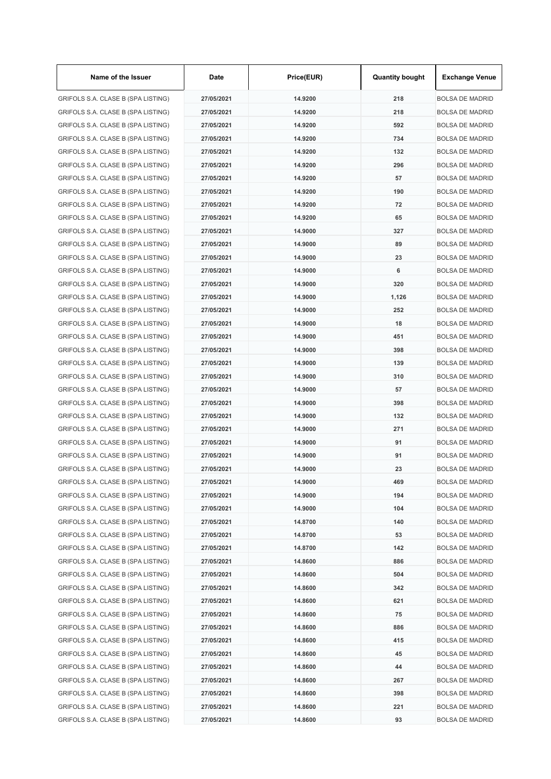| Name of the Issuer                 | Date       | Price(EUR) | <b>Quantity bought</b> | <b>Exchange Venue</b>  |
|------------------------------------|------------|------------|------------------------|------------------------|
| GRIFOLS S.A. CLASE B (SPA LISTING) | 27/05/2021 | 14.9200    | 218                    | <b>BOLSA DE MADRID</b> |
| GRIFOLS S.A. CLASE B (SPA LISTING) | 27/05/2021 | 14.9200    | 218                    | <b>BOLSA DE MADRID</b> |
| GRIFOLS S.A. CLASE B (SPA LISTING) | 27/05/2021 | 14.9200    | 592                    | <b>BOLSA DE MADRID</b> |
| GRIFOLS S.A. CLASE B (SPA LISTING) | 27/05/2021 | 14.9200    | 734                    | <b>BOLSA DE MADRID</b> |
| GRIFOLS S.A. CLASE B (SPA LISTING) | 27/05/2021 | 14.9200    | 132                    | BOLSA DE MADRID        |
| GRIFOLS S.A. CLASE B (SPA LISTING) | 27/05/2021 | 14.9200    | 296                    | <b>BOLSA DE MADRID</b> |
| GRIFOLS S.A. CLASE B (SPA LISTING) | 27/05/2021 | 14.9200    | 57                     | <b>BOLSA DE MADRID</b> |
| GRIFOLS S.A. CLASE B (SPA LISTING) | 27/05/2021 | 14.9200    | 190                    | <b>BOLSA DE MADRID</b> |
| GRIFOLS S.A. CLASE B (SPA LISTING) | 27/05/2021 | 14.9200    | 72                     | <b>BOLSA DE MADRID</b> |
| GRIFOLS S.A. CLASE B (SPA LISTING) | 27/05/2021 | 14.9200    | 65                     | <b>BOLSA DE MADRID</b> |
| GRIFOLS S.A. CLASE B (SPA LISTING) | 27/05/2021 | 14.9000    | 327                    | <b>BOLSA DE MADRID</b> |
| GRIFOLS S.A. CLASE B (SPA LISTING) | 27/05/2021 | 14.9000    | 89                     | <b>BOLSA DE MADRID</b> |
| GRIFOLS S.A. CLASE B (SPA LISTING) | 27/05/2021 | 14.9000    | 23                     | <b>BOLSA DE MADRID</b> |
| GRIFOLS S.A. CLASE B (SPA LISTING) | 27/05/2021 | 14.9000    | 6                      | <b>BOLSA DE MADRID</b> |
| GRIFOLS S.A. CLASE B (SPA LISTING) | 27/05/2021 | 14.9000    | 320                    | <b>BOLSA DE MADRID</b> |
| GRIFOLS S.A. CLASE B (SPA LISTING) | 27/05/2021 | 14.9000    | 1,126                  | <b>BOLSA DE MADRID</b> |
| GRIFOLS S.A. CLASE B (SPA LISTING) | 27/05/2021 | 14.9000    | 252                    | <b>BOLSA DE MADRID</b> |
| GRIFOLS S.A. CLASE B (SPA LISTING) | 27/05/2021 | 14.9000    | 18                     | <b>BOLSA DE MADRID</b> |
| GRIFOLS S.A. CLASE B (SPA LISTING) | 27/05/2021 | 14.9000    | 451                    | <b>BOLSA DE MADRID</b> |
| GRIFOLS S.A. CLASE B (SPA LISTING) | 27/05/2021 | 14.9000    | 398                    | <b>BOLSA DE MADRID</b> |
| GRIFOLS S.A. CLASE B (SPA LISTING) | 27/05/2021 | 14.9000    | 139                    | <b>BOLSA DE MADRID</b> |
| GRIFOLS S.A. CLASE B (SPA LISTING) | 27/05/2021 | 14.9000    | 310                    | <b>BOLSA DE MADRID</b> |
| GRIFOLS S.A. CLASE B (SPA LISTING) | 27/05/2021 | 14.9000    | 57                     | <b>BOLSA DE MADRID</b> |
| GRIFOLS S.A. CLASE B (SPA LISTING) | 27/05/2021 | 14.9000    | 398                    | <b>BOLSA DE MADRID</b> |
| GRIFOLS S.A. CLASE B (SPA LISTING) | 27/05/2021 | 14.9000    | 132                    | <b>BOLSA DE MADRID</b> |
| GRIFOLS S.A. CLASE B (SPA LISTING) | 27/05/2021 | 14.9000    | 271                    | BOLSA DE MADRID        |
| GRIFOLS S.A. CLASE B (SPA LISTING) | 27/05/2021 | 14.9000    | 91                     | <b>BOLSA DE MADRID</b> |
| GRIFOLS S.A. CLASE B (SPA LISTING) | 27/05/2021 | 14.9000    | 91                     | <b>BOLSA DE MADRID</b> |
| GRIFOLS S.A. CLASE B (SPA LISTING) | 27/05/2021 | 14.9000    | 23                     | <b>BOLSA DE MADRID</b> |
| GRIFOLS S.A. CLASE B (SPA LISTING) | 27/05/2021 | 14.9000    | 469                    | <b>BOLSA DE MADRID</b> |
| GRIFOLS S.A. CLASE B (SPA LISTING) | 27/05/2021 | 14.9000    | 194                    | <b>BOLSA DE MADRID</b> |
| GRIFOLS S.A. CLASE B (SPA LISTING) | 27/05/2021 | 14.9000    | 104                    | <b>BOLSA DE MADRID</b> |
| GRIFOLS S.A. CLASE B (SPA LISTING) | 27/05/2021 | 14.8700    | 140                    | <b>BOLSA DE MADRID</b> |
| GRIFOLS S.A. CLASE B (SPA LISTING) | 27/05/2021 | 14.8700    | 53                     | <b>BOLSA DE MADRID</b> |
| GRIFOLS S.A. CLASE B (SPA LISTING) | 27/05/2021 | 14.8700    | 142                    | <b>BOLSA DE MADRID</b> |
| GRIFOLS S.A. CLASE B (SPA LISTING) | 27/05/2021 | 14.8600    | 886                    | <b>BOLSA DE MADRID</b> |
| GRIFOLS S.A. CLASE B (SPA LISTING) | 27/05/2021 | 14.8600    | 504                    | <b>BOLSA DE MADRID</b> |
| GRIFOLS S.A. CLASE B (SPA LISTING) | 27/05/2021 | 14.8600    | 342                    | <b>BOLSA DE MADRID</b> |
| GRIFOLS S.A. CLASE B (SPA LISTING) | 27/05/2021 | 14.8600    | 621                    | <b>BOLSA DE MADRID</b> |
| GRIFOLS S.A. CLASE B (SPA LISTING) | 27/05/2021 | 14.8600    | 75                     | <b>BOLSA DE MADRID</b> |
| GRIFOLS S.A. CLASE B (SPA LISTING) | 27/05/2021 | 14.8600    | 886                    | <b>BOLSA DE MADRID</b> |
| GRIFOLS S.A. CLASE B (SPA LISTING) | 27/05/2021 | 14.8600    | 415                    | <b>BOLSA DE MADRID</b> |
| GRIFOLS S.A. CLASE B (SPA LISTING) | 27/05/2021 | 14.8600    | 45                     | <b>BOLSA DE MADRID</b> |
| GRIFOLS S.A. CLASE B (SPA LISTING) | 27/05/2021 | 14.8600    | 44                     | <b>BOLSA DE MADRID</b> |
| GRIFOLS S.A. CLASE B (SPA LISTING) | 27/05/2021 | 14.8600    | 267                    | <b>BOLSA DE MADRID</b> |
| GRIFOLS S.A. CLASE B (SPA LISTING) | 27/05/2021 | 14.8600    | 398                    | <b>BOLSA DE MADRID</b> |
| GRIFOLS S.A. CLASE B (SPA LISTING) | 27/05/2021 | 14.8600    | 221                    | <b>BOLSA DE MADRID</b> |
| GRIFOLS S.A. CLASE B (SPA LISTING) | 27/05/2021 | 14.8600    | 93                     | <b>BOLSA DE MADRID</b> |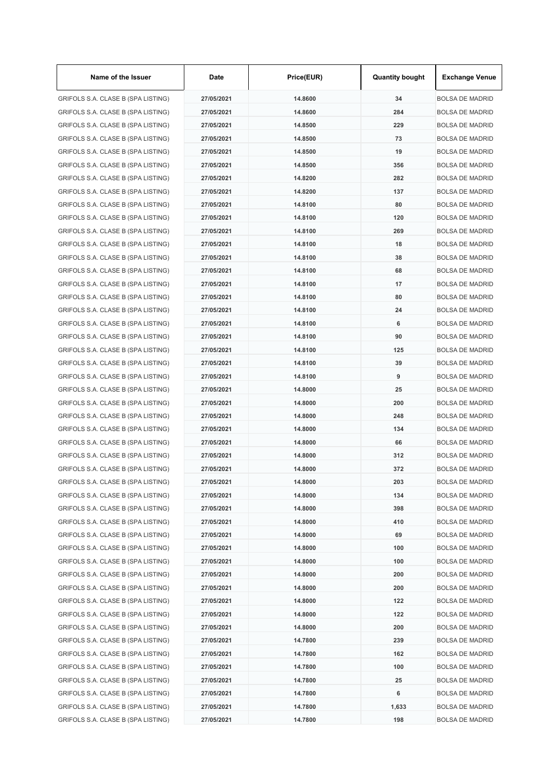| Name of the Issuer                 | Date       | Price(EUR) | <b>Quantity bought</b> | <b>Exchange Venue</b>  |
|------------------------------------|------------|------------|------------------------|------------------------|
| GRIFOLS S.A. CLASE B (SPA LISTING) | 27/05/2021 | 14.8600    | 34                     | <b>BOLSA DE MADRID</b> |
| GRIFOLS S.A. CLASE B (SPA LISTING) | 27/05/2021 | 14.8600    | 284                    | <b>BOLSA DE MADRID</b> |
| GRIFOLS S.A. CLASE B (SPA LISTING) | 27/05/2021 | 14.8500    | 229                    | <b>BOLSA DE MADRID</b> |
| GRIFOLS S.A. CLASE B (SPA LISTING) | 27/05/2021 | 14.8500    | 73                     | <b>BOLSA DE MADRID</b> |
| GRIFOLS S.A. CLASE B (SPA LISTING) | 27/05/2021 | 14.8500    | 19                     | <b>BOLSA DE MADRID</b> |
| GRIFOLS S.A. CLASE B (SPA LISTING) | 27/05/2021 | 14.8500    | 356                    | <b>BOLSA DE MADRID</b> |
| GRIFOLS S.A. CLASE B (SPA LISTING) | 27/05/2021 | 14.8200    | 282                    | <b>BOLSA DE MADRID</b> |
| GRIFOLS S.A. CLASE B (SPA LISTING) | 27/05/2021 | 14.8200    | 137                    | <b>BOLSA DE MADRID</b> |
| GRIFOLS S.A. CLASE B (SPA LISTING) | 27/05/2021 | 14.8100    | 80                     | <b>BOLSA DE MADRID</b> |
| GRIFOLS S.A. CLASE B (SPA LISTING) | 27/05/2021 | 14.8100    | 120                    | <b>BOLSA DE MADRID</b> |
| GRIFOLS S.A. CLASE B (SPA LISTING) | 27/05/2021 | 14.8100    | 269                    | <b>BOLSA DE MADRID</b> |
| GRIFOLS S.A. CLASE B (SPA LISTING) | 27/05/2021 | 14.8100    | 18                     | <b>BOLSA DE MADRID</b> |
| GRIFOLS S.A. CLASE B (SPA LISTING) | 27/05/2021 | 14.8100    | 38                     | <b>BOLSA DE MADRID</b> |
| GRIFOLS S.A. CLASE B (SPA LISTING) | 27/05/2021 | 14.8100    | 68                     | <b>BOLSA DE MADRID</b> |
| GRIFOLS S.A. CLASE B (SPA LISTING) | 27/05/2021 | 14.8100    | 17                     | <b>BOLSA DE MADRID</b> |
| GRIFOLS S.A. CLASE B (SPA LISTING) | 27/05/2021 | 14.8100    | 80                     | <b>BOLSA DE MADRID</b> |
| GRIFOLS S.A. CLASE B (SPA LISTING) | 27/05/2021 | 14.8100    | 24                     | <b>BOLSA DE MADRID</b> |
| GRIFOLS S.A. CLASE B (SPA LISTING) | 27/05/2021 | 14.8100    | 6                      | <b>BOLSA DE MADRID</b> |
| GRIFOLS S.A. CLASE B (SPA LISTING) | 27/05/2021 | 14.8100    | 90                     | <b>BOLSA DE MADRID</b> |
| GRIFOLS S.A. CLASE B (SPA LISTING) | 27/05/2021 | 14.8100    | 125                    | <b>BOLSA DE MADRID</b> |
| GRIFOLS S.A. CLASE B (SPA LISTING) | 27/05/2021 | 14.8100    | 39                     | <b>BOLSA DE MADRID</b> |
| GRIFOLS S.A. CLASE B (SPA LISTING) | 27/05/2021 | 14.8100    | 9                      | <b>BOLSA DE MADRID</b> |
| GRIFOLS S.A. CLASE B (SPA LISTING) | 27/05/2021 | 14.8000    | 25                     | <b>BOLSA DE MADRID</b> |
| GRIFOLS S.A. CLASE B (SPA LISTING) | 27/05/2021 | 14.8000    | 200                    | <b>BOLSA DE MADRID</b> |
| GRIFOLS S.A. CLASE B (SPA LISTING) | 27/05/2021 | 14.8000    | 248                    | <b>BOLSA DE MADRID</b> |
| GRIFOLS S.A. CLASE B (SPA LISTING) | 27/05/2021 | 14.8000    | 134                    | <b>BOLSA DE MADRID</b> |
| GRIFOLS S.A. CLASE B (SPA LISTING) | 27/05/2021 | 14.8000    | 66                     | <b>BOLSA DE MADRID</b> |
| GRIFOLS S.A. CLASE B (SPA LISTING) | 27/05/2021 | 14.8000    | 312                    | <b>BOLSA DE MADRID</b> |
| GRIFOLS S.A. CLASE B (SPA LISTING) | 27/05/2021 | 14.8000    | 372                    | <b>BOLSA DE MADRID</b> |
| GRIFOLS S.A. CLASE B (SPA LISTING) | 27/05/2021 | 14.8000    | 203                    | <b>BOLSA DE MADRID</b> |
| GRIFOLS S.A. CLASE B (SPA LISTING) | 27/05/2021 | 14.8000    | 134                    | <b>BOLSA DE MADRID</b> |
| GRIFOLS S.A. CLASE B (SPA LISTING) | 27/05/2021 | 14.8000    | 398                    | <b>BOLSA DE MADRID</b> |
| GRIFOLS S.A. CLASE B (SPA LISTING) | 27/05/2021 | 14.8000    | 410                    | <b>BOLSA DE MADRID</b> |
| GRIFOLS S.A. CLASE B (SPA LISTING) | 27/05/2021 | 14.8000    | 69                     | <b>BOLSA DE MADRID</b> |
| GRIFOLS S.A. CLASE B (SPA LISTING) | 27/05/2021 | 14.8000    | 100                    | <b>BOLSA DE MADRID</b> |
| GRIFOLS S.A. CLASE B (SPA LISTING) | 27/05/2021 | 14.8000    | 100                    | <b>BOLSA DE MADRID</b> |
| GRIFOLS S.A. CLASE B (SPA LISTING) | 27/05/2021 | 14.8000    | 200                    | <b>BOLSA DE MADRID</b> |
| GRIFOLS S.A. CLASE B (SPA LISTING) | 27/05/2021 | 14.8000    | 200                    | <b>BOLSA DE MADRID</b> |
| GRIFOLS S.A. CLASE B (SPA LISTING) | 27/05/2021 | 14.8000    | 122                    | <b>BOLSA DE MADRID</b> |
| GRIFOLS S.A. CLASE B (SPA LISTING) | 27/05/2021 | 14.8000    | 122                    | <b>BOLSA DE MADRID</b> |
| GRIFOLS S.A. CLASE B (SPA LISTING) | 27/05/2021 | 14.8000    | 200                    | <b>BOLSA DE MADRID</b> |
| GRIFOLS S.A. CLASE B (SPA LISTING) | 27/05/2021 | 14.7800    | 239                    | <b>BOLSA DE MADRID</b> |
| GRIFOLS S.A. CLASE B (SPA LISTING) | 27/05/2021 | 14.7800    | 162                    | <b>BOLSA DE MADRID</b> |
| GRIFOLS S.A. CLASE B (SPA LISTING) | 27/05/2021 | 14.7800    | 100                    | <b>BOLSA DE MADRID</b> |
| GRIFOLS S.A. CLASE B (SPA LISTING) | 27/05/2021 | 14.7800    | 25                     | <b>BOLSA DE MADRID</b> |
| GRIFOLS S.A. CLASE B (SPA LISTING) | 27/05/2021 | 14.7800    | 6                      | <b>BOLSA DE MADRID</b> |
| GRIFOLS S.A. CLASE B (SPA LISTING) | 27/05/2021 | 14.7800    | 1,633                  | <b>BOLSA DE MADRID</b> |
| GRIFOLS S.A. CLASE B (SPA LISTING) | 27/05/2021 | 14.7800    | 198                    | <b>BOLSA DE MADRID</b> |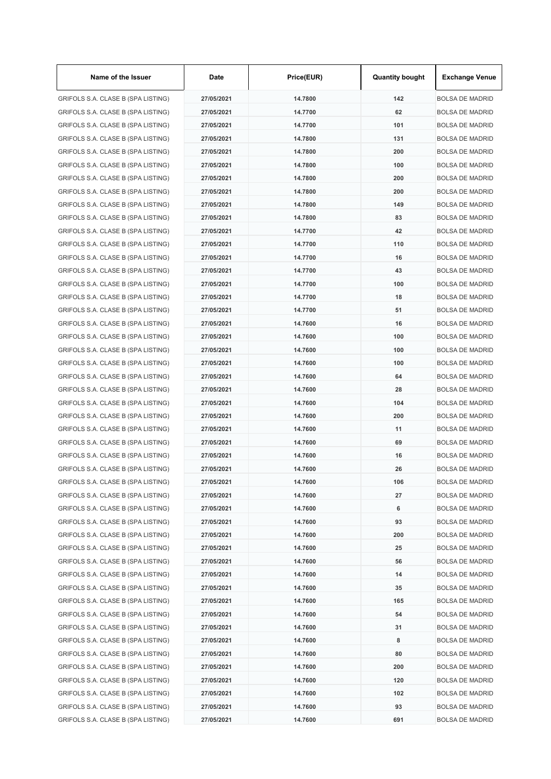| Name of the Issuer                 | Date       | Price(EUR) | <b>Quantity bought</b> | <b>Exchange Venue</b>  |
|------------------------------------|------------|------------|------------------------|------------------------|
| GRIFOLS S.A. CLASE B (SPA LISTING) | 27/05/2021 | 14.7800    | 142                    | <b>BOLSA DE MADRID</b> |
| GRIFOLS S.A. CLASE B (SPA LISTING) | 27/05/2021 | 14.7700    | 62                     | <b>BOLSA DE MADRID</b> |
| GRIFOLS S.A. CLASE B (SPA LISTING) | 27/05/2021 | 14.7700    | 101                    | <b>BOLSA DE MADRID</b> |
| GRIFOLS S.A. CLASE B (SPA LISTING) | 27/05/2021 | 14.7800    | 131                    | <b>BOLSA DE MADRID</b> |
| GRIFOLS S.A. CLASE B (SPA LISTING) | 27/05/2021 | 14.7800    | 200                    | <b>BOLSA DE MADRID</b> |
| GRIFOLS S.A. CLASE B (SPA LISTING) | 27/05/2021 | 14.7800    | 100                    | <b>BOLSA DE MADRID</b> |
| GRIFOLS S.A. CLASE B (SPA LISTING) | 27/05/2021 | 14.7800    | 200                    | <b>BOLSA DE MADRID</b> |
| GRIFOLS S.A. CLASE B (SPA LISTING) | 27/05/2021 | 14.7800    | 200                    | <b>BOLSA DE MADRID</b> |
| GRIFOLS S.A. CLASE B (SPA LISTING) | 27/05/2021 | 14.7800    | 149                    | <b>BOLSA DE MADRID</b> |
| GRIFOLS S.A. CLASE B (SPA LISTING) | 27/05/2021 | 14.7800    | 83                     | <b>BOLSA DE MADRID</b> |
| GRIFOLS S.A. CLASE B (SPA LISTING) | 27/05/2021 | 14.7700    | 42                     | <b>BOLSA DE MADRID</b> |
| GRIFOLS S.A. CLASE B (SPA LISTING) | 27/05/2021 | 14.7700    | 110                    | <b>BOLSA DE MADRID</b> |
| GRIFOLS S.A. CLASE B (SPA LISTING) | 27/05/2021 | 14.7700    | 16                     | <b>BOLSA DE MADRID</b> |
| GRIFOLS S.A. CLASE B (SPA LISTING) | 27/05/2021 | 14.7700    | 43                     | <b>BOLSA DE MADRID</b> |
| GRIFOLS S.A. CLASE B (SPA LISTING) | 27/05/2021 | 14.7700    | 100                    | <b>BOLSA DE MADRID</b> |
| GRIFOLS S.A. CLASE B (SPA LISTING) | 27/05/2021 | 14.7700    | 18                     | <b>BOLSA DE MADRID</b> |
| GRIFOLS S.A. CLASE B (SPA LISTING) | 27/05/2021 | 14.7700    | 51                     | <b>BOLSA DE MADRID</b> |
| GRIFOLS S.A. CLASE B (SPA LISTING) | 27/05/2021 | 14.7600    | 16                     | <b>BOLSA DE MADRID</b> |
| GRIFOLS S.A. CLASE B (SPA LISTING) | 27/05/2021 | 14.7600    | 100                    | <b>BOLSA DE MADRID</b> |
| GRIFOLS S.A. CLASE B (SPA LISTING) | 27/05/2021 | 14.7600    | 100                    | <b>BOLSA DE MADRID</b> |
| GRIFOLS S.A. CLASE B (SPA LISTING) | 27/05/2021 | 14.7600    | 100                    | <b>BOLSA DE MADRID</b> |
| GRIFOLS S.A. CLASE B (SPA LISTING) | 27/05/2021 | 14.7600    | 64                     | <b>BOLSA DE MADRID</b> |
| GRIFOLS S.A. CLASE B (SPA LISTING) | 27/05/2021 | 14.7600    | 28                     | <b>BOLSA DE MADRID</b> |
| GRIFOLS S.A. CLASE B (SPA LISTING) | 27/05/2021 | 14.7600    | 104                    | <b>BOLSA DE MADRID</b> |
| GRIFOLS S.A. CLASE B (SPA LISTING) | 27/05/2021 | 14.7600    | 200                    | <b>BOLSA DE MADRID</b> |
| GRIFOLS S.A. CLASE B (SPA LISTING) | 27/05/2021 | 14.7600    | 11                     | <b>BOLSA DE MADRID</b> |
| GRIFOLS S.A. CLASE B (SPA LISTING) | 27/05/2021 | 14.7600    | 69                     | <b>BOLSA DE MADRID</b> |
| GRIFOLS S.A. CLASE B (SPA LISTING) | 27/05/2021 | 14.7600    | 16                     | <b>BOLSA DE MADRID</b> |
| GRIFOLS S.A. CLASE B (SPA LISTING) | 27/05/2021 | 14.7600    | 26                     | <b>BOLSA DE MADRID</b> |
| GRIFOLS S.A. CLASE B (SPA LISTING) | 27/05/2021 | 14.7600    | 106                    | <b>BOLSA DE MADRID</b> |
| GRIFOLS S.A. CLASE B (SPA LISTING) | 27/05/2021 | 14.7600    | 27                     | <b>BOLSA DE MADRID</b> |
| GRIFOLS S.A. CLASE B (SPA LISTING) | 27/05/2021 | 14.7600    | 6                      | <b>BOLSA DE MADRID</b> |
| GRIFOLS S.A. CLASE B (SPA LISTING) | 27/05/2021 | 14.7600    | 93                     | <b>BOLSA DE MADRID</b> |
| GRIFOLS S.A. CLASE B (SPA LISTING) | 27/05/2021 | 14.7600    | 200                    | <b>BOLSA DE MADRID</b> |
| GRIFOLS S.A. CLASE B (SPA LISTING) | 27/05/2021 | 14.7600    | 25                     | <b>BOLSA DE MADRID</b> |
| GRIFOLS S.A. CLASE B (SPA LISTING) | 27/05/2021 | 14.7600    | 56                     | <b>BOLSA DE MADRID</b> |
| GRIFOLS S.A. CLASE B (SPA LISTING) | 27/05/2021 | 14.7600    | 14                     | <b>BOLSA DE MADRID</b> |
| GRIFOLS S.A. CLASE B (SPA LISTING) | 27/05/2021 | 14.7600    | 35                     | <b>BOLSA DE MADRID</b> |
| GRIFOLS S.A. CLASE B (SPA LISTING) | 27/05/2021 | 14.7600    | 165                    | <b>BOLSA DE MADRID</b> |
| GRIFOLS S.A. CLASE B (SPA LISTING) | 27/05/2021 | 14.7600    | 54                     | <b>BOLSA DE MADRID</b> |
| GRIFOLS S.A. CLASE B (SPA LISTING) | 27/05/2021 | 14.7600    | 31                     | <b>BOLSA DE MADRID</b> |
| GRIFOLS S.A. CLASE B (SPA LISTING) | 27/05/2021 | 14.7600    | 8                      | <b>BOLSA DE MADRID</b> |
| GRIFOLS S.A. CLASE B (SPA LISTING) | 27/05/2021 | 14.7600    | 80                     | <b>BOLSA DE MADRID</b> |
| GRIFOLS S.A. CLASE B (SPA LISTING) | 27/05/2021 | 14.7600    | 200                    | <b>BOLSA DE MADRID</b> |
| GRIFOLS S.A. CLASE B (SPA LISTING) | 27/05/2021 | 14.7600    | 120                    | <b>BOLSA DE MADRID</b> |
| GRIFOLS S.A. CLASE B (SPA LISTING) | 27/05/2021 | 14.7600    | 102                    | <b>BOLSA DE MADRID</b> |
| GRIFOLS S.A. CLASE B (SPA LISTING) | 27/05/2021 | 14.7600    | 93                     | <b>BOLSA DE MADRID</b> |
| GRIFOLS S.A. CLASE B (SPA LISTING) | 27/05/2021 | 14.7600    | 691                    | <b>BOLSA DE MADRID</b> |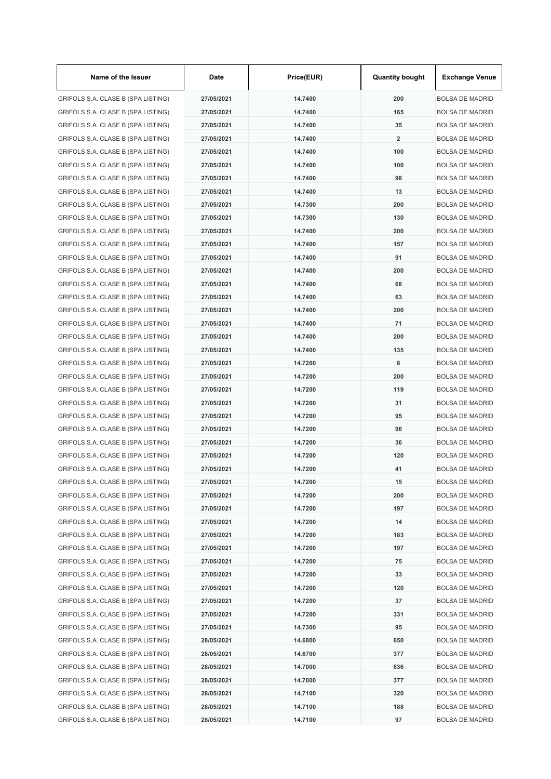| Name of the Issuer                 | Date       | Price(EUR) | <b>Quantity bought</b>  | <b>Exchange Venue</b>  |
|------------------------------------|------------|------------|-------------------------|------------------------|
| GRIFOLS S.A. CLASE B (SPA LISTING) | 27/05/2021 | 14.7400    | 200                     | <b>BOLSA DE MADRID</b> |
| GRIFOLS S.A. CLASE B (SPA LISTING) | 27/05/2021 | 14.7400    | 165                     | <b>BOLSA DE MADRID</b> |
| GRIFOLS S.A. CLASE B (SPA LISTING) | 27/05/2021 | 14.7400    | 35                      | <b>BOLSA DE MADRID</b> |
| GRIFOLS S.A. CLASE B (SPA LISTING) | 27/05/2021 | 14.7400    | $\overline{\mathbf{2}}$ | <b>BOLSA DE MADRID</b> |
| GRIFOLS S.A. CLASE B (SPA LISTING) | 27/05/2021 | 14.7400    | 100                     | <b>BOLSA DE MADRID</b> |
| GRIFOLS S.A. CLASE B (SPA LISTING) | 27/05/2021 | 14.7400    | 100                     | <b>BOLSA DE MADRID</b> |
| GRIFOLS S.A. CLASE B (SPA LISTING) | 27/05/2021 | 14.7400    | 98                      | <b>BOLSA DE MADRID</b> |
| GRIFOLS S.A. CLASE B (SPA LISTING) | 27/05/2021 | 14.7400    | 13                      | <b>BOLSA DE MADRID</b> |
| GRIFOLS S.A. CLASE B (SPA LISTING) | 27/05/2021 | 14.7300    | 200                     | <b>BOLSA DE MADRID</b> |
| GRIFOLS S.A. CLASE B (SPA LISTING) | 27/05/2021 | 14.7300    | 130                     | <b>BOLSA DE MADRID</b> |
| GRIFOLS S.A. CLASE B (SPA LISTING) | 27/05/2021 | 14.7400    | 200                     | <b>BOLSA DE MADRID</b> |
| GRIFOLS S.A. CLASE B (SPA LISTING) | 27/05/2021 | 14.7400    | 157                     | <b>BOLSA DE MADRID</b> |
| GRIFOLS S.A. CLASE B (SPA LISTING) | 27/05/2021 | 14.7400    | 91                      | <b>BOLSA DE MADRID</b> |
| GRIFOLS S.A. CLASE B (SPA LISTING) | 27/05/2021 | 14.7400    | 200                     | <b>BOLSA DE MADRID</b> |
| GRIFOLS S.A. CLASE B (SPA LISTING) | 27/05/2021 | 14.7400    | 68                      | <b>BOLSA DE MADRID</b> |
| GRIFOLS S.A. CLASE B (SPA LISTING) | 27/05/2021 | 14.7400    | 63                      | <b>BOLSA DE MADRID</b> |
| GRIFOLS S.A. CLASE B (SPA LISTING) | 27/05/2021 | 14.7400    | 200                     | <b>BOLSA DE MADRID</b> |
| GRIFOLS S.A. CLASE B (SPA LISTING) | 27/05/2021 | 14.7400    | 71                      | <b>BOLSA DE MADRID</b> |
| GRIFOLS S.A. CLASE B (SPA LISTING) | 27/05/2021 | 14.7400    | 200                     | <b>BOLSA DE MADRID</b> |
| GRIFOLS S.A. CLASE B (SPA LISTING) | 27/05/2021 | 14.7400    | 135                     | <b>BOLSA DE MADRID</b> |
| GRIFOLS S.A. CLASE B (SPA LISTING) | 27/05/2021 | 14.7200    | 8                       | <b>BOLSA DE MADRID</b> |
| GRIFOLS S.A. CLASE B (SPA LISTING) | 27/05/2021 | 14.7200    | 200                     | <b>BOLSA DE MADRID</b> |
| GRIFOLS S.A. CLASE B (SPA LISTING) | 27/05/2021 | 14.7200    | 119                     | <b>BOLSA DE MADRID</b> |
| GRIFOLS S.A. CLASE B (SPA LISTING) | 27/05/2021 | 14.7200    | 31                      | <b>BOLSA DE MADRID</b> |
| GRIFOLS S.A. CLASE B (SPA LISTING) | 27/05/2021 | 14.7200    | 95                      | <b>BOLSA DE MADRID</b> |
| GRIFOLS S.A. CLASE B (SPA LISTING) | 27/05/2021 | 14.7200    | 96                      | <b>BOLSA DE MADRID</b> |
| GRIFOLS S.A. CLASE B (SPA LISTING) | 27/05/2021 | 14.7200    | 36                      | <b>BOLSA DE MADRID</b> |
| GRIFOLS S.A. CLASE B (SPA LISTING) | 27/05/2021 | 14.7200    | 120                     | <b>BOLSA DE MADRID</b> |
| GRIFOLS S.A. CLASE B (SPA LISTING) | 27/05/2021 | 14.7200    | 41                      | BOLSA DE MADRID        |
| GRIFOLS S.A. CLASE B (SPA LISTING) | 27/05/2021 | 14.7200    | 15                      | <b>BOLSA DE MADRID</b> |
| GRIFOLS S.A. CLASE B (SPA LISTING) | 27/05/2021 | 14.7200    | 200                     | <b>BOLSA DE MADRID</b> |
| GRIFOLS S.A. CLASE B (SPA LISTING) | 27/05/2021 | 14.7200    | 197                     | <b>BOLSA DE MADRID</b> |
| GRIFOLS S.A. CLASE B (SPA LISTING) | 27/05/2021 | 14.7200    | 14                      | <b>BOLSA DE MADRID</b> |
| GRIFOLS S.A. CLASE B (SPA LISTING) | 27/05/2021 | 14.7200    | 183                     | <b>BOLSA DE MADRID</b> |
| GRIFOLS S.A. CLASE B (SPA LISTING) | 27/05/2021 | 14.7200    | 197                     | <b>BOLSA DE MADRID</b> |
| GRIFOLS S.A. CLASE B (SPA LISTING) | 27/05/2021 | 14.7200    | 75                      | <b>BOLSA DE MADRID</b> |
| GRIFOLS S.A. CLASE B (SPA LISTING) | 27/05/2021 | 14.7200    | 33                      | <b>BOLSA DE MADRID</b> |
| GRIFOLS S.A. CLASE B (SPA LISTING) | 27/05/2021 | 14.7200    | 120                     | <b>BOLSA DE MADRID</b> |
| GRIFOLS S.A. CLASE B (SPA LISTING) | 27/05/2021 | 14.7200    | 37                      | <b>BOLSA DE MADRID</b> |
| GRIFOLS S.A. CLASE B (SPA LISTING) | 27/05/2021 | 14.7200    | 331                     | <b>BOLSA DE MADRID</b> |
| GRIFOLS S.A. CLASE B (SPA LISTING) | 27/05/2021 | 14.7300    | 95                      | <b>BOLSA DE MADRID</b> |
| GRIFOLS S.A. CLASE B (SPA LISTING) | 28/05/2021 | 14.6800    | 650                     | <b>BOLSA DE MADRID</b> |
| GRIFOLS S.A. CLASE B (SPA LISTING) | 28/05/2021 | 14.6700    | 377                     | <b>BOLSA DE MADRID</b> |
| GRIFOLS S.A. CLASE B (SPA LISTING) | 28/05/2021 | 14.7000    | 636                     | <b>BOLSA DE MADRID</b> |
| GRIFOLS S.A. CLASE B (SPA LISTING) | 28/05/2021 | 14.7000    | 377                     | <b>BOLSA DE MADRID</b> |
| GRIFOLS S.A. CLASE B (SPA LISTING) | 28/05/2021 | 14.7100    | 320                     | BOLSA DE MADRID        |
| GRIFOLS S.A. CLASE B (SPA LISTING) | 28/05/2021 | 14.7100    | 188                     | <b>BOLSA DE MADRID</b> |
| GRIFOLS S.A. CLASE B (SPA LISTING) | 28/05/2021 | 14.7100    | 97                      | <b>BOLSA DE MADRID</b> |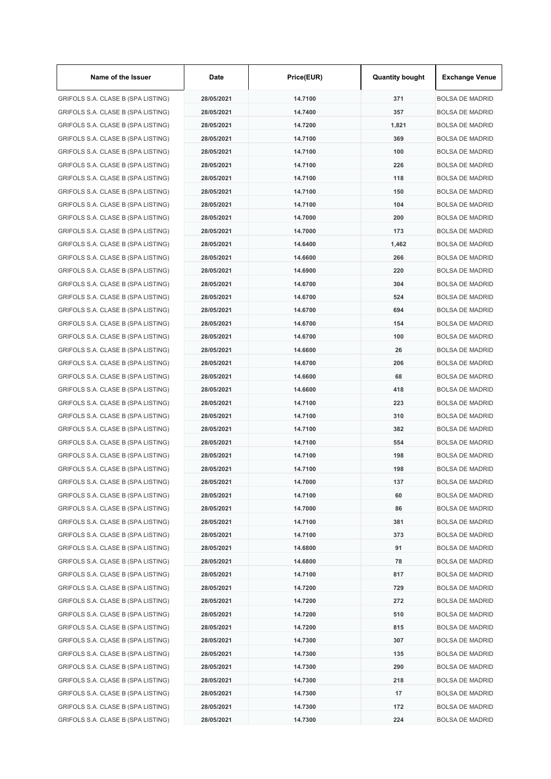| Name of the Issuer                 | Date       | Price(EUR) | <b>Quantity bought</b> | <b>Exchange Venue</b>  |
|------------------------------------|------------|------------|------------------------|------------------------|
| GRIFOLS S.A. CLASE B (SPA LISTING) | 28/05/2021 | 14.7100    | 371                    | <b>BOLSA DE MADRID</b> |
| GRIFOLS S.A. CLASE B (SPA LISTING) | 28/05/2021 | 14.7400    | 357                    | <b>BOLSA DE MADRID</b> |
| GRIFOLS S.A. CLASE B (SPA LISTING) | 28/05/2021 | 14.7200    | 1,821                  | <b>BOLSA DE MADRID</b> |
| GRIFOLS S.A. CLASE B (SPA LISTING) | 28/05/2021 | 14.7100    | 369                    | <b>BOLSA DE MADRID</b> |
| GRIFOLS S.A. CLASE B (SPA LISTING) | 28/05/2021 | 14.7100    | 100                    | <b>BOLSA DE MADRID</b> |
| GRIFOLS S.A. CLASE B (SPA LISTING) | 28/05/2021 | 14.7100    | 226                    | <b>BOLSA DE MADRID</b> |
| GRIFOLS S.A. CLASE B (SPA LISTING) | 28/05/2021 | 14.7100    | 118                    | <b>BOLSA DE MADRID</b> |
| GRIFOLS S.A. CLASE B (SPA LISTING) | 28/05/2021 | 14.7100    | 150                    | <b>BOLSA DE MADRID</b> |
| GRIFOLS S.A. CLASE B (SPA LISTING) | 28/05/2021 | 14.7100    | 104                    | <b>BOLSA DE MADRID</b> |
| GRIFOLS S.A. CLASE B (SPA LISTING) | 28/05/2021 | 14.7000    | 200                    | <b>BOLSA DE MADRID</b> |
| GRIFOLS S.A. CLASE B (SPA LISTING) | 28/05/2021 | 14.7000    | 173                    | <b>BOLSA DE MADRID</b> |
| GRIFOLS S.A. CLASE B (SPA LISTING) | 28/05/2021 | 14.6400    | 1,462                  | <b>BOLSA DE MADRID</b> |
| GRIFOLS S.A. CLASE B (SPA LISTING) | 28/05/2021 | 14.6600    | 266                    | <b>BOLSA DE MADRID</b> |
| GRIFOLS S.A. CLASE B (SPA LISTING) | 28/05/2021 | 14.6900    | 220                    | <b>BOLSA DE MADRID</b> |
| GRIFOLS S.A. CLASE B (SPA LISTING) | 28/05/2021 | 14.6700    | 304                    | <b>BOLSA DE MADRID</b> |
| GRIFOLS S.A. CLASE B (SPA LISTING) | 28/05/2021 | 14.6700    | 524                    | <b>BOLSA DE MADRID</b> |
| GRIFOLS S.A. CLASE B (SPA LISTING) | 28/05/2021 | 14.6700    | 694                    | <b>BOLSA DE MADRID</b> |
| GRIFOLS S.A. CLASE B (SPA LISTING) | 28/05/2021 | 14.6700    | 154                    | <b>BOLSA DE MADRID</b> |
| GRIFOLS S.A. CLASE B (SPA LISTING) | 28/05/2021 | 14.6700    | 100                    | <b>BOLSA DE MADRID</b> |
| GRIFOLS S.A. CLASE B (SPA LISTING) | 28/05/2021 | 14.6600    | 26                     | <b>BOLSA DE MADRID</b> |
| GRIFOLS S.A. CLASE B (SPA LISTING) | 28/05/2021 | 14.6700    | 206                    | <b>BOLSA DE MADRID</b> |
| GRIFOLS S.A. CLASE B (SPA LISTING) | 28/05/2021 | 14.6600    | 68                     | <b>BOLSA DE MADRID</b> |
| GRIFOLS S.A. CLASE B (SPA LISTING) | 28/05/2021 | 14.6600    | 418                    | <b>BOLSA DE MADRID</b> |
| GRIFOLS S.A. CLASE B (SPA LISTING) | 28/05/2021 | 14.7100    | 223                    | <b>BOLSA DE MADRID</b> |
| GRIFOLS S.A. CLASE B (SPA LISTING) | 28/05/2021 | 14.7100    | 310                    | <b>BOLSA DE MADRID</b> |
| GRIFOLS S.A. CLASE B (SPA LISTING) | 28/05/2021 | 14.7100    | 382                    | <b>BOLSA DE MADRID</b> |
| GRIFOLS S.A. CLASE B (SPA LISTING) | 28/05/2021 | 14.7100    | 554                    | <b>BOLSA DE MADRID</b> |
| GRIFOLS S.A. CLASE B (SPA LISTING) | 28/05/2021 | 14.7100    | 198                    | <b>BOLSA DE MADRID</b> |
| GRIFOLS S.A. CLASE B (SPA LISTING) | 28/05/2021 | 14.7100    | 198                    | <b>BOLSA DE MADRID</b> |
| GRIFOLS S.A. CLASE B (SPA LISTING) | 28/05/2021 | 14.7000    | 137                    | <b>BOLSA DE MADRID</b> |
| GRIFOLS S.A. CLASE B (SPA LISTING) | 28/05/2021 | 14.7100    | 60                     | <b>BOLSA DE MADRID</b> |
| GRIFOLS S.A. CLASE B (SPA LISTING) | 28/05/2021 | 14.7000    | 86                     | <b>BOLSA DE MADRID</b> |
| GRIFOLS S.A. CLASE B (SPA LISTING) | 28/05/2021 | 14.7100    | 381                    | <b>BOLSA DE MADRID</b> |
| GRIFOLS S.A. CLASE B (SPA LISTING) | 28/05/2021 | 14.7100    | 373                    | <b>BOLSA DE MADRID</b> |
| GRIFOLS S.A. CLASE B (SPA LISTING) | 28/05/2021 | 14.6800    | 91                     | <b>BOLSA DE MADRID</b> |
| GRIFOLS S.A. CLASE B (SPA LISTING) | 28/05/2021 | 14.6800    | 78                     | <b>BOLSA DE MADRID</b> |
| GRIFOLS S.A. CLASE B (SPA LISTING) | 28/05/2021 | 14.7100    | 817                    | <b>BOLSA DE MADRID</b> |
| GRIFOLS S.A. CLASE B (SPA LISTING) | 28/05/2021 | 14.7200    | 729                    | <b>BOLSA DE MADRID</b> |
| GRIFOLS S.A. CLASE B (SPA LISTING) | 28/05/2021 | 14.7200    | 272                    | <b>BOLSA DE MADRID</b> |
| GRIFOLS S.A. CLASE B (SPA LISTING) | 28/05/2021 | 14.7200    | 510                    | <b>BOLSA DE MADRID</b> |
| GRIFOLS S.A. CLASE B (SPA LISTING) | 28/05/2021 | 14.7200    | 815                    | <b>BOLSA DE MADRID</b> |
| GRIFOLS S.A. CLASE B (SPA LISTING) | 28/05/2021 | 14.7300    | 307                    | <b>BOLSA DE MADRID</b> |
| GRIFOLS S.A. CLASE B (SPA LISTING) | 28/05/2021 | 14.7300    | 135                    | <b>BOLSA DE MADRID</b> |
| GRIFOLS S.A. CLASE B (SPA LISTING) | 28/05/2021 | 14.7300    | 290                    | <b>BOLSA DE MADRID</b> |
| GRIFOLS S.A. CLASE B (SPA LISTING) | 28/05/2021 | 14.7300    | 218                    | <b>BOLSA DE MADRID</b> |
| GRIFOLS S.A. CLASE B (SPA LISTING) | 28/05/2021 | 14.7300    | 17                     | <b>BOLSA DE MADRID</b> |
| GRIFOLS S.A. CLASE B (SPA LISTING) | 28/05/2021 | 14.7300    | 172                    | <b>BOLSA DE MADRID</b> |
| GRIFOLS S.A. CLASE B (SPA LISTING) | 28/05/2021 | 14.7300    | 224                    | <b>BOLSA DE MADRID</b> |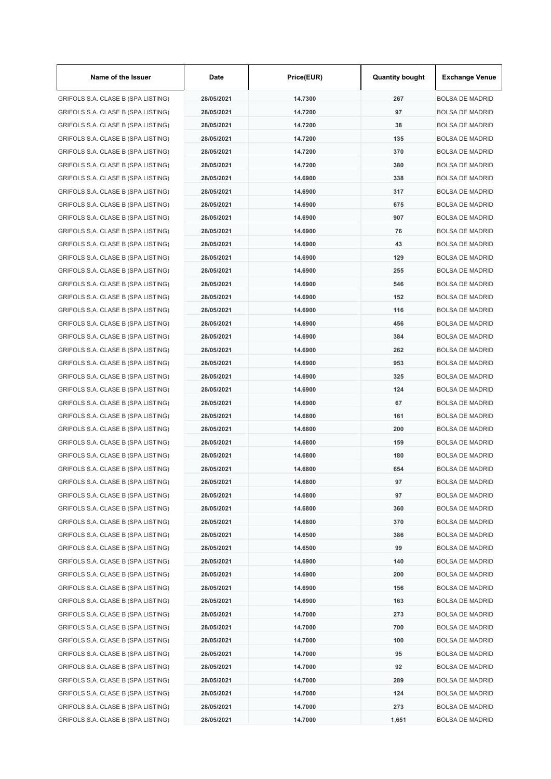| Name of the Issuer                 | Date       | Price(EUR) | <b>Quantity bought</b> | <b>Exchange Venue</b>  |
|------------------------------------|------------|------------|------------------------|------------------------|
| GRIFOLS S.A. CLASE B (SPA LISTING) | 28/05/2021 | 14.7300    | 267                    | <b>BOLSA DE MADRID</b> |
| GRIFOLS S.A. CLASE B (SPA LISTING) | 28/05/2021 | 14.7200    | 97                     | <b>BOLSA DE MADRID</b> |
| GRIFOLS S.A. CLASE B (SPA LISTING) | 28/05/2021 | 14.7200    | 38                     | <b>BOLSA DE MADRID</b> |
| GRIFOLS S.A. CLASE B (SPA LISTING) | 28/05/2021 | 14.7200    | 135                    | <b>BOLSA DE MADRID</b> |
| GRIFOLS S.A. CLASE B (SPA LISTING) | 28/05/2021 | 14.7200    | 370                    | <b>BOLSA DE MADRID</b> |
| GRIFOLS S.A. CLASE B (SPA LISTING) | 28/05/2021 | 14.7200    | 380                    | <b>BOLSA DE MADRID</b> |
| GRIFOLS S.A. CLASE B (SPA LISTING) | 28/05/2021 | 14.6900    | 338                    | <b>BOLSA DE MADRID</b> |
| GRIFOLS S.A. CLASE B (SPA LISTING) | 28/05/2021 | 14.6900    | 317                    | <b>BOLSA DE MADRID</b> |
| GRIFOLS S.A. CLASE B (SPA LISTING) | 28/05/2021 | 14.6900    | 675                    | <b>BOLSA DE MADRID</b> |
| GRIFOLS S.A. CLASE B (SPA LISTING) | 28/05/2021 | 14.6900    | 907                    | <b>BOLSA DE MADRID</b> |
| GRIFOLS S.A. CLASE B (SPA LISTING) | 28/05/2021 | 14.6900    | 76                     | <b>BOLSA DE MADRID</b> |
| GRIFOLS S.A. CLASE B (SPA LISTING) | 28/05/2021 | 14.6900    | 43                     | <b>BOLSA DE MADRID</b> |
| GRIFOLS S.A. CLASE B (SPA LISTING) | 28/05/2021 | 14.6900    | 129                    | <b>BOLSA DE MADRID</b> |
| GRIFOLS S.A. CLASE B (SPA LISTING) | 28/05/2021 | 14.6900    | 255                    | <b>BOLSA DE MADRID</b> |
| GRIFOLS S.A. CLASE B (SPA LISTING) | 28/05/2021 | 14.6900    | 546                    | <b>BOLSA DE MADRID</b> |
| GRIFOLS S.A. CLASE B (SPA LISTING) | 28/05/2021 | 14.6900    | 152                    | <b>BOLSA DE MADRID</b> |
| GRIFOLS S.A. CLASE B (SPA LISTING) | 28/05/2021 | 14.6900    | 116                    | BOLSA DE MADRID        |
| GRIFOLS S.A. CLASE B (SPA LISTING) | 28/05/2021 | 14.6900    | 456                    | <b>BOLSA DE MADRID</b> |
| GRIFOLS S.A. CLASE B (SPA LISTING) | 28/05/2021 | 14.6900    | 384                    | <b>BOLSA DE MADRID</b> |
| GRIFOLS S.A. CLASE B (SPA LISTING) | 28/05/2021 | 14.6900    | 262                    | <b>BOLSA DE MADRID</b> |
| GRIFOLS S.A. CLASE B (SPA LISTING) | 28/05/2021 | 14.6900    | 953                    | <b>BOLSA DE MADRID</b> |
| GRIFOLS S.A. CLASE B (SPA LISTING) | 28/05/2021 | 14.6900    | 325                    | <b>BOLSA DE MADRID</b> |
| GRIFOLS S.A. CLASE B (SPA LISTING) | 28/05/2021 | 14.6900    | 124                    | <b>BOLSA DE MADRID</b> |
| GRIFOLS S.A. CLASE B (SPA LISTING) | 28/05/2021 | 14.6900    | 67                     | <b>BOLSA DE MADRID</b> |
| GRIFOLS S.A. CLASE B (SPA LISTING) | 28/05/2021 | 14.6800    | 161                    | <b>BOLSA DE MADRID</b> |
| GRIFOLS S.A. CLASE B (SPA LISTING) | 28/05/2021 | 14.6800    | 200                    | <b>BOLSA DE MADRID</b> |
| GRIFOLS S.A. CLASE B (SPA LISTING) | 28/05/2021 | 14.6800    | 159                    | <b>BOLSA DE MADRID</b> |
| GRIFOLS S.A. CLASE B (SPA LISTING) | 28/05/2021 | 14.6800    | 180                    | <b>BOLSA DE MADRID</b> |
| GRIFOLS S.A. CLASE B (SPA LISTING) | 28/05/2021 | 14.6800    | 654                    | <b>BOLSA DE MADRID</b> |
| GRIFOLS S.A. CLASE B (SPA LISTING) | 28/05/2021 | 14.6800    | 97                     | <b>BOLSA DE MADRID</b> |
| GRIFOLS S.A. CLASE B (SPA LISTING) | 28/05/2021 | 14.6800    | 97                     | <b>BOLSA DE MADRID</b> |
| GRIFOLS S.A. CLASE B (SPA LISTING) | 28/05/2021 | 14.6800    | 360                    | <b>BOLSA DE MADRID</b> |
| GRIFOLS S.A. CLASE B (SPA LISTING) | 28/05/2021 | 14.6800    | 370                    | <b>BOLSA DE MADRID</b> |
| GRIFOLS S.A. CLASE B (SPA LISTING) | 28/05/2021 | 14.6500    | 386                    | <b>BOLSA DE MADRID</b> |
| GRIFOLS S.A. CLASE B (SPA LISTING) | 28/05/2021 | 14.6500    | 99                     | <b>BOLSA DE MADRID</b> |
| GRIFOLS S.A. CLASE B (SPA LISTING) | 28/05/2021 | 14.6900    | 140                    | <b>BOLSA DE MADRID</b> |
| GRIFOLS S.A. CLASE B (SPA LISTING) | 28/05/2021 | 14.6900    | 200                    | <b>BOLSA DE MADRID</b> |
| GRIFOLS S.A. CLASE B (SPA LISTING) | 28/05/2021 | 14.6900    | 156                    | <b>BOLSA DE MADRID</b> |
| GRIFOLS S.A. CLASE B (SPA LISTING) | 28/05/2021 | 14.6900    | 163                    | <b>BOLSA DE MADRID</b> |
| GRIFOLS S.A. CLASE B (SPA LISTING) | 28/05/2021 | 14.7000    | 273                    | <b>BOLSA DE MADRID</b> |
| GRIFOLS S.A. CLASE B (SPA LISTING) | 28/05/2021 | 14.7000    | 700                    | <b>BOLSA DE MADRID</b> |
| GRIFOLS S.A. CLASE B (SPA LISTING) | 28/05/2021 | 14.7000    | 100                    | <b>BOLSA DE MADRID</b> |
| GRIFOLS S.A. CLASE B (SPA LISTING) | 28/05/2021 | 14.7000    | 95                     | <b>BOLSA DE MADRID</b> |
| GRIFOLS S.A. CLASE B (SPA LISTING) | 28/05/2021 | 14.7000    | 92                     | <b>BOLSA DE MADRID</b> |
| GRIFOLS S.A. CLASE B (SPA LISTING) | 28/05/2021 | 14.7000    | 289                    | <b>BOLSA DE MADRID</b> |
| GRIFOLS S.A. CLASE B (SPA LISTING) | 28/05/2021 | 14.7000    | 124                    | BOLSA DE MADRID        |
| GRIFOLS S.A. CLASE B (SPA LISTING) | 28/05/2021 | 14.7000    | 273                    | <b>BOLSA DE MADRID</b> |
| GRIFOLS S.A. CLASE B (SPA LISTING) | 28/05/2021 | 14.7000    | 1,651                  | <b>BOLSA DE MADRID</b> |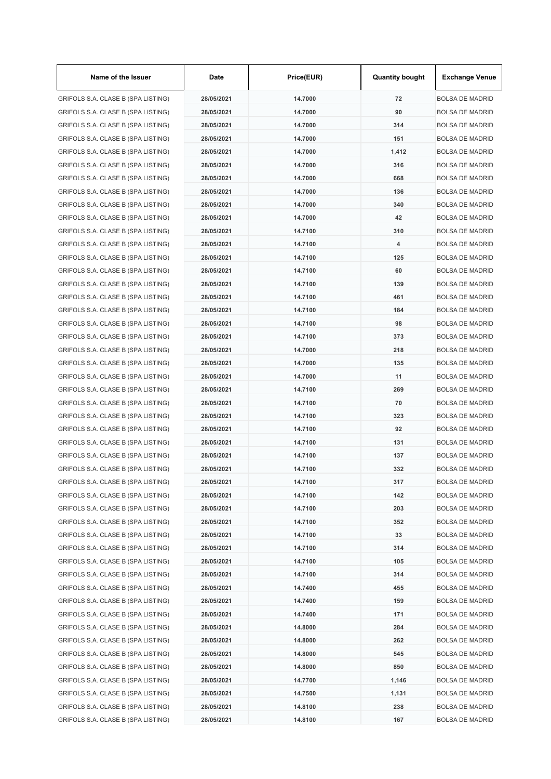| Name of the Issuer                 | Date       | Price(EUR) | <b>Quantity bought</b>  | <b>Exchange Venue</b>  |
|------------------------------------|------------|------------|-------------------------|------------------------|
| GRIFOLS S.A. CLASE B (SPA LISTING) | 28/05/2021 | 14.7000    | 72                      | <b>BOLSA DE MADRID</b> |
| GRIFOLS S.A. CLASE B (SPA LISTING) | 28/05/2021 | 14.7000    | 90                      | <b>BOLSA DE MADRID</b> |
| GRIFOLS S.A. CLASE B (SPA LISTING) | 28/05/2021 | 14.7000    | 314                     | <b>BOLSA DE MADRID</b> |
| GRIFOLS S.A. CLASE B (SPA LISTING) | 28/05/2021 | 14.7000    | 151                     | <b>BOLSA DE MADRID</b> |
| GRIFOLS S.A. CLASE B (SPA LISTING) | 28/05/2021 | 14.7000    | 1,412                   | <b>BOLSA DE MADRID</b> |
| GRIFOLS S.A. CLASE B (SPA LISTING) | 28/05/2021 | 14.7000    | 316                     | <b>BOLSA DE MADRID</b> |
| GRIFOLS S.A. CLASE B (SPA LISTING) | 28/05/2021 | 14.7000    | 668                     | <b>BOLSA DE MADRID</b> |
| GRIFOLS S.A. CLASE B (SPA LISTING) | 28/05/2021 | 14.7000    | 136                     | <b>BOLSA DE MADRID</b> |
| GRIFOLS S.A. CLASE B (SPA LISTING) | 28/05/2021 | 14.7000    | 340                     | <b>BOLSA DE MADRID</b> |
| GRIFOLS S.A. CLASE B (SPA LISTING) | 28/05/2021 | 14.7000    | 42                      | <b>BOLSA DE MADRID</b> |
| GRIFOLS S.A. CLASE B (SPA LISTING) | 28/05/2021 | 14.7100    | 310                     | <b>BOLSA DE MADRID</b> |
| GRIFOLS S.A. CLASE B (SPA LISTING) | 28/05/2021 | 14.7100    | $\overline{\mathbf{4}}$ | <b>BOLSA DE MADRID</b> |
| GRIFOLS S.A. CLASE B (SPA LISTING) | 28/05/2021 | 14.7100    | 125                     | <b>BOLSA DE MADRID</b> |
| GRIFOLS S.A. CLASE B (SPA LISTING) | 28/05/2021 | 14.7100    | 60                      | <b>BOLSA DE MADRID</b> |
| GRIFOLS S.A. CLASE B (SPA LISTING) | 28/05/2021 | 14.7100    | 139                     | <b>BOLSA DE MADRID</b> |
| GRIFOLS S.A. CLASE B (SPA LISTING) | 28/05/2021 | 14.7100    | 461                     | <b>BOLSA DE MADRID</b> |
| GRIFOLS S.A. CLASE B (SPA LISTING) | 28/05/2021 | 14.7100    | 184                     | <b>BOLSA DE MADRID</b> |
| GRIFOLS S.A. CLASE B (SPA LISTING) | 28/05/2021 | 14.7100    | 98                      | <b>BOLSA DE MADRID</b> |
| GRIFOLS S.A. CLASE B (SPA LISTING) | 28/05/2021 | 14.7100    | 373                     | <b>BOLSA DE MADRID</b> |
| GRIFOLS S.A. CLASE B (SPA LISTING) | 28/05/2021 | 14.7000    | 218                     | <b>BOLSA DE MADRID</b> |
| GRIFOLS S.A. CLASE B (SPA LISTING) | 28/05/2021 | 14.7000    | 135                     | <b>BOLSA DE MADRID</b> |
| GRIFOLS S.A. CLASE B (SPA LISTING) | 28/05/2021 | 14.7000    | 11                      | <b>BOLSA DE MADRID</b> |
| GRIFOLS S.A. CLASE B (SPA LISTING) | 28/05/2021 | 14.7100    | 269                     | <b>BOLSA DE MADRID</b> |
| GRIFOLS S.A. CLASE B (SPA LISTING) | 28/05/2021 | 14.7100    | 70                      | <b>BOLSA DE MADRID</b> |
| GRIFOLS S.A. CLASE B (SPA LISTING) | 28/05/2021 | 14.7100    | 323                     | <b>BOLSA DE MADRID</b> |
| GRIFOLS S.A. CLASE B (SPA LISTING) | 28/05/2021 | 14.7100    | 92                      | <b>BOLSA DE MADRID</b> |
| GRIFOLS S.A. CLASE B (SPA LISTING) | 28/05/2021 | 14.7100    | 131                     | <b>BOLSA DE MADRID</b> |
| GRIFOLS S.A. CLASE B (SPA LISTING) | 28/05/2021 | 14.7100    | 137                     | <b>BOLSA DE MADRID</b> |
| GRIFOLS S.A. CLASE B (SPA LISTING) | 28/05/2021 | 14.7100    | 332                     | <b>BOLSA DE MADRID</b> |
| GRIFOLS S.A. CLASE B (SPA LISTING) | 28/05/2021 | 14.7100    | 317                     | <b>BOLSA DE MADRID</b> |
| GRIFOLS S.A. CLASE B (SPA LISTING) | 28/05/2021 | 14.7100    | 142                     | <b>BOLSA DE MADRID</b> |
| GRIFOLS S.A. CLASE B (SPA LISTING) | 28/05/2021 | 14.7100    | 203                     | <b>BOLSA DE MADRID</b> |
| GRIFOLS S.A. CLASE B (SPA LISTING) | 28/05/2021 | 14.7100    | 352                     | <b>BOLSA DE MADRID</b> |
| GRIFOLS S.A. CLASE B (SPA LISTING) | 28/05/2021 | 14.7100    | 33                      | <b>BOLSA DE MADRID</b> |
| GRIFOLS S.A. CLASE B (SPA LISTING) | 28/05/2021 | 14.7100    | 314                     | <b>BOLSA DE MADRID</b> |
| GRIFOLS S.A. CLASE B (SPA LISTING) | 28/05/2021 | 14.7100    | 105                     | <b>BOLSA DE MADRID</b> |
| GRIFOLS S.A. CLASE B (SPA LISTING) | 28/05/2021 | 14.7100    | 314                     | <b>BOLSA DE MADRID</b> |
| GRIFOLS S.A. CLASE B (SPA LISTING) | 28/05/2021 | 14.7400    | 455                     | <b>BOLSA DE MADRID</b> |
| GRIFOLS S.A. CLASE B (SPA LISTING) | 28/05/2021 | 14.7400    | 159                     | <b>BOLSA DE MADRID</b> |
| GRIFOLS S.A. CLASE B (SPA LISTING) | 28/05/2021 | 14.7400    | 171                     | <b>BOLSA DE MADRID</b> |
| GRIFOLS S.A. CLASE B (SPA LISTING) | 28/05/2021 | 14.8000    | 284                     | <b>BOLSA DE MADRID</b> |
| GRIFOLS S.A. CLASE B (SPA LISTING) | 28/05/2021 | 14.8000    | 262                     | <b>BOLSA DE MADRID</b> |
| GRIFOLS S.A. CLASE B (SPA LISTING) | 28/05/2021 | 14.8000    | 545                     | <b>BOLSA DE MADRID</b> |
| GRIFOLS S.A. CLASE B (SPA LISTING) | 28/05/2021 | 14.8000    | 850                     | <b>BOLSA DE MADRID</b> |
| GRIFOLS S.A. CLASE B (SPA LISTING) | 28/05/2021 | 14.7700    | 1,146                   | <b>BOLSA DE MADRID</b> |
| GRIFOLS S.A. CLASE B (SPA LISTING) | 28/05/2021 | 14.7500    | 1,131                   | <b>BOLSA DE MADRID</b> |
| GRIFOLS S.A. CLASE B (SPA LISTING) | 28/05/2021 | 14.8100    | 238                     | <b>BOLSA DE MADRID</b> |
| GRIFOLS S.A. CLASE B (SPA LISTING) | 28/05/2021 | 14.8100    | 167                     | <b>BOLSA DE MADRID</b> |
|                                    |            |            |                         |                        |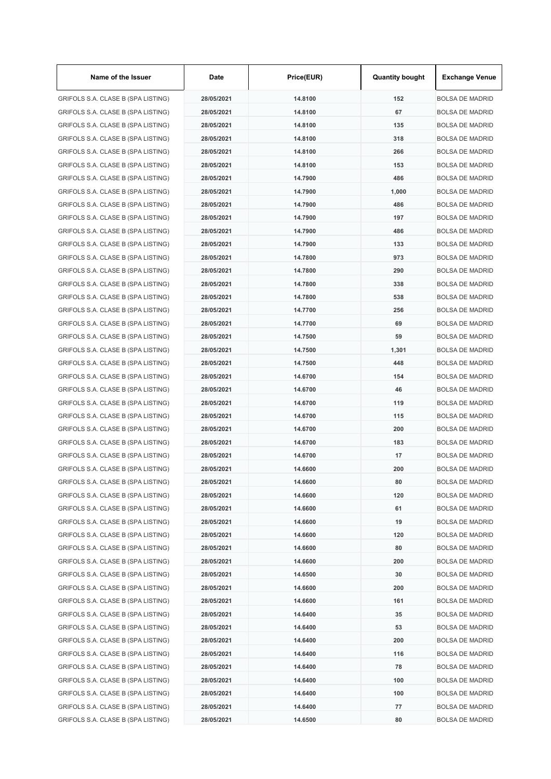| Name of the Issuer                 | Date       | Price(EUR) | <b>Quantity bought</b> | <b>Exchange Venue</b>  |
|------------------------------------|------------|------------|------------------------|------------------------|
| GRIFOLS S.A. CLASE B (SPA LISTING) | 28/05/2021 | 14.8100    | 152                    | <b>BOLSA DE MADRID</b> |
| GRIFOLS S.A. CLASE B (SPA LISTING) | 28/05/2021 | 14.8100    | 67                     | <b>BOLSA DE MADRID</b> |
| GRIFOLS S.A. CLASE B (SPA LISTING) | 28/05/2021 | 14.8100    | 135                    | <b>BOLSA DE MADRID</b> |
| GRIFOLS S.A. CLASE B (SPA LISTING) | 28/05/2021 | 14.8100    | 318                    | <b>BOLSA DE MADRID</b> |
| GRIFOLS S.A. CLASE B (SPA LISTING) | 28/05/2021 | 14.8100    | 266                    | <b>BOLSA DE MADRID</b> |
| GRIFOLS S.A. CLASE B (SPA LISTING) | 28/05/2021 | 14.8100    | 153                    | <b>BOLSA DE MADRID</b> |
| GRIFOLS S.A. CLASE B (SPA LISTING) | 28/05/2021 | 14.7900    | 486                    | <b>BOLSA DE MADRID</b> |
| GRIFOLS S.A. CLASE B (SPA LISTING) | 28/05/2021 | 14.7900    | 1,000                  | <b>BOLSA DE MADRID</b> |
| GRIFOLS S.A. CLASE B (SPA LISTING) | 28/05/2021 | 14.7900    | 486                    | <b>BOLSA DE MADRID</b> |
| GRIFOLS S.A. CLASE B (SPA LISTING) | 28/05/2021 | 14.7900    | 197                    | <b>BOLSA DE MADRID</b> |
| GRIFOLS S.A. CLASE B (SPA LISTING) | 28/05/2021 | 14.7900    | 486                    | <b>BOLSA DE MADRID</b> |
| GRIFOLS S.A. CLASE B (SPA LISTING) | 28/05/2021 | 14.7900    | 133                    | <b>BOLSA DE MADRID</b> |
| GRIFOLS S.A. CLASE B (SPA LISTING) | 28/05/2021 | 14.7800    | 973                    | <b>BOLSA DE MADRID</b> |
| GRIFOLS S.A. CLASE B (SPA LISTING) | 28/05/2021 | 14.7800    | 290                    | <b>BOLSA DE MADRID</b> |
| GRIFOLS S.A. CLASE B (SPA LISTING) | 28/05/2021 | 14.7800    | 338                    | <b>BOLSA DE MADRID</b> |
| GRIFOLS S.A. CLASE B (SPA LISTING) | 28/05/2021 | 14.7800    | 538                    | <b>BOLSA DE MADRID</b> |
| GRIFOLS S.A. CLASE B (SPA LISTING) | 28/05/2021 | 14.7700    | 256                    | BOLSA DE MADRID        |
| GRIFOLS S.A. CLASE B (SPA LISTING) | 28/05/2021 | 14.7700    | 69                     | <b>BOLSA DE MADRID</b> |
| GRIFOLS S.A. CLASE B (SPA LISTING) | 28/05/2021 | 14.7500    | 59                     | <b>BOLSA DE MADRID</b> |
| GRIFOLS S.A. CLASE B (SPA LISTING) | 28/05/2021 | 14.7500    | 1,301                  | <b>BOLSA DE MADRID</b> |
| GRIFOLS S.A. CLASE B (SPA LISTING) | 28/05/2021 | 14.7500    | 448                    | <b>BOLSA DE MADRID</b> |
| GRIFOLS S.A. CLASE B (SPA LISTING) | 28/05/2021 | 14.6700    | 154                    | <b>BOLSA DE MADRID</b> |
| GRIFOLS S.A. CLASE B (SPA LISTING) | 28/05/2021 | 14.6700    | 46                     | <b>BOLSA DE MADRID</b> |
| GRIFOLS S.A. CLASE B (SPA LISTING) | 28/05/2021 | 14.6700    | 119                    | <b>BOLSA DE MADRID</b> |
| GRIFOLS S.A. CLASE B (SPA LISTING) | 28/05/2021 | 14.6700    | 115                    | <b>BOLSA DE MADRID</b> |
| GRIFOLS S.A. CLASE B (SPA LISTING) | 28/05/2021 | 14.6700    | 200                    | <b>BOLSA DE MADRID</b> |
| GRIFOLS S.A. CLASE B (SPA LISTING) | 28/05/2021 | 14.6700    | 183                    | <b>BOLSA DE MADRID</b> |
| GRIFOLS S.A. CLASE B (SPA LISTING) | 28/05/2021 | 14.6700    | 17                     | <b>BOLSA DE MADRID</b> |
| GRIFOLS S.A. CLASE B (SPA LISTING) | 28/05/2021 | 14.6600    | 200                    | BOLSA DE MADRID        |
| GRIFOLS S.A. CLASE B (SPA LISTING) | 28/05/2021 | 14.6600    | 80                     | <b>BOLSA DE MADRID</b> |
| GRIFOLS S.A. CLASE B (SPA LISTING) | 28/05/2021 | 14.6600    | 120                    | <b>BOLSA DE MADRID</b> |
| GRIFOLS S.A. CLASE B (SPA LISTING) | 28/05/2021 | 14.6600    | 61                     | <b>BOLSA DE MADRID</b> |
| GRIFOLS S.A. CLASE B (SPA LISTING) | 28/05/2021 | 14.6600    | 19                     | <b>BOLSA DE MADRID</b> |
| GRIFOLS S.A. CLASE B (SPA LISTING) | 28/05/2021 | 14.6600    | 120                    | <b>BOLSA DE MADRID</b> |
| GRIFOLS S.A. CLASE B (SPA LISTING) | 28/05/2021 | 14.6600    | 80                     | <b>BOLSA DE MADRID</b> |
| GRIFOLS S.A. CLASE B (SPA LISTING) | 28/05/2021 | 14.6600    | 200                    | <b>BOLSA DE MADRID</b> |
| GRIFOLS S.A. CLASE B (SPA LISTING) | 28/05/2021 | 14.6500    | 30                     | <b>BOLSA DE MADRID</b> |
| GRIFOLS S.A. CLASE B (SPA LISTING) | 28/05/2021 | 14.6600    | 200                    | <b>BOLSA DE MADRID</b> |
| GRIFOLS S.A. CLASE B (SPA LISTING) | 28/05/2021 | 14.6600    | 161                    | <b>BOLSA DE MADRID</b> |
| GRIFOLS S.A. CLASE B (SPA LISTING) | 28/05/2021 | 14.6400    | 35                     | <b>BOLSA DE MADRID</b> |
| GRIFOLS S.A. CLASE B (SPA LISTING) | 28/05/2021 | 14.6400    | 53                     | <b>BOLSA DE MADRID</b> |
| GRIFOLS S.A. CLASE B (SPA LISTING) | 28/05/2021 | 14.6400    | 200                    | <b>BOLSA DE MADRID</b> |
| GRIFOLS S.A. CLASE B (SPA LISTING) | 28/05/2021 | 14.6400    | 116                    | <b>BOLSA DE MADRID</b> |
| GRIFOLS S.A. CLASE B (SPA LISTING) | 28/05/2021 | 14.6400    | 78                     | <b>BOLSA DE MADRID</b> |
| GRIFOLS S.A. CLASE B (SPA LISTING) | 28/05/2021 | 14.6400    | 100                    | <b>BOLSA DE MADRID</b> |
| GRIFOLS S.A. CLASE B (SPA LISTING) | 28/05/2021 | 14.6400    | 100                    | BOLSA DE MADRID        |
| GRIFOLS S.A. CLASE B (SPA LISTING) | 28/05/2021 | 14.6400    | 77                     | <b>BOLSA DE MADRID</b> |
| GRIFOLS S.A. CLASE B (SPA LISTING) | 28/05/2021 | 14.6500    | 80                     | <b>BOLSA DE MADRID</b> |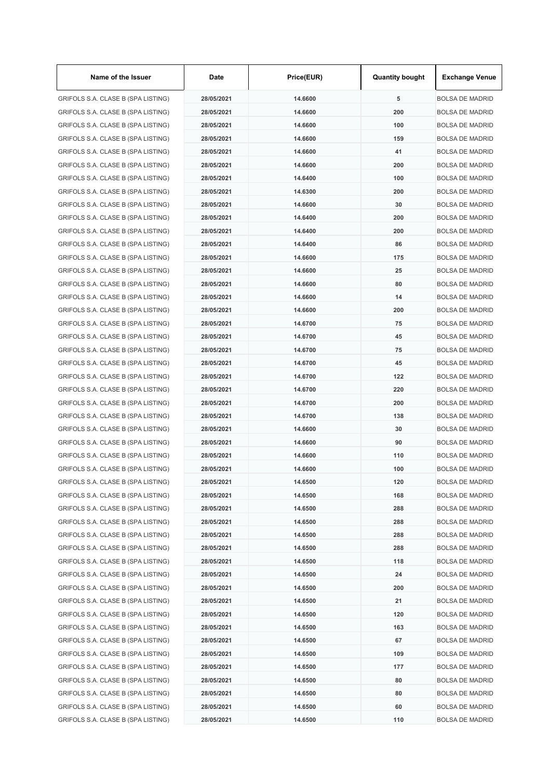| Name of the Issuer                 | Date       | Price(EUR) | <b>Quantity bought</b> | <b>Exchange Venue</b>  |
|------------------------------------|------------|------------|------------------------|------------------------|
| GRIFOLS S.A. CLASE B (SPA LISTING) | 28/05/2021 | 14.6600    | 5                      | <b>BOLSA DE MADRID</b> |
| GRIFOLS S.A. CLASE B (SPA LISTING) | 28/05/2021 | 14.6600    | 200                    | <b>BOLSA DE MADRID</b> |
| GRIFOLS S.A. CLASE B (SPA LISTING) | 28/05/2021 | 14.6600    | 100                    | <b>BOLSA DE MADRID</b> |
| GRIFOLS S.A. CLASE B (SPA LISTING) | 28/05/2021 | 14.6600    | 159                    | <b>BOLSA DE MADRID</b> |
| GRIFOLS S.A. CLASE B (SPA LISTING) | 28/05/2021 | 14.6600    | 41                     | <b>BOLSA DE MADRID</b> |
| GRIFOLS S.A. CLASE B (SPA LISTING) | 28/05/2021 | 14.6600    | 200                    | <b>BOLSA DE MADRID</b> |
| GRIFOLS S.A. CLASE B (SPA LISTING) | 28/05/2021 | 14.6400    | 100                    | <b>BOLSA DE MADRID</b> |
| GRIFOLS S.A. CLASE B (SPA LISTING) | 28/05/2021 | 14.6300    | 200                    | <b>BOLSA DE MADRID</b> |
| GRIFOLS S.A. CLASE B (SPA LISTING) | 28/05/2021 | 14.6600    | 30                     | <b>BOLSA DE MADRID</b> |
| GRIFOLS S.A. CLASE B (SPA LISTING) | 28/05/2021 | 14.6400    | 200                    | <b>BOLSA DE MADRID</b> |
| GRIFOLS S.A. CLASE B (SPA LISTING) | 28/05/2021 | 14.6400    | 200                    | <b>BOLSA DE MADRID</b> |
| GRIFOLS S.A. CLASE B (SPA LISTING) | 28/05/2021 | 14.6400    | 86                     | <b>BOLSA DE MADRID</b> |
| GRIFOLS S.A. CLASE B (SPA LISTING) | 28/05/2021 | 14.6600    | 175                    | <b>BOLSA DE MADRID</b> |
| GRIFOLS S.A. CLASE B (SPA LISTING) | 28/05/2021 | 14.6600    | 25                     | <b>BOLSA DE MADRID</b> |
| GRIFOLS S.A. CLASE B (SPA LISTING) | 28/05/2021 | 14.6600    | 80                     | <b>BOLSA DE MADRID</b> |
| GRIFOLS S.A. CLASE B (SPA LISTING) | 28/05/2021 | 14.6600    | 14                     | <b>BOLSA DE MADRID</b> |
| GRIFOLS S.A. CLASE B (SPA LISTING) | 28/05/2021 | 14.6600    | 200                    | <b>BOLSA DE MADRID</b> |
| GRIFOLS S.A. CLASE B (SPA LISTING) | 28/05/2021 | 14.6700    | 75                     | <b>BOLSA DE MADRID</b> |
| GRIFOLS S.A. CLASE B (SPA LISTING) | 28/05/2021 | 14.6700    | 45                     | <b>BOLSA DE MADRID</b> |
| GRIFOLS S.A. CLASE B (SPA LISTING) | 28/05/2021 | 14.6700    | 75                     | <b>BOLSA DE MADRID</b> |
| GRIFOLS S.A. CLASE B (SPA LISTING) | 28/05/2021 | 14.6700    | 45                     | <b>BOLSA DE MADRID</b> |
| GRIFOLS S.A. CLASE B (SPA LISTING) | 28/05/2021 | 14.6700    | 122                    | <b>BOLSA DE MADRID</b> |
| GRIFOLS S.A. CLASE B (SPA LISTING) | 28/05/2021 | 14.6700    | 220                    | <b>BOLSA DE MADRID</b> |
| GRIFOLS S.A. CLASE B (SPA LISTING) | 28/05/2021 | 14.6700    | 200                    | <b>BOLSA DE MADRID</b> |
| GRIFOLS S.A. CLASE B (SPA LISTING) | 28/05/2021 | 14.6700    | 138                    | <b>BOLSA DE MADRID</b> |
| GRIFOLS S.A. CLASE B (SPA LISTING) | 28/05/2021 | 14.6600    | 30                     | <b>BOLSA DE MADRID</b> |
| GRIFOLS S.A. CLASE B (SPA LISTING) | 28/05/2021 | 14.6600    | 90                     | <b>BOLSA DE MADRID</b> |
| GRIFOLS S.A. CLASE B (SPA LISTING) | 28/05/2021 | 14.6600    | 110                    | <b>BOLSA DE MADRID</b> |
| GRIFOLS S.A. CLASE B (SPA LISTING) | 28/05/2021 | 14.6600    | 100                    | BOLSA DE MADRID        |
| GRIFOLS S.A. CLASE B (SPA LISTING) | 28/05/2021 | 14.6500    | 120                    | <b>BOLSA DE MADRID</b> |
| GRIFOLS S.A. CLASE B (SPA LISTING) | 28/05/2021 | 14.6500    | 168                    | <b>BOLSA DE MADRID</b> |
| GRIFOLS S.A. CLASE B (SPA LISTING) | 28/05/2021 | 14.6500    | 288                    | <b>BOLSA DE MADRID</b> |
| GRIFOLS S.A. CLASE B (SPA LISTING) | 28/05/2021 | 14.6500    | 288                    | <b>BOLSA DE MADRID</b> |
| GRIFOLS S.A. CLASE B (SPA LISTING) | 28/05/2021 | 14.6500    | 288                    | <b>BOLSA DE MADRID</b> |
| GRIFOLS S.A. CLASE B (SPA LISTING) | 28/05/2021 | 14.6500    | 288                    | <b>BOLSA DE MADRID</b> |
| GRIFOLS S.A. CLASE B (SPA LISTING) | 28/05/2021 | 14.6500    | 118                    | <b>BOLSA DE MADRID</b> |
| GRIFOLS S.A. CLASE B (SPA LISTING) | 28/05/2021 | 14.6500    | 24                     | <b>BOLSA DE MADRID</b> |
| GRIFOLS S.A. CLASE B (SPA LISTING) | 28/05/2021 | 14.6500    | 200                    | <b>BOLSA DE MADRID</b> |
| GRIFOLS S.A. CLASE B (SPA LISTING) | 28/05/2021 | 14.6500    | 21                     | <b>BOLSA DE MADRID</b> |
| GRIFOLS S.A. CLASE B (SPA LISTING) | 28/05/2021 | 14.6500    | 120                    | <b>BOLSA DE MADRID</b> |
| GRIFOLS S.A. CLASE B (SPA LISTING) | 28/05/2021 | 14.6500    | 163                    | <b>BOLSA DE MADRID</b> |
| GRIFOLS S.A. CLASE B (SPA LISTING) | 28/05/2021 | 14.6500    | 67                     | <b>BOLSA DE MADRID</b> |
| GRIFOLS S.A. CLASE B (SPA LISTING) | 28/05/2021 | 14.6500    | 109                    | <b>BOLSA DE MADRID</b> |
| GRIFOLS S.A. CLASE B (SPA LISTING) | 28/05/2021 | 14.6500    | 177                    | <b>BOLSA DE MADRID</b> |
| GRIFOLS S.A. CLASE B (SPA LISTING) | 28/05/2021 | 14.6500    | 80                     | <b>BOLSA DE MADRID</b> |
| GRIFOLS S.A. CLASE B (SPA LISTING) | 28/05/2021 | 14.6500    | 80                     | BOLSA DE MADRID        |
| GRIFOLS S.A. CLASE B (SPA LISTING) | 28/05/2021 | 14.6500    | 60                     | <b>BOLSA DE MADRID</b> |
| GRIFOLS S.A. CLASE B (SPA LISTING) | 28/05/2021 | 14.6500    | 110                    | <b>BOLSA DE MADRID</b> |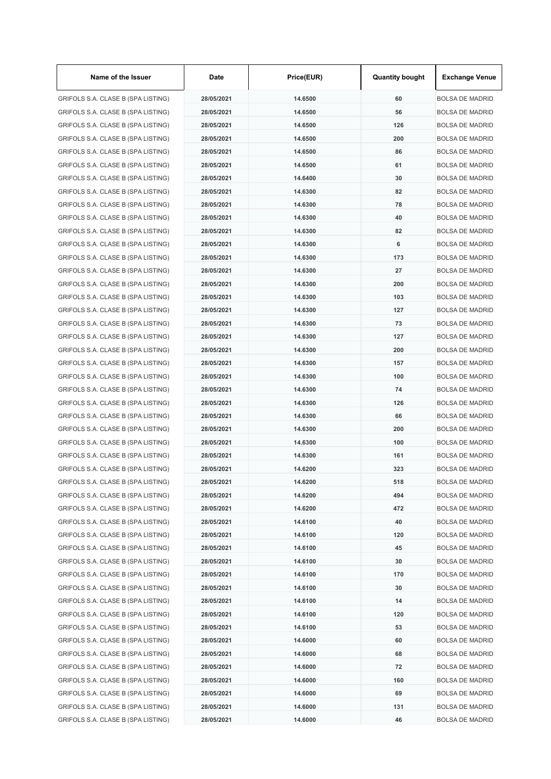| Name of the Issuer                 | Date       | Price(EUR) | <b>Quantity bought</b> | <b>Exchange Venue</b>  |
|------------------------------------|------------|------------|------------------------|------------------------|
| GRIFOLS S.A. CLASE B (SPA LISTING) | 28/05/2021 | 14.6500    | 60                     | <b>BOLSA DE MADRID</b> |
| GRIFOLS S.A. CLASE B (SPA LISTING) | 28/05/2021 | 14.6500    | 56                     | <b>BOLSA DE MADRID</b> |
| GRIFOLS S.A. CLASE B (SPA LISTING) | 28/05/2021 | 14.6500    | 126                    | <b>BOLSA DE MADRID</b> |
| GRIFOLS S.A. CLASE B (SPA LISTING) | 28/05/2021 | 14.6500    | 200                    | <b>BOLSA DE MADRID</b> |
| GRIFOLS S.A. CLASE B (SPA LISTING) | 28/05/2021 | 14.6500    | 86                     | <b>BOLSA DE MADRID</b> |
| GRIFOLS S.A. CLASE B (SPA LISTING) | 28/05/2021 | 14.6500    | 61                     | <b>BOLSA DE MADRID</b> |
| GRIFOLS S.A. CLASE B (SPA LISTING) | 28/05/2021 | 14.6400    | 30                     | <b>BOLSA DE MADRID</b> |
| GRIFOLS S.A. CLASE B (SPA LISTING) | 28/05/2021 | 14.6300    | 82                     | <b>BOLSA DE MADRID</b> |
| GRIFOLS S.A. CLASE B (SPA LISTING) | 28/05/2021 | 14.6300    | 78                     | <b>BOLSA DE MADRID</b> |
| GRIFOLS S.A. CLASE B (SPA LISTING) | 28/05/2021 | 14.6300    | 40                     | <b>BOLSA DE MADRID</b> |
| GRIFOLS S.A. CLASE B (SPA LISTING) | 28/05/2021 | 14.6300    | 82                     | <b>BOLSA DE MADRID</b> |
| GRIFOLS S.A. CLASE B (SPA LISTING) | 28/05/2021 | 14.6300    | 6                      | <b>BOLSA DE MADRID</b> |
| GRIFOLS S.A. CLASE B (SPA LISTING) | 28/05/2021 | 14.6300    | 173                    | <b>BOLSA DE MADRID</b> |
| GRIFOLS S.A. CLASE B (SPA LISTING) | 28/05/2021 | 14.6300    | 27                     | <b>BOLSA DE MADRID</b> |
| GRIFOLS S.A. CLASE B (SPA LISTING) | 28/05/2021 | 14.6300    | 200                    | <b>BOLSA DE MADRID</b> |
| GRIFOLS S.A. CLASE B (SPA LISTING) | 28/05/2021 | 14.6300    | 103                    | BOLSA DE MADRID        |
| GRIFOLS S.A. CLASE B (SPA LISTING) | 28/05/2021 | 14.6300    | 127                    | <b>BOLSA DE MADRID</b> |
| GRIFOLS S.A. CLASE B (SPA LISTING) | 28/05/2021 | 14.6300    | 73                     | <b>BOLSA DE MADRID</b> |
| GRIFOLS S.A. CLASE B (SPA LISTING) | 28/05/2021 | 14.6300    | 127                    | <b>BOLSA DE MADRID</b> |
| GRIFOLS S.A. CLASE B (SPA LISTING) | 28/05/2021 | 14.6300    | 200                    | <b>BOLSA DE MADRID</b> |
| GRIFOLS S.A. CLASE B (SPA LISTING) | 28/05/2021 | 14.6300    | 157                    | <b>BOLSA DE MADRID</b> |
| GRIFOLS S.A. CLASE B (SPA LISTING) | 28/05/2021 | 14.6300    | 100                    | <b>BOLSA DE MADRID</b> |
| GRIFOLS S.A. CLASE B (SPA LISTING) | 28/05/2021 | 14.6300    | 74                     | <b>BOLSA DE MADRID</b> |
| GRIFOLS S.A. CLASE B (SPA LISTING) | 28/05/2021 | 14.6300    | 126                    | <b>BOLSA DE MADRID</b> |
| GRIFOLS S.A. CLASE B (SPA LISTING) | 28/05/2021 | 14.6300    | 66                     | <b>BOLSA DE MADRID</b> |
| GRIFOLS S.A. CLASE B (SPA LISTING) | 28/05/2021 | 14.6300    | 200                    | <b>BOLSA DE MADRID</b> |
| GRIFOLS S.A. CLASE B (SPA LISTING) | 28/05/2021 | 14.6300    | 100                    | <b>BOLSA DE MADRID</b> |
| GRIFOLS S.A. CLASE B (SPA LISTING) | 28/05/2021 | 14.6300    | 161                    | <b>BOLSA DE MADRID</b> |
| GRIFOLS S.A. CLASE B (SPA LISTING) | 28/05/2021 | 14.6200    | 323                    | <b>BOLSA DE MADRID</b> |
| GRIFOLS S.A. CLASE B (SPA LISTING) | 28/05/2021 | 14.6200    | 518                    | <b>BOLSA DE MADRID</b> |
| GRIFOLS S.A. CLASE B (SPA LISTING) | 28/05/2021 | 14.6200    | 494                    | <b>BOLSA DE MADRID</b> |
| GRIFOLS S.A. CLASE B (SPA LISTING) | 28/05/2021 | 14.6200    | 472                    | <b>BOLSA DE MADRID</b> |
| GRIFOLS S.A. CLASE B (SPA LISTING) | 28/05/2021 | 14.6100    | 40                     | <b>BOLSA DE MADRID</b> |
| GRIFOLS S.A. CLASE B (SPA LISTING) | 28/05/2021 | 14.6100    | 120                    | <b>BOLSA DE MADRID</b> |
| GRIFOLS S.A. CLASE B (SPA LISTING) | 28/05/2021 | 14.6100    | 45                     | <b>BOLSA DE MADRID</b> |
| GRIFOLS S.A. CLASE B (SPA LISTING) | 28/05/2021 | 14.6100    | 30                     | <b>BOLSA DE MADRID</b> |
| GRIFOLS S.A. CLASE B (SPA LISTING) | 28/05/2021 | 14.6100    | 170                    | <b>BOLSA DE MADRID</b> |
| GRIFOLS S.A. CLASE B (SPA LISTING) | 28/05/2021 | 14.6100    | 30                     | <b>BOLSA DE MADRID</b> |
| GRIFOLS S.A. CLASE B (SPA LISTING) | 28/05/2021 | 14.6100    | 14                     | <b>BOLSA DE MADRID</b> |
| GRIFOLS S.A. CLASE B (SPA LISTING) | 28/05/2021 | 14.6100    | 120                    | <b>BOLSA DE MADRID</b> |
| GRIFOLS S.A. CLASE B (SPA LISTING) | 28/05/2021 | 14.6100    | 53                     | <b>BOLSA DE MADRID</b> |
| GRIFOLS S.A. CLASE B (SPA LISTING) | 28/05/2021 | 14.6000    | 60                     | <b>BOLSA DE MADRID</b> |
| GRIFOLS S.A. CLASE B (SPA LISTING) | 28/05/2021 | 14.6000    | 68                     | <b>BOLSA DE MADRID</b> |
| GRIFOLS S.A. CLASE B (SPA LISTING) | 28/05/2021 | 14.6000    | 72                     | <b>BOLSA DE MADRID</b> |
| GRIFOLS S.A. CLASE B (SPA LISTING) | 28/05/2021 | 14.6000    | 160                    | <b>BOLSA DE MADRID</b> |
| GRIFOLS S.A. CLASE B (SPA LISTING) | 28/05/2021 | 14.6000    | 69                     | BOLSA DE MADRID        |
| GRIFOLS S.A. CLASE B (SPA LISTING) | 28/05/2021 | 14.6000    | 131                    | <b>BOLSA DE MADRID</b> |
| GRIFOLS S.A. CLASE B (SPA LISTING) | 28/05/2021 | 14.6000    | 46                     | <b>BOLSA DE MADRID</b> |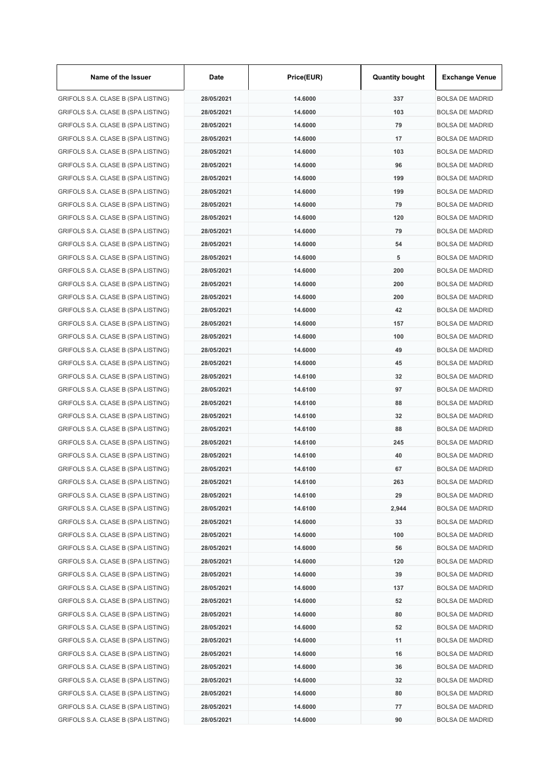| Name of the Issuer                 | Date       | Price(EUR) | <b>Quantity bought</b> | <b>Exchange Venue</b>  |
|------------------------------------|------------|------------|------------------------|------------------------|
| GRIFOLS S.A. CLASE B (SPA LISTING) | 28/05/2021 | 14.6000    | 337                    | <b>BOLSA DE MADRID</b> |
| GRIFOLS S.A. CLASE B (SPA LISTING) | 28/05/2021 | 14.6000    | 103                    | <b>BOLSA DE MADRID</b> |
| GRIFOLS S.A. CLASE B (SPA LISTING) | 28/05/2021 | 14.6000    | 79                     | <b>BOLSA DE MADRID</b> |
| GRIFOLS S.A. CLASE B (SPA LISTING) | 28/05/2021 | 14.6000    | 17                     | <b>BOLSA DE MADRID</b> |
| GRIFOLS S.A. CLASE B (SPA LISTING) | 28/05/2021 | 14.6000    | 103                    | <b>BOLSA DE MADRID</b> |
| GRIFOLS S.A. CLASE B (SPA LISTING) | 28/05/2021 | 14.6000    | 96                     | <b>BOLSA DE MADRID</b> |
| GRIFOLS S.A. CLASE B (SPA LISTING) | 28/05/2021 | 14.6000    | 199                    | <b>BOLSA DE MADRID</b> |
| GRIFOLS S.A. CLASE B (SPA LISTING) | 28/05/2021 | 14.6000    | 199                    | <b>BOLSA DE MADRID</b> |
| GRIFOLS S.A. CLASE B (SPA LISTING) | 28/05/2021 | 14.6000    | 79                     | <b>BOLSA DE MADRID</b> |
| GRIFOLS S.A. CLASE B (SPA LISTING) | 28/05/2021 | 14.6000    | 120                    | <b>BOLSA DE MADRID</b> |
| GRIFOLS S.A. CLASE B (SPA LISTING) | 28/05/2021 | 14.6000    | 79                     | <b>BOLSA DE MADRID</b> |
| GRIFOLS S.A. CLASE B (SPA LISTING) | 28/05/2021 | 14.6000    | 54                     | <b>BOLSA DE MADRID</b> |
| GRIFOLS S.A. CLASE B (SPA LISTING) | 28/05/2021 | 14.6000    | 5                      | <b>BOLSA DE MADRID</b> |
| GRIFOLS S.A. CLASE B (SPA LISTING) | 28/05/2021 | 14.6000    | 200                    | <b>BOLSA DE MADRID</b> |
| GRIFOLS S.A. CLASE B (SPA LISTING) | 28/05/2021 | 14.6000    | 200                    | <b>BOLSA DE MADRID</b> |
| GRIFOLS S.A. CLASE B (SPA LISTING) | 28/05/2021 | 14.6000    | 200                    | <b>BOLSA DE MADRID</b> |
| GRIFOLS S.A. CLASE B (SPA LISTING) | 28/05/2021 | 14.6000    | 42                     | <b>BOLSA DE MADRID</b> |
| GRIFOLS S.A. CLASE B (SPA LISTING) | 28/05/2021 | 14.6000    | 157                    | <b>BOLSA DE MADRID</b> |
| GRIFOLS S.A. CLASE B (SPA LISTING) | 28/05/2021 | 14.6000    | 100                    | <b>BOLSA DE MADRID</b> |
| GRIFOLS S.A. CLASE B (SPA LISTING) | 28/05/2021 | 14.6000    | 49                     | <b>BOLSA DE MADRID</b> |
| GRIFOLS S.A. CLASE B (SPA LISTING) | 28/05/2021 | 14.6000    | 45                     | <b>BOLSA DE MADRID</b> |
| GRIFOLS S.A. CLASE B (SPA LISTING) | 28/05/2021 | 14.6100    | 32                     | <b>BOLSA DE MADRID</b> |
| GRIFOLS S.A. CLASE B (SPA LISTING) | 28/05/2021 | 14.6100    | 97                     | <b>BOLSA DE MADRID</b> |
| GRIFOLS S.A. CLASE B (SPA LISTING) | 28/05/2021 | 14.6100    | 88                     | <b>BOLSA DE MADRID</b> |
| GRIFOLS S.A. CLASE B (SPA LISTING) | 28/05/2021 | 14.6100    | 32                     | <b>BOLSA DE MADRID</b> |
| GRIFOLS S.A. CLASE B (SPA LISTING) | 28/05/2021 | 14.6100    | 88                     | <b>BOLSA DE MADRID</b> |
| GRIFOLS S.A. CLASE B (SPA LISTING) | 28/05/2021 | 14.6100    | 245                    | <b>BOLSA DE MADRID</b> |
| GRIFOLS S.A. CLASE B (SPA LISTING) | 28/05/2021 | 14.6100    | 40                     | <b>BOLSA DE MADRID</b> |
| GRIFOLS S.A. CLASE B (SPA LISTING) | 28/05/2021 | 14.6100    | 67                     | BOLSA DE MADRID        |
| GRIFOLS S.A. CLASE B (SPA LISTING) | 28/05/2021 | 14.6100    | 263                    | <b>BOLSA DE MADRID</b> |
| GRIFOLS S.A. CLASE B (SPA LISTING) | 28/05/2021 | 14.6100    | 29                     | <b>BOLSA DE MADRID</b> |
| GRIFOLS S.A. CLASE B (SPA LISTING) | 28/05/2021 | 14.6100    | 2,944                  | <b>BOLSA DE MADRID</b> |
| GRIFOLS S.A. CLASE B (SPA LISTING) | 28/05/2021 | 14.6000    | 33                     | <b>BOLSA DE MADRID</b> |
| GRIFOLS S.A. CLASE B (SPA LISTING) | 28/05/2021 | 14.6000    | 100                    | <b>BOLSA DE MADRID</b> |
| GRIFOLS S.A. CLASE B (SPA LISTING) | 28/05/2021 | 14.6000    | 56                     | <b>BOLSA DE MADRID</b> |
| GRIFOLS S.A. CLASE B (SPA LISTING) | 28/05/2021 | 14.6000    | 120                    | <b>BOLSA DE MADRID</b> |
| GRIFOLS S.A. CLASE B (SPA LISTING) | 28/05/2021 | 14.6000    | 39                     | <b>BOLSA DE MADRID</b> |
| GRIFOLS S.A. CLASE B (SPA LISTING) | 28/05/2021 | 14.6000    | 137                    | <b>BOLSA DE MADRID</b> |
| GRIFOLS S.A. CLASE B (SPA LISTING) | 28/05/2021 | 14.6000    | 52                     | <b>BOLSA DE MADRID</b> |
| GRIFOLS S.A. CLASE B (SPA LISTING) | 28/05/2021 | 14.6000    | 80                     | <b>BOLSA DE MADRID</b> |
| GRIFOLS S.A. CLASE B (SPA LISTING) | 28/05/2021 | 14.6000    | 52                     | <b>BOLSA DE MADRID</b> |
| GRIFOLS S.A. CLASE B (SPA LISTING) | 28/05/2021 | 14.6000    | 11                     | <b>BOLSA DE MADRID</b> |
| GRIFOLS S.A. CLASE B (SPA LISTING) | 28/05/2021 | 14.6000    | 16                     | <b>BOLSA DE MADRID</b> |
| GRIFOLS S.A. CLASE B (SPA LISTING) | 28/05/2021 | 14.6000    | 36                     | <b>BOLSA DE MADRID</b> |
| GRIFOLS S.A. CLASE B (SPA LISTING) | 28/05/2021 | 14.6000    | 32                     | <b>BOLSA DE MADRID</b> |
| GRIFOLS S.A. CLASE B (SPA LISTING) | 28/05/2021 | 14.6000    | 80                     | BOLSA DE MADRID        |
| GRIFOLS S.A. CLASE B (SPA LISTING) | 28/05/2021 | 14.6000    | 77                     | <b>BOLSA DE MADRID</b> |
| GRIFOLS S.A. CLASE B (SPA LISTING) | 28/05/2021 | 14.6000    | 90                     | <b>BOLSA DE MADRID</b> |